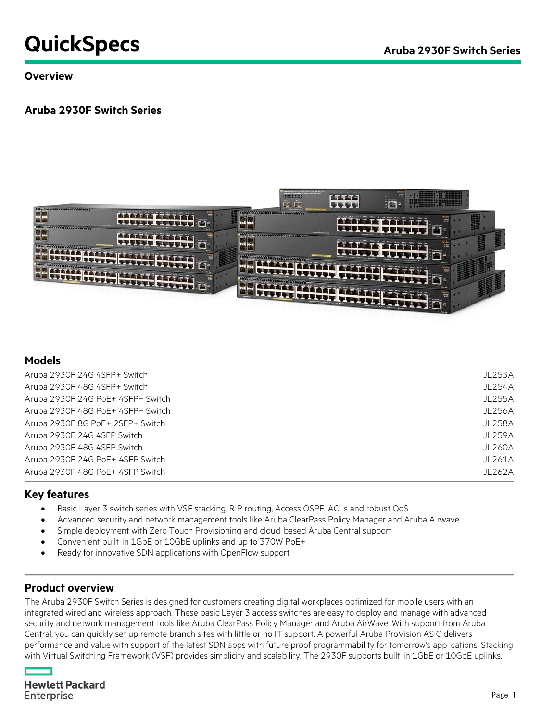# **QuickSpecs** Aruba 2930F Switch Series

#### **Overview**

### **Aruba 2930F Switch Series**



#### **Models**

| Aruba 2930F 24G 4SFP+ Switch       | JL253A  |
|------------------------------------|---------|
| Aruba 2930F 48G 4SFP+ Switch       | JL254A  |
| Aruba 2930F 24G PoE+ 4SFP+ Switch  | JL255A  |
| Aruba 2930F 48G PoE+ 4SFP+ Switch  | JL256A  |
| Aruba 2930F 8G PoE + 2SFP + Switch | JL258A  |
| Aruba 2930F 24G 4SFP Switch        | JL259A  |
| Aruba 2930F 48G 4SFP Switch        | JL260A  |
| Aruba 2930E 24G PoF+ 4SEP Switch   | JI 261A |
| Aruba 2930F 48G PoE+ 4SFP Switch   | JL262A  |

#### **Key features**

- Basic Layer 3 switch series with VSF stacking, RIP routing, Access OSPF, ACLs and robust QoS
- Advanced security and network management tools like Aruba ClearPass Policy Manager and Aruba Airwave
- Simple deployment with Zero Touch Provisioning and cloud-based Aruba Central support
- Convenient built-in 1GbE or 10GbE uplinks and up to 370W PoE+
- Ready for innovative SDN applications with OpenFlow support

#### **Product overview**

The Aruba 2930F Switch Series is designed for customers creating digital workplaces optimized for mobile users with an integrated wired and wireless approach. These basic Layer 3 access switches are easy to deploy and manage with advanced security and network management tools like Aruba ClearPass Policy Manager and Aruba AirWave. With support from Aruba Central, you can quickly set up remote branch sites with little or no IT support. A powerful Aruba ProVision ASIC delivers performance and value with support of the latest SDN apps with future proof programmability for tomorrow's applications. Stacking with Virtual Switching Framework (VSF) provides simplicity and scalability. The 2930F supports built-in 1GbE or 10GbE uplinks,

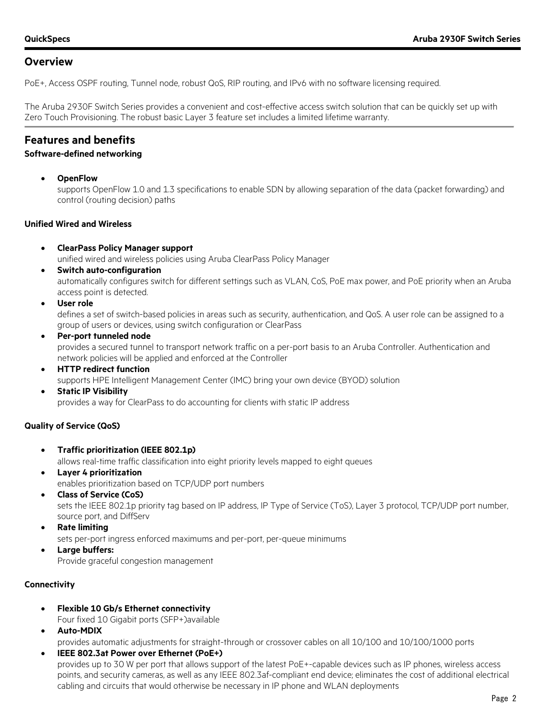PoE+, Access OSPF routing, Tunnel node, robust QoS, RIP routing, and IPv6 with no software licensing required.

The Aruba 2930F Switch Series provides a convenient and cost-effective access switch solution that can be quickly set up with Zero Touch Provisioning. The robust basic Layer 3 feature set includes a limited lifetime warranty.

#### **Features and benefits**

#### **Software-defined networking**

• **OpenFlow**

supports OpenFlow 1.0 and 1.3 specifications to enable SDN by allowing separation of the data (packet forwarding) and control (routing decision) paths

#### **Unified Wired and Wireless**

• **ClearPass Policy Manager support**

unified wired and wireless policies using Aruba ClearPass Policy Manager

- **Switch auto-configuration** automatically configures switch for different settings such as VLAN, CoS, PoE max power, and PoE priority when an Aruba access point is detected.
- **User role**

defines a set of switch-based policies in areas such as security, authentication, and QoS. A user role can be assigned to a group of users or devices, using switch configuration or ClearPass

• **Per-port tunneled node**

provides a secured tunnel to transport network traffic on a per-port basis to an Aruba Controller. Authentication and network policies will be applied and enforced at the Controller

• **HTTP redirect function**

supports HPE Intelligent Management Center (IMC) bring your own device (BYOD) solution

• **Static IP Visibility**

provides a way for ClearPass to do accounting for clients with static IP address

#### **Quality of Service (QoS)**

- **Traffic prioritization (IEEE 802.1p)** allows real-time traffic classification into eight priority levels mapped to eight queues
- **Layer 4 prioritization** enables prioritization based on TCP/UDP port numbers
	- **Class of Service (CoS)** sets the IEEE 802.1p priority tag based on IP address, IP Type of Service (ToS), Layer 3 protocol, TCP/UDP port number, source port, and DiffServ
- **Rate limiting**
	- sets per-port ingress enforced maximums and per-port, per-queue minimums
- **Large buffers:** Provide graceful congestion management

#### **Connectivity**

- **Flexible 10 Gb/s Ethernet connectivity** Four fixed 10 Gigabit ports (SFP+)available
- **Auto-MDIX**

provides automatic adjustments for straight-through or crossover cables on all 10/100 and 10/100/1000 ports

• **IEEE 802.3at Power over Ethernet (PoE+)** provides up to 30 W per port that allows support of the latest PoE+-capable devices such as IP phones, wireless access points, and security cameras, as well as any IEEE 802.3af-compliant end device; eliminates the cost of additional electrical cabling and circuits that would otherwise be necessary in IP phone and WLAN deployments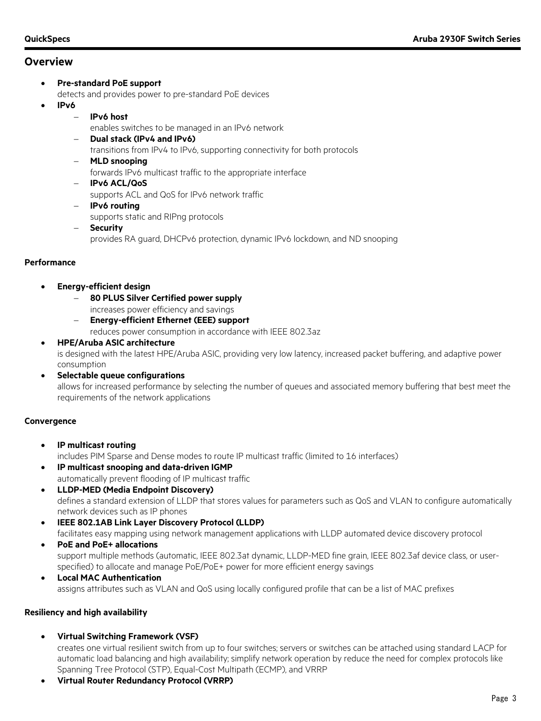• **Pre-standard PoE support**

detects and provides power to pre-standard PoE devices

- **IPv6**
	- − **IPv6 host**
		- enables switches to be managed in an IPv6 network
		- − **Dual stack (IPv4 and IPv6)** transitions from IPv4 to IPv6, supporting connectivity for both protocols
		- − **MLD snooping** forwards IPv6 multicast traffic to the appropriate interface
		- − **IPv6 ACL/QoS** supports ACL and QoS for IPv6 network traffic
		- − **IPv6 routing** supports static and RIPng protocols
		- − **Security** provides RA guard, DHCPv6 protection, dynamic IPv6 lockdown, and ND snooping
- **Performance**
	- **Energy-efficient design**
		- − **80 PLUS Silver Certified power supply**
		- increases power efficiency and savings − **Energy-efficient Ethernet (EEE) support**
			- reduces power consumption in accordance with IEEE 802.3az
	- **HPE/Aruba ASIC architecture** is designed with the latest HPE/Aruba ASIC, providing very low latency, increased packet buffering, and adaptive power consumption
	- **Selectable queue configurations** allows for increased performance by selecting the number of queues and associated memory buffering that best meet the requirements of the network applications

#### **Convergence**

- **IP multicast routing** includes PIM Sparse and Dense modes to route IP multicast traffic (limited to 16 interfaces)
- **IP multicast snooping and data-driven IGMP** automatically prevent flooding of IP multicast traffic
- **LLDP-MED (Media Endpoint Discovery)** defines a standard extension of LLDP that stores values for parameters such as QoS and VLAN to configure automatically network devices such as IP phones
- **IEEE 802.1AB Link Layer Discovery Protocol (LLDP)** facilitates easy mapping using network management applications with LLDP automated device discovery protocol
- **PoE and PoE+ allocations** support multiple methods (automatic, IEEE 802.3at dynamic, LLDP-MED fine grain, IEEE 802.3af device class, or userspecified) to allocate and manage PoE/PoE+ power for more efficient energy savings
- **Local MAC Authentication** assigns attributes such as VLAN and QoS using locally configured profile that can be a list of MAC prefixes

#### **Resiliency and high availability**

• **Virtual Switching Framework (VSF)**

creates one virtual resilient switch from up to four switches; servers or switches can be attached using standard LACP for automatic load balancing and high availability; simplify network operation by reduce the need for complex protocols like Spanning Tree Protocol (STP), Equal-Cost Multipath (ECMP), and VRRP

• **Virtual Router Redundancy Protocol (VRRP)**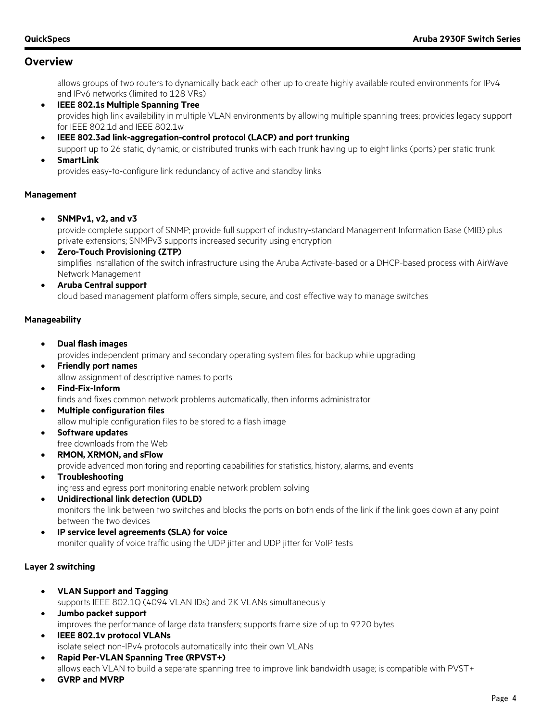allows groups of two routers to dynamically back each other up to create highly available routed environments for IPv4 and IPv6 networks (limited to 128 VRs)

- **IEEE 802.1s Multiple Spanning Tree** provides high link availability in multiple VLAN environments by allowing multiple spanning trees; provides legacy support for IEEE 802.1d and IEEE 802.1w
- **IEEE 802.3ad link-aggregation-control protocol (LACP) and port trunking** support up to 26 static, dynamic, or distributed trunks with each trunk having up to eight links (ports) per static trunk
- **SmartLink**

provides easy-to-configure link redundancy of active and standby links

#### **Management**

• **SNMPv1, v2, and v3**

provide complete support of SNMP; provide full support of industry-standard Management Information Base (MIB) plus private extensions; SNMPv3 supports increased security using encryption

- **Zero-Touch Provisioning (ZTP)** simplifies installation of the switch infrastructure using the Aruba Activate-based or a DHCP-based process with AirWave Network Management
- **Aruba Central support** cloud based management platform offers simple, secure, and cost effective way to manage switches

#### **Manageability**

- **Dual flash images** provides independent primary and secondary operating system files for backup while upgrading
- **Friendly port names** allow assignment of descriptive names to ports
- **Find-Fix-Inform** finds and fixes common network problems automatically, then informs administrator
- **Multiple configuration files** allow multiple configuration files to be stored to a flash image
- **Software updates** free downloads from the Web
- **RMON, XRMON, and sFlow**

provide advanced monitoring and reporting capabilities for statistics, history, alarms, and events

- **Troubleshooting** ingress and egress port monitoring enable network problem solving
- **Unidirectional link detection (UDLD)** monitors the link between two switches and blocks the ports on both ends of the link if the link goes down at any point between the two devices
- **IP service level agreements (SLA) for voice** monitor quality of voice traffic using the UDP jitter and UDP jitter for VoIP tests

#### **Layer 2 switching**

- **VLAN Support and Tagging** supports IEEE 802.1Q (4094 VLAN IDs) and 2K VLANs simultaneously • **Jumbo packet support**
	- improves the performance of large data transfers; supports frame size of up to 9220 bytes
- **IEEE 802.1v protocol VLANs** isolate select non-IPv4 protocols automatically into their own VLANs
- **Rapid Per-VLAN Spanning Tree (RPVST+)** allows each VLAN to build a separate spanning tree to improve link bandwidth usage; is compatible with PVST+
- **GVRP and MVRP**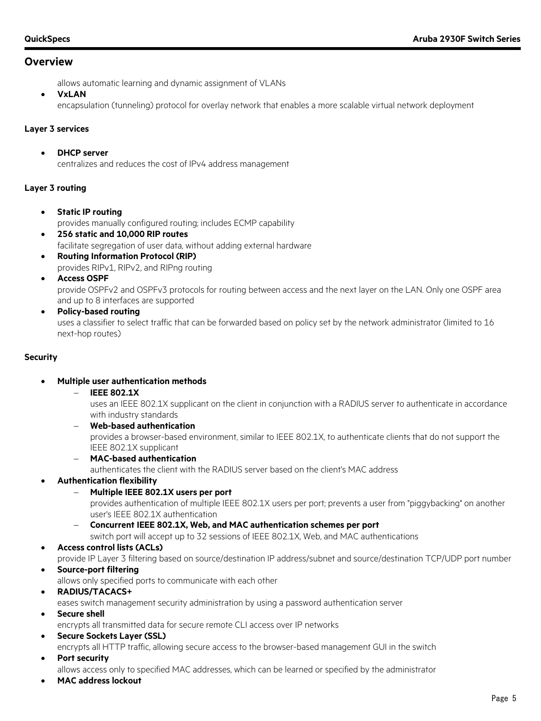allows automatic learning and dynamic assignment of VLANs

• **VxLAN**

encapsulation (tunneling) protocol for overlay network that enables a more scalable virtual network deployment

#### **Layer 3 services**

• **DHCP server** centralizes and reduces the cost of IPv4 address management

#### **Layer 3 routing**

- **Static IP routing** provides manually configured routing; includes ECMP capability
- **256 static and 10,000 RIP routes** facilitate segregation of user data, without adding external hardware
- **Routing Information Protocol (RIP)** provides RIPv1, RIPv2, and RIPng routing
- **Access OSPF**

provide OSPFv2 and OSPFv3 protocols for routing between access and the next layer on the LAN. Only one OSPF area and up to 8 interfaces are supported

• **Policy-based routing** uses a classifier to select traffic that can be forwarded based on policy set by the network administrator (limited to 16 next-hop routes)

#### **Security**

- **Multiple user authentication methods**
	- − **IEEE 802.1X**

uses an IEEE 802.1X supplicant on the client in conjunction with a RADIUS server to authenticate in accordance with industry standards

- − **Web-based authentication** provides a browser-based environment, similar to IEEE 802.1X, to authenticate clients that do not support the IEEE 802.1X supplicant
- − **MAC-based authentication**

authenticates the client with the RADIUS server based on the client's MAC address

- **Authentication flexibility**
	- − **Multiple IEEE 802.1X users per port**

provides authentication of multiple IEEE 802.1X users per port; prevents a user from "piggybacking" on another user's IEEE 802.1X authentication

- − **Concurrent IEEE 802.1X, Web, and MAC authentication schemes per port**
- switch port will accept up to 32 sessions of IEEE 802.1X, Web, and MAC authentications

#### • **Access control lists (ACLs)**

provide IP Layer 3 filtering based on source/destination IP address/subnet and source/destination TCP/UDP port number

- **Source-port filtering**
	- allows only specified ports to communicate with each other
- **RADIUS/TACACS+**
	- eases switch management security administration by using a password authentication server
- **Secure shell**
	- encrypts all transmitted data for secure remote CLI access over IP networks
- **Secure Sockets Layer (SSL)** encrypts all HTTP traffic, allowing secure access to the browser-based management GUI in the switch
- **Port security**

allows access only to specified MAC addresses, which can be learned or specified by the administrator

• **MAC address lockout**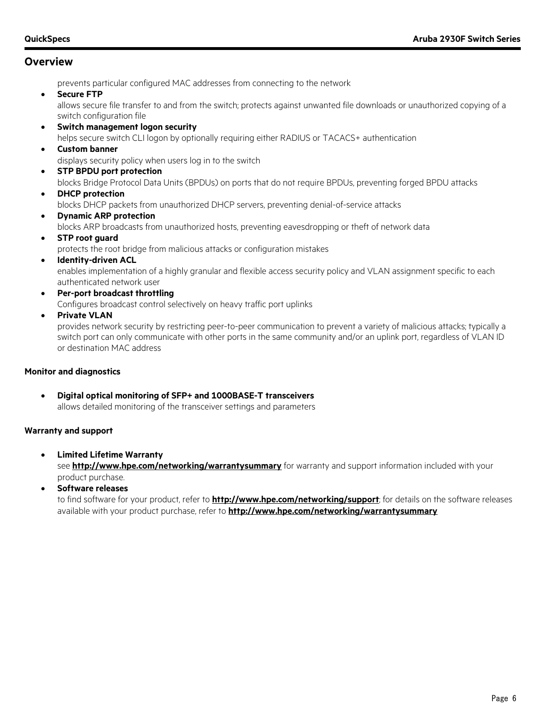prevents particular configured MAC addresses from connecting to the network

• **Secure FTP**

allows secure file transfer to and from the switch; protects against unwanted file downloads or unauthorized copying of a switch configuration file

- **Switch management logon security** helps secure switch CLI logon by optionally requiring either RADIUS or TACACS+ authentication
- **Custom banner**
- displays security policy when users log in to the switch
- **STP BPDU port protection**

blocks Bridge Protocol Data Units (BPDUs) on ports that do not require BPDUs, preventing forged BPDU attacks

- **DHCP protection** blocks DHCP packets from unauthorized DHCP servers, preventing denial-of-service attacks
- **Dynamic ARP protection** blocks ARP broadcasts from unauthorized hosts, preventing eavesdropping or theft of network data
- **STP root guard**

protects the root bridge from malicious attacks or configuration mistakes

**Identity-driven ACL** 

enables implementation of a highly granular and flexible access security policy and VLAN assignment specific to each authenticated network user

- **Per-port broadcast throttling** Configures broadcast control selectively on heavy traffic port uplinks
- **Private VLAN**

provides network security by restricting peer-to-peer communication to prevent a variety of malicious attacks; typically a switch port can only communicate with other ports in the same community and/or an uplink port, regardless of VLAN ID or destination MAC address

#### **Monitor and diagnostics**

• **Digital optical monitoring of SFP+ and 1000BASE-T transceivers** allows detailed monitoring of the transceiver settings and parameters

#### **Warranty and support**

• **Limited Lifetime Warranty**

see **<http://www.hpe.com/networking/warrantysummary>** for warranty and support information included with your product purchase.

• **Software releases**

to find software for your product, refer to **<http://www.hpe.com/networking/support>**; for details on the software releases available with your product purchase, refer to **<http://www.hpe.com/networking/warrantysummary>**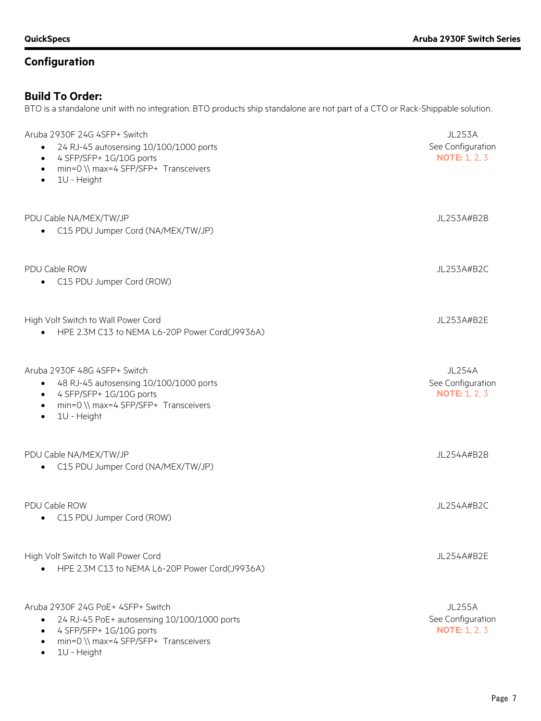## **Build To Order:**

BTO is a standalone unit with no integration. BTO products ship standalone are not part of a CTO or Rack-Shippable solution.

| Aruba 2930F 24G 4SFP+ Switch<br>24 RJ-45 autosensing 10/100/1000 ports<br>$\bullet$<br>4 SFP/SFP+ 1G/10G ports<br>$\bullet$<br>min=0 \\ max=4 SFP/SFP+ Transceivers<br>$\bullet$<br>1U - Height<br>$\bullet$ | <b>JL253A</b><br>See Configuration<br><b>NOTE: 1, 2, 3</b> |
|--------------------------------------------------------------------------------------------------------------------------------------------------------------------------------------------------------------|------------------------------------------------------------|
| PDU Cable NA/MEX/TW/JP<br>C15 PDU Jumper Cord (NA/MEX/TW/JP)                                                                                                                                                 | JL253A#B2B                                                 |
| PDU Cable ROW<br>C15 PDU Jumper Cord (ROW)                                                                                                                                                                   | JL253A#B2C                                                 |
| High Volt Switch to Wall Power Cord<br>HPE 2.3M C13 to NEMA L6-20P Power Cord(J9936A)                                                                                                                        | JL253A#B2E                                                 |
| Aruba 2930F 48G 4SFP+ Switch<br>48 RJ-45 autosensing 10/100/1000 ports<br>$\bullet$<br>4 SFP/SFP+ 1G/10G ports<br>$\bullet$<br>min=0 \\ max=4 SFP/SFP+ Transceivers<br>$\bullet$<br>1U - Height<br>$\bullet$ | <b>JL254A</b><br>See Configuration<br><b>NOTE: 1, 2, 3</b> |
| PDU Cable NA/MEX/TW/JP<br>C15 PDU Jumper Cord (NA/MEX/TW/JP)                                                                                                                                                 | JL254A#B2B                                                 |
| PDU Cable ROW<br>C15 PDU Jumper Cord (ROW)                                                                                                                                                                   | JL254A#B2C                                                 |
| High Volt Switch to Wall Power Cord<br>HPE 2.3M C13 to NEMA L6-20P Power Cord(J9936A)                                                                                                                        | JL254A#B2E                                                 |
| Aruba 2930F 24G PoE+ 4SFP+ Switch<br>24 RJ-45 PoE+ autosensing 10/100/1000 ports<br>$\bullet$<br>4 SFP/SFP+ 1G/10G ports<br>٠<br>min=0 \\ max=4 SFP/SFP+ Transceivers<br>٠<br>1U - Height<br>$\bullet$       | <b>JL255A</b><br>See Configuration<br><b>NOTE: 1, 2, 3</b> |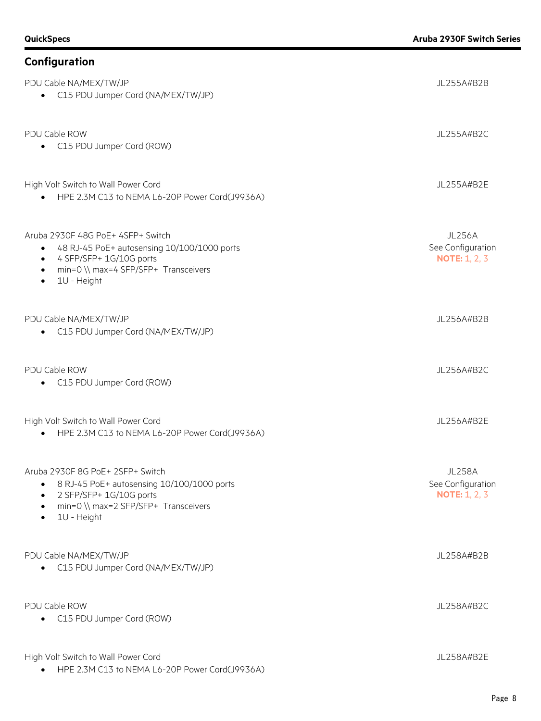## **Configuration** PDU Cable NA/MEX/TW/JP JL255A#B2B • C15 PDU Jumper Cord (NA/MEX/TW/JP) PDU Cable ROW JL255A#B2C • C15 PDU Jumper Cord (ROW) High Volt Switch to Wall Power Cord JL255A#B2E • HPE 2.3M C13 to NEMA L6-20P Power Cord(J9936A) Aruba 2930F 48G PoE+ 4SFP+ Switch JL256A • 48 RJ-45 PoE+ autosensing 10/100/1000 ports • 4 SFP/SFP+ 1G/10G ports • min=0 \\ max=4 SFP/SFP+ Transceivers • 1U - Height See Configuration **NOTE:** 1, 2, 3 PDU Cable NA/MEX/TW/JP JL256A#B2B • C15 PDU Jumper Cord (NA/MEX/TW/JP) PDU Cable ROW JL256A#B2C • C15 PDU Jumper Cord (ROW) High Volt Switch to Wall Power Cord JL256A#B2E • HPE 2.3M C13 to NEMA L6-20P Power Cord(J9936A) Aruba 2930F 8G PoE+ 2SFP+ Switch JL258A • 8 RJ-45 PoE+ autosensing 10/100/1000 ports • 2 SFP/SFP+ 1G/10G ports • min=0 \\ max=2 SFP/SFP+ Transceivers • 1U - Height See Configuration **NOTE:** 1, 2, 3 PDU Cable NA/MEX/TW/JP JL258A#B2B • C15 PDU Jumper Cord (NA/MEX/TW/JP) PDU Cable ROW JL258A#B2C • C15 PDU Jumper Cord (ROW) High Volt Switch to Wall Power Cord JL258A#B2E • HPE 2.3M C13 to NEMA L6-20P Power Cord(J9936A)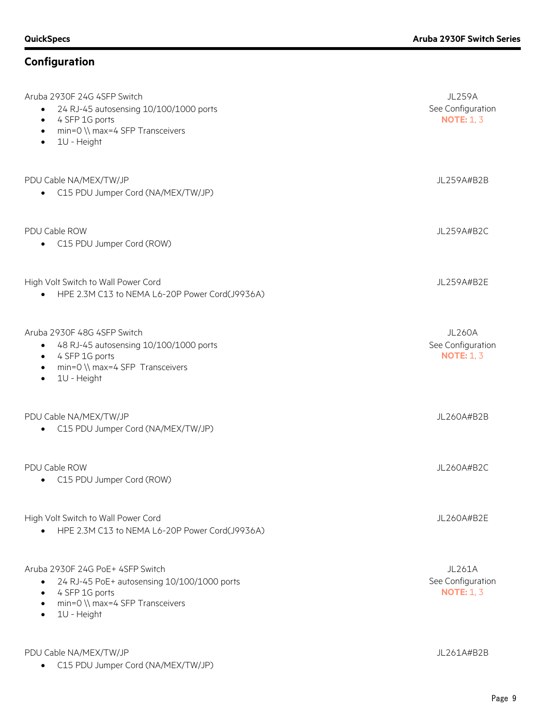| Aruba 2930F 24G 4SFP Switch<br>24 RJ-45 autosensing 10/100/1000 ports<br>$\bullet$<br>4 SFP 1G ports<br>$\bullet$<br>min=0 \\ max=4 SFP Transceivers<br>$\bullet$<br>1U - Height<br>$\bullet$           | <b>JL259A</b><br>See Configuration<br><b>NOTE: 1, 3</b> |
|---------------------------------------------------------------------------------------------------------------------------------------------------------------------------------------------------------|---------------------------------------------------------|
| PDU Cable NA/MEX/TW/JP<br>• C15 PDU Jumper Cord (NA/MEX/TW/JP)                                                                                                                                          | JL259A#B2B                                              |
| PDU Cable ROW<br>C15 PDU Jumper Cord (ROW)                                                                                                                                                              | JL259A#B2C                                              |
| High Volt Switch to Wall Power Cord<br>HPE 2.3M C13 to NEMA L6-20P Power Cord(J9936A)<br>$\bullet$                                                                                                      | JL259A#B2E                                              |
| Aruba 2930F 48G 4SFP Switch<br>48 RJ-45 autosensing 10/100/1000 ports<br>$\bullet$<br>4 SFP 1G ports<br>$\bullet$<br>min=0 \\ max=4 SFP Transceivers<br>$\bullet$<br>1U - Height<br>$\bullet$           | <b>JL260A</b><br>See Configuration<br><b>NOTE: 1, 3</b> |
| PDU Cable NA/MEX/TW/JP<br>C15 PDU Jumper Cord (NA/MEX/TW/JP)                                                                                                                                            | JL260A#B2B                                              |
| PDU Cable ROW<br>C15 PDU Jumper Cord (ROW)                                                                                                                                                              | JL260A#B2C                                              |
| High Volt Switch to Wall Power Cord<br>HPE 2.3M C13 to NEMA L6-20P Power Cord(J9936A)<br>$\bullet$                                                                                                      | JL260A#B2E                                              |
| Aruba 2930F 24G PoE+ 4SFP Switch<br>24 RJ-45 PoE+ autosensing 10/100/1000 ports<br>$\bullet$<br>4 SFP 1G ports<br>$\bullet$<br>min=0 \\ max=4 SFP Transceivers<br>$\bullet$<br>1U - Height<br>$\bullet$ | <b>JL261A</b><br>See Configuration<br><b>NOTE: 1, 3</b> |
| PDU Cable NA/MEX/TW/JP<br>C15 PDU Jumper Cord (NA/MEX/TW/JP)                                                                                                                                            | JL261A#B2B                                              |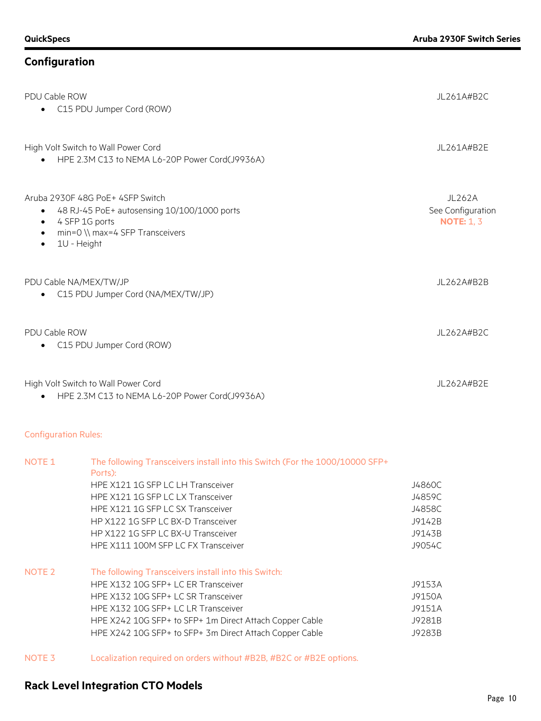| PDU Cable ROW                       | C15 PDU Jumper Cord (ROW)                                                                                                                                                                                                                    | JL261A#B2C                                       |
|-------------------------------------|----------------------------------------------------------------------------------------------------------------------------------------------------------------------------------------------------------------------------------------------|--------------------------------------------------|
|                                     | High Volt Switch to Wall Power Cord<br>HPE 2.3M C13 to NEMA L6-20P Power Cord(J9936A)                                                                                                                                                        | JL261A#B2E                                       |
| $\bullet$<br>$\bullet$<br>$\bullet$ | Aruba 2930F 48G PoE+ 4SFP Switch<br>48 RJ-45 PoE+ autosensing 10/100/1000 ports<br>4 SFP 1G ports<br>min=0 \\ max=4 SFP Transceivers<br>1U - Height                                                                                          | JL262A<br>See Configuration<br><b>NOTE: 1, 3</b> |
| PDU Cable NA/MEX/TW/JP              | C15 PDU Jumper Cord (NA/MEX/TW/JP)                                                                                                                                                                                                           | JL262A#B2B                                       |
| PDU Cable ROW                       | C15 PDU Jumper Cord (ROW)                                                                                                                                                                                                                    | JL262A#B2C                                       |
|                                     | High Volt Switch to Wall Power Cord<br>HPE 2.3M C13 to NEMA L6-20P Power Cord(J9936A)                                                                                                                                                        | JL262A#B2E                                       |
| <b>Configuration Rules:</b>         |                                                                                                                                                                                                                                              |                                                  |
| NOTE <sub>1</sub>                   | The following Transceivers install into this Switch (For the 1000/10000 SFP+<br>Ports):<br>HPE X121 1G SFP LC LH Transceiver<br>HPE X121 1G SFP LC LX Transceiver<br>HPE X121 1G SFP LC SX Transceiver<br>HP X122 1G SFP LC BX-D Transceiver | J4860C<br>J4859C<br>J4858C<br>J9142B             |

### NOTE 2 The following Transceivers install into this Switch: HPE X132 10G SFP+ LC ER Transceiver J9153A

| HPE X132 10G SFP+ LC SR Transceiver                     | J9150A |
|---------------------------------------------------------|--------|
| HPE X132 10G SFP+ LC LR Transceiver                     | J9151A |
| HPE X242 10G SFP+ to SFP+ 1m Direct Attach Copper Cable | J9281B |
| HPE X242 10G SFP+ to SFP+ 3m Direct Attach Copper Cable | J9283B |
|                                                         |        |

HP X122 1G SFP LC BX-U Transceiver J9143B HPE X111 100M SFP LC FX Transceiver JPOS4C

NOTE 3 Localization required on orders without #B2B, #B2C or #B2E options.

## **Rack Level Integration CTO Models**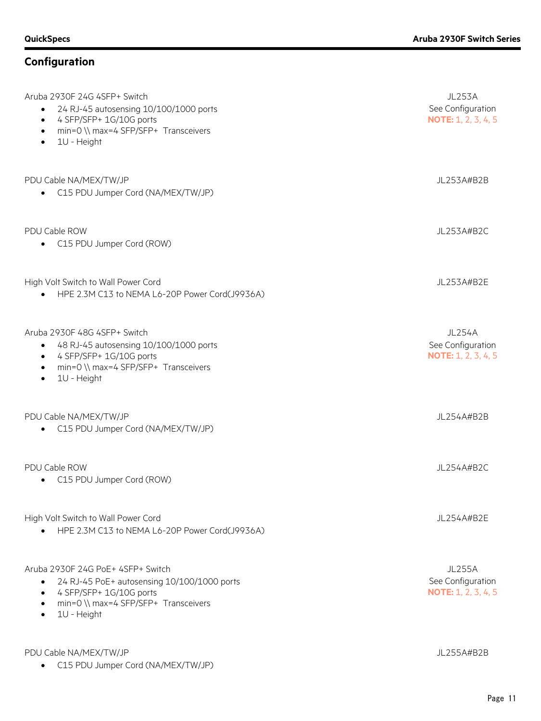| Aruba 2930F 24G 4SFP+ Switch<br>24 RJ-45 autosensing 10/100/1000 ports<br>4 SFP/SFP+ 1G/10G ports<br>$\bullet$<br>min=0 \\ max=4 SFP/SFP+ Transceivers<br>$\bullet$<br>1U - Height<br>$\bullet$                        | <b>JL253A</b><br>See Configuration<br><b>NOTE: 1, 2, 3, 4, 5</b> |
|------------------------------------------------------------------------------------------------------------------------------------------------------------------------------------------------------------------------|------------------------------------------------------------------|
| PDU Cable NA/MEX/TW/JP<br>C15 PDU Jumper Cord (NA/MEX/TW/JP)                                                                                                                                                           | JL253A#B2B                                                       |
| PDU Cable ROW<br>C15 PDU Jumper Cord (ROW)<br>$\bullet$                                                                                                                                                                | JL253A#B2C                                                       |
| High Volt Switch to Wall Power Cord<br>HPE 2.3M C13 to NEMA L6-20P Power Cord(J9936A)                                                                                                                                  | JL253A#B2E                                                       |
| Aruba 2930F 48G 4SFP+ Switch<br>48 RJ-45 autosensing 10/100/1000 ports<br>$\bullet$<br>4 SFP/SFP+ 1G/10G ports<br>$\bullet$<br>min=0 \\ max=4 SFP/SFP+ Transceivers<br>$\bullet$<br>1U - Height<br>$\bullet$           | <b>JL254A</b><br>See Configuration<br><b>NOTE: 1, 2, 3, 4, 5</b> |
| PDU Cable NA/MEX/TW/JP<br>C15 PDU Jumper Cord (NA/MEX/TW/JP)                                                                                                                                                           | JL254A#B2B                                                       |
| PDU Cable ROW<br>C15 PDU Jumper Cord (ROW)<br>٠                                                                                                                                                                        | JL254A#B2C                                                       |
| High Volt Switch to Wall Power Cord<br>HPE 2.3M C13 to NEMA L6-20P Power Cord(J9936A)                                                                                                                                  | JL254A#B2E                                                       |
| Aruba 2930F 24G PoE+ 4SFP+ Switch<br>24 RJ-45 PoE+ autosensing 10/100/1000 ports<br>$\bullet$<br>4 SFP/SFP+ 1G/10G ports<br>$\bullet$<br>min=0 \\ max=4 SFP/SFP+ Transceivers<br>$\bullet$<br>1U - Height<br>$\bullet$ | <b>JL255A</b><br>See Configuration<br><b>NOTE: 1, 2, 3, 4, 5</b> |
| PDU Cable NA/MEX/TW/JP                                                                                                                                                                                                 | JL255A#B2B                                                       |

• C15 PDU Jumper Cord (NA/MEX/TW/JP)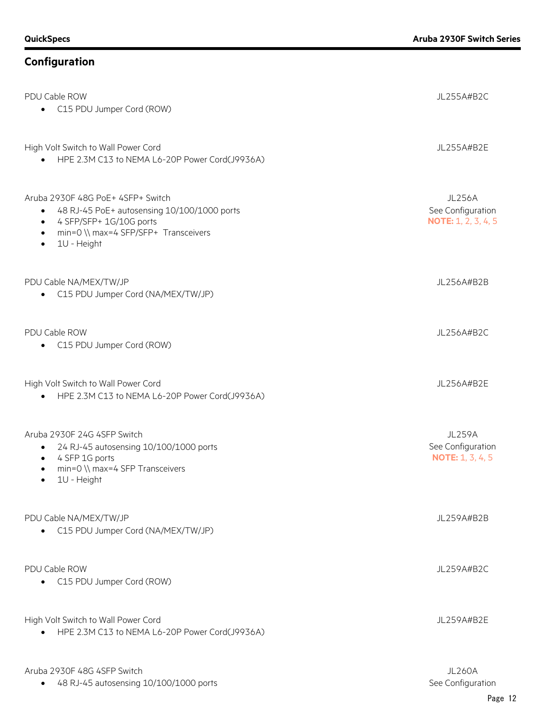| PDU Cable ROW<br>• C15 PDU Jumper Cord (ROW)                                                                                                                                                                           | JL255A#B2C                                                       |
|------------------------------------------------------------------------------------------------------------------------------------------------------------------------------------------------------------------------|------------------------------------------------------------------|
| High Volt Switch to Wall Power Cord<br>HPE 2.3M C13 to NEMA L6-20P Power Cord(J9936A)<br>$\bullet$                                                                                                                     | JL255A#B2E                                                       |
| Aruba 2930F 48G PoE+ 4SFP+ Switch<br>48 RJ-45 PoE+ autosensing 10/100/1000 ports<br>$\bullet$<br>4 SFP/SFP+ 1G/10G ports<br>$\bullet$<br>min=0 \\ max=4 SFP/SFP+ Transceivers<br>$\bullet$<br>1U - Height<br>$\bullet$ | <b>JL256A</b><br>See Configuration<br><b>NOTE:</b> 1, 2, 3, 4, 5 |
| PDU Cable NA/MEX/TW/JP<br>C15 PDU Jumper Cord (NA/MEX/TW/JP)<br>$\bullet$                                                                                                                                              | JL256A#B2B                                                       |
| PDU Cable ROW<br>C15 PDU Jumper Cord (ROW)<br>$\bullet$                                                                                                                                                                | JL256A#B2C                                                       |
| High Volt Switch to Wall Power Cord<br>HPE 2.3M C13 to NEMA L6-20P Power Cord(J9936A)<br>$\bullet$                                                                                                                     | JL256A#B2E                                                       |
| Aruba 2930F 24G 4SFP Switch<br>24 RJ-45 autosensing 10/100/1000 ports<br>$\bullet$<br>4 SFP 1G ports<br>$\bullet$<br>min=0 \\ max=4 SFP Transceivers<br>$\bullet$<br>1U - Height<br>$\bullet$                          | <b>JL259A</b><br>See Configuration<br><b>NOTE: 1, 3, 4, 5</b>    |
| PDU Cable NA/MEX/TW/JP<br>C15 PDU Jumper Cord (NA/MEX/TW/JP)                                                                                                                                                           | JL259A#B2B                                                       |
| PDU Cable ROW<br>C15 PDU Jumper Cord (ROW)                                                                                                                                                                             | JL259A#B2C                                                       |
| High Volt Switch to Wall Power Cord<br>HPE 2.3M C13 to NEMA L6-20P Power Cord(J9936A)<br>$\bullet$                                                                                                                     | JL259A#B2E                                                       |
| Aruba 2930F 48G 4SFP Switch<br>48 RJ-45 autosensing 10/100/1000 ports                                                                                                                                                  | <b>JL260A</b><br>See Configuration                               |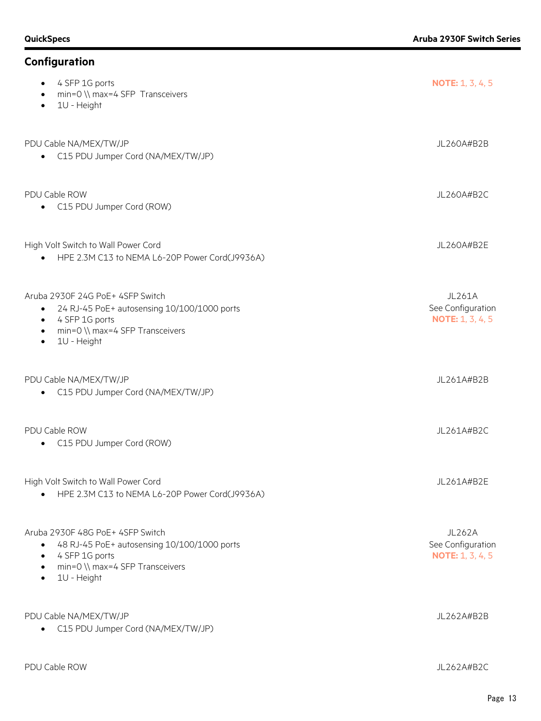| Configuration                                                                                                                                                                                           |                                                               |
|---------------------------------------------------------------------------------------------------------------------------------------------------------------------------------------------------------|---------------------------------------------------------------|
| 4 SFP 1G ports<br>min=0 \\ max=4 SFP Transceivers<br>$\bullet$<br>1U - Height<br>$\bullet$                                                                                                              | <b>NOTE:</b> $1, 3, 4, 5$                                     |
| PDU Cable NA/MEX/TW/JP<br>C15 PDU Jumper Cord (NA/MEX/TW/JP)                                                                                                                                            | JL260A#B2B                                                    |
| PDU Cable ROW<br>C15 PDU Jumper Cord (ROW)                                                                                                                                                              | JL260A#B2C                                                    |
| High Volt Switch to Wall Power Cord<br>HPE 2.3M C13 to NEMA L6-20P Power Cord(J9936A)                                                                                                                   | JL260A#B2E                                                    |
| Aruba 2930F 24G PoE+ 4SFP Switch<br>24 RJ-45 PoE+ autosensing 10/100/1000 ports<br>$\bullet$<br>4 SFP 1G ports<br>$\bullet$<br>min=0 \\ max=4 SFP Transceivers<br>$\bullet$<br>1U - Height<br>$\bullet$ | <b>JL261A</b><br>See Configuration<br><b>NOTE: 1, 3, 4, 5</b> |
| PDU Cable NA/MEX/TW/JP<br>C15 PDU Jumper Cord (NA/MEX/TW/JP)                                                                                                                                            | JL261A#B2B                                                    |
| PDU Cable ROW<br>C15 PDU Jumper Cord (ROW)                                                                                                                                                              | JL261A#B2C                                                    |
| High Volt Switch to Wall Power Cord<br>HPE 2.3M C13 to NEMA L6-20P Power Cord(J9936A)                                                                                                                   | JL261A#B2E                                                    |
| Aruba 2930F 48G PoF+ 4SFP Switch<br>48 RJ-45 PoE+ autosensing 10/100/1000 ports<br>$\bullet$<br>4 SFP 1G ports<br>$\bullet$<br>min=0 \\ max=4 SFP Transceivers<br>$\bullet$<br>1U - Height<br>$\bullet$ | <b>JL262A</b><br>See Configuration<br><b>NOTE: 1, 3, 4, 5</b> |
| PDU Cable NA/MEX/TW/JP<br>C15 PDU Jumper Cord (NA/MEX/TW/JP)                                                                                                                                            | JL262A#B2B                                                    |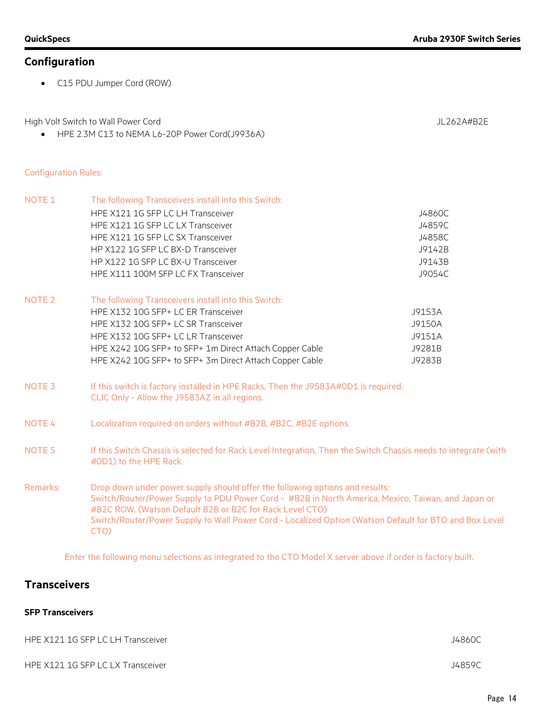• C15 PDU Jumper Cord (ROW)

High Volt Switch to Wall Power Cord and Supervisory of the UL262A#B2E

• HPE 2.3M C13 to NEMA L6-20P Power Cord(J9936A)

#### Configuration Rules:

| <b>NOTE 1</b>     | The following Transceivers install into this Switch:                                                                                                                                                                                                                                                                                                             |        |
|-------------------|------------------------------------------------------------------------------------------------------------------------------------------------------------------------------------------------------------------------------------------------------------------------------------------------------------------------------------------------------------------|--------|
|                   | HPE X121 1G SFP LC LH Transceiver                                                                                                                                                                                                                                                                                                                                | J4860C |
|                   | HPE X121 1G SFP LC LX Transceiver                                                                                                                                                                                                                                                                                                                                | J4859C |
|                   | HPE X121 1G SFP LC SX Transceiver                                                                                                                                                                                                                                                                                                                                | J4858C |
|                   | HP X122 1G SFP LC BX-D Transceiver                                                                                                                                                                                                                                                                                                                               | J9142B |
|                   | HP X122 1G SFP LC BX-U Transceiver                                                                                                                                                                                                                                                                                                                               | J9143B |
|                   | HPE X111 100M SFP LC FX Transceiver                                                                                                                                                                                                                                                                                                                              | J9054C |
| NOTE <sub>2</sub> | The following Transceivers install into this Switch:                                                                                                                                                                                                                                                                                                             |        |
|                   | HPE X132 10G SFP+ LC ER Transceiver                                                                                                                                                                                                                                                                                                                              | J9153A |
|                   | HPE X132 10G SFP+ LC SR Transceiver                                                                                                                                                                                                                                                                                                                              | J9150A |
|                   | HPE X132 10G SFP+ LC LR Transceiver                                                                                                                                                                                                                                                                                                                              | J9151A |
|                   | HPE X242 10G SFP+ to SFP+ 1m Direct Attach Copper Cable                                                                                                                                                                                                                                                                                                          | J9281B |
|                   | HPE X242 10G SFP+ to SFP+ 3m Direct Attach Copper Cable                                                                                                                                                                                                                                                                                                          | J9283B |
| NOTE <sub>3</sub> | If this switch is factory installed in HPE Racks, Then the J9583A#0D1 is required.                                                                                                                                                                                                                                                                               |        |
|                   | CLIC Only - Allow the J9583AZ in all regions.                                                                                                                                                                                                                                                                                                                    |        |
| NOTE <sub>4</sub> | Localization required on orders without #B2B, #B2C, #B2E options.                                                                                                                                                                                                                                                                                                |        |
| NOTE <sub>5</sub> | If this Switch Chassis is selected for Rack Level Integration, Then the Switch Chassis needs to integrate (with<br>#0D1) to the HPE Rack.                                                                                                                                                                                                                        |        |
| Remarks:          | Drop down under power supply should offer the following options and results:<br>Switch/Router/Power Supply to PDU Power Cord - #B2B in North America, Mexico, Taiwan, and Japan or<br>#B2C ROW. (Watson Default B2B or B2C for Rack Level CTO)<br>Switch/Router/Power Supply to Wall Power Cord - Localized Option (Watson Default for BTO and Box Level<br>CTO) |        |

Enter the following menu selections as integrated to the CTO Model X server above if order is factory built.

## **Transceivers**

#### **SFP Transceivers**

| HPE X121 1G SFP LC LH Transceiver | J4860C |
|-----------------------------------|--------|
| HPE X121 1G SFP LC LX Transceiver | J4859C |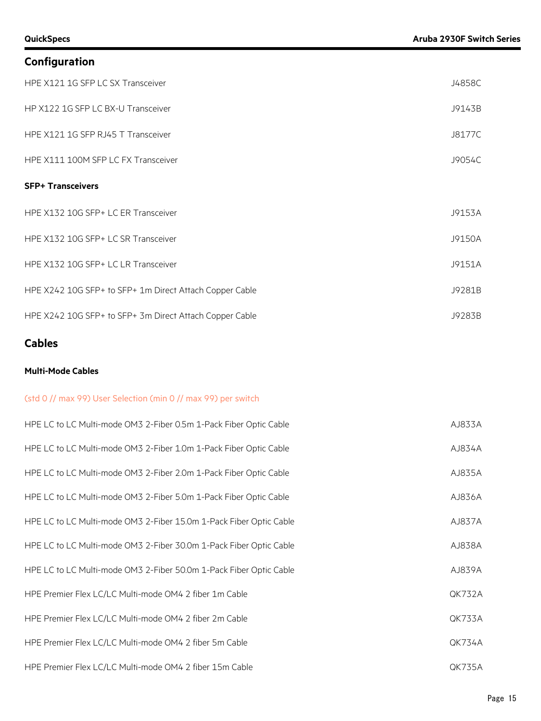| Configuration                                           |        |
|---------------------------------------------------------|--------|
| HPE X121 1G SFP LC SX Transceiver                       | J4858C |
| HP X122 1G SFP LC BX-U Transceiver                      | J9143B |
| HPE X121 1G SFP RJ45 T Transceiver                      | J8177C |
| HPE X111 100M SFP LC FX Transceiver                     | J9054C |
| <b>SFP+ Transceivers</b>                                |        |
| HPE X132 10G SFP+ LC ER Transceiver                     | J9153A |
| HPE X132 10G SFP+ LC SR Transceiver                     | J9150A |
| HPE X132 10G SFP+ LC LR Transceiver                     | J9151A |
| HPE X242 10G SFP+ to SFP+ 1m Direct Attach Copper Cable | J9281B |
| HPE X242 10G SFP+ to SFP+ 3m Direct Attach Copper Cable | J9283B |

## **Cables**

#### **Multi-Mode Cables**

#### (std 0 // max 99) User Selection (min 0 // max 99) per switch

| HPE LC to LC Multi-mode OM3 2-Fiber 0.5m 1-Pack Fiber Optic Cable  | AJ833A        |
|--------------------------------------------------------------------|---------------|
| HPE LC to LC Multi-mode OM3 2-Fiber 1.0m 1-Pack Fiber Optic Cable  | AJ834A        |
| HPE LC to LC Multi-mode OM3 2-Fiber 2.0m 1-Pack Fiber Optic Cable  | AJ835A        |
| HPE LC to LC Multi-mode OM3 2-Fiber 5.0m 1-Pack Fiber Optic Cable  | AJ836A        |
| HPE LC to LC Multi-mode OM3 2-Fiber 15.0m 1-Pack Fiber Optic Cable | AJ837A        |
| HPE LC to LC Multi-mode OM3 2-Fiber 30.0m 1-Pack Fiber Optic Cable | AJ838A        |
| HPE LC to LC Multi-mode OM3 2-Fiber 50.0m 1-Pack Fiber Optic Cable | AJ839A        |
| HPE Premier Flex LC/LC Multi-mode OM4 2 fiber 1m Cable             | <b>QK732A</b> |
| HPE Premier Flex LC/LC Multi-mode OM4 2 fiber 2m Cable             | QK733A        |
| HPE Premier Flex LC/LC Multi-mode OM4 2 fiber 5m Cable             | <b>QK734A</b> |
| HPE Premier Flex LC/LC Multi-mode OM4 2 fiber 15m Cable            | <b>QK735A</b> |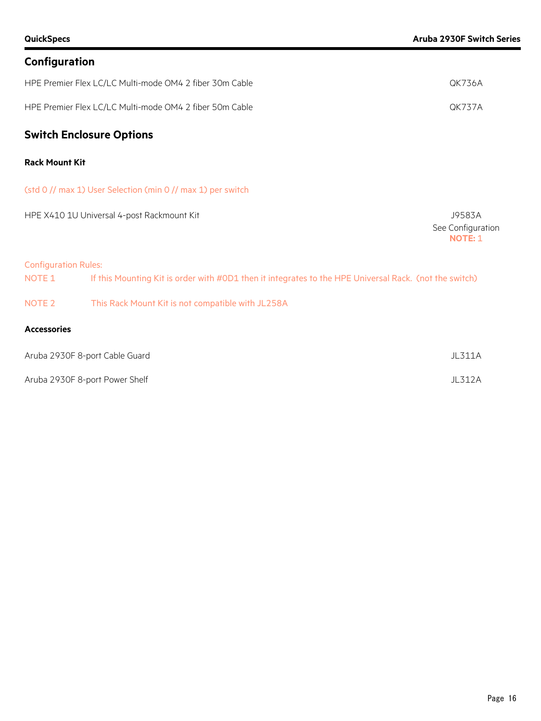|  | Configuration |
|--|---------------|
|  |               |

| HPE Premier Flex LC/LC Multi-mode OM4 2 fiber 30m Cable | OK736A |
|---------------------------------------------------------|--------|
| HPE Premier Flex LC/LC Multi-mode OM4 2 fiber 50m Cable | OK737A |

## **Switch Enclosure Options**

#### **Rack Mount Kit**

(std 0 // max 1) User Selection (min 0 // max 1) per switch

| HPE X410 1U Universal 4-post Rackmount Kit | J9583A                       |
|--------------------------------------------|------------------------------|
|                                            | See Configuration<br>NOTE: 1 |

#### Configuration Rules:

| NOTE 1 | If this Mounting Kit is order with #0D1 then it integrates to the HPE Universal Rack. (not the switch) |
|--------|--------------------------------------------------------------------------------------------------------|
|        |                                                                                                        |

#### NOTE 2 This Rack Mount Kit is not compatible with JL258A

#### **Accessories**

| Aruba 2930F 8-port Cable Guard | JL311A |
|--------------------------------|--------|
| Aruba 2930F 8-port Power Shelf | JL312A |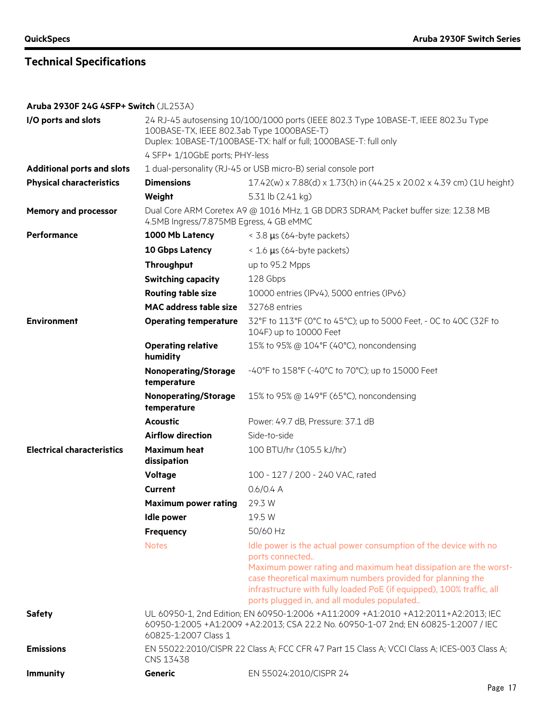**Aruba 2930F 24G 4SFP+ Switch** (JL253A)

| I/O ports and slots               |                                                                                                                                                                                                  | 24 RJ-45 autosensing 10/100/1000 ports (IEEE 802.3 Type 10BASE-T, IEEE 802.3u Type<br>100BASE-TX, IEEE 802.3ab Type 1000BASE-T)<br>Duplex: 10BASE-T/100BASE-TX: half or full; 1000BASE-T: full only                                                                                                                                           |  |
|-----------------------------------|--------------------------------------------------------------------------------------------------------------------------------------------------------------------------------------------------|-----------------------------------------------------------------------------------------------------------------------------------------------------------------------------------------------------------------------------------------------------------------------------------------------------------------------------------------------|--|
|                                   | 4 SFP+ 1/10GbE ports; PHY-less                                                                                                                                                                   |                                                                                                                                                                                                                                                                                                                                               |  |
| <b>Additional ports and slots</b> | 1 dual-personality (RJ-45 or USB micro-B) serial console port                                                                                                                                    |                                                                                                                                                                                                                                                                                                                                               |  |
| <b>Physical characteristics</b>   | <b>Dimensions</b>                                                                                                                                                                                | 17.42(w) x 7.88(d) x 1.73(h) in (44.25 x 20.02 x 4.39 cm) (1U height)                                                                                                                                                                                                                                                                         |  |
|                                   | Weight                                                                                                                                                                                           | 5.31 lb (2.41 kg)                                                                                                                                                                                                                                                                                                                             |  |
| <b>Memory and processor</b>       | 4.5MB Ingress/7.875MB Egress, 4 GB eMMC                                                                                                                                                          | Dual Core ARM Coretex A9 @ 1016 MHz, 1 GB DDR3 SDRAM; Packet buffer size: 12.38 MB                                                                                                                                                                                                                                                            |  |
| Performance                       | 1000 Mb Latency                                                                                                                                                                                  | $<$ 3.8 $\mu$ s (64-byte packets)                                                                                                                                                                                                                                                                                                             |  |
|                                   | 10 Gbps Latency                                                                                                                                                                                  | $\leq$ 1.6 µs (64-byte packets)                                                                                                                                                                                                                                                                                                               |  |
|                                   | Throughput                                                                                                                                                                                       | up to 95.2 Mpps                                                                                                                                                                                                                                                                                                                               |  |
|                                   | <b>Switching capacity</b>                                                                                                                                                                        | 128 Gbps                                                                                                                                                                                                                                                                                                                                      |  |
|                                   | <b>Routing table size</b>                                                                                                                                                                        | 10000 entries (IPv4), 5000 entries (IPv6)                                                                                                                                                                                                                                                                                                     |  |
|                                   | <b>MAC address table size</b>                                                                                                                                                                    | 32768 entries                                                                                                                                                                                                                                                                                                                                 |  |
| <b>Environment</b>                | <b>Operating temperature</b>                                                                                                                                                                     | 32°F to 113°F (0°C to 45°C); up to 5000 Feet, - 0C to 40C (32F to<br>104F) up to 10000 Feet                                                                                                                                                                                                                                                   |  |
|                                   | <b>Operating relative</b><br>humidity                                                                                                                                                            | 15% to 95% @ 104°F (40°C), noncondensing                                                                                                                                                                                                                                                                                                      |  |
|                                   | <b>Nonoperating/Storage</b><br>temperature                                                                                                                                                       | -40°F to 158°F (-40°C to 70°C); up to 15000 Feet                                                                                                                                                                                                                                                                                              |  |
|                                   | <b>Nonoperating/Storage</b><br>temperature                                                                                                                                                       | 15% to 95% @ 149°F (65°C), noncondensing                                                                                                                                                                                                                                                                                                      |  |
|                                   | <b>Acoustic</b>                                                                                                                                                                                  | Power: 49.7 dB, Pressure: 37.1 dB                                                                                                                                                                                                                                                                                                             |  |
|                                   | <b>Airflow direction</b>                                                                                                                                                                         | Side-to-side                                                                                                                                                                                                                                                                                                                                  |  |
| <b>Electrical characteristics</b> | <b>Maximum heat</b><br>dissipation                                                                                                                                                               | 100 BTU/hr (105.5 kJ/hr)                                                                                                                                                                                                                                                                                                                      |  |
|                                   | <b>Voltage</b>                                                                                                                                                                                   | 100 - 127 / 200 - 240 VAC, rated                                                                                                                                                                                                                                                                                                              |  |
|                                   | <b>Current</b>                                                                                                                                                                                   | $0.6/0.4$ A                                                                                                                                                                                                                                                                                                                                   |  |
|                                   | <b>Maximum power rating</b>                                                                                                                                                                      | 29.3 W                                                                                                                                                                                                                                                                                                                                        |  |
|                                   | Idle power                                                                                                                                                                                       | 19.5 W                                                                                                                                                                                                                                                                                                                                        |  |
|                                   | <b>Frequency</b>                                                                                                                                                                                 | 50/60 Hz                                                                                                                                                                                                                                                                                                                                      |  |
|                                   | <b>Notes</b>                                                                                                                                                                                     | Idle power is the actual power consumption of the device with no<br>ports connected<br>Maximum power rating and maximum heat dissipation are the worst-<br>case theoretical maximum numbers provided for planning the<br>infrastructure with fully loaded PoE (if equipped), 100% traffic, all<br>ports plugged in, and all modules populated |  |
| <b>Safety</b>                     | UL 60950-1, 2nd Edition; EN 60950-1:2006 +A11:2009 +A1:2010 +A12:2011+A2:2013; IEC<br>60950-1:2005 +A1:2009 +A2:2013; CSA 22.2 No. 60950-1-07 2nd; EN 60825-1:2007 / IEC<br>60825-1:2007 Class 1 |                                                                                                                                                                                                                                                                                                                                               |  |
| <b>Emissions</b>                  | EN 55022:2010/CISPR 22 Class A; FCC CFR 47 Part 15 Class A; VCCI Class A; ICES-003 Class A;<br>CNS 13438                                                                                         |                                                                                                                                                                                                                                                                                                                                               |  |
| <b>Immunity</b>                   | <b>Generic</b>                                                                                                                                                                                   | EN 55024:2010/CISPR 24                                                                                                                                                                                                                                                                                                                        |  |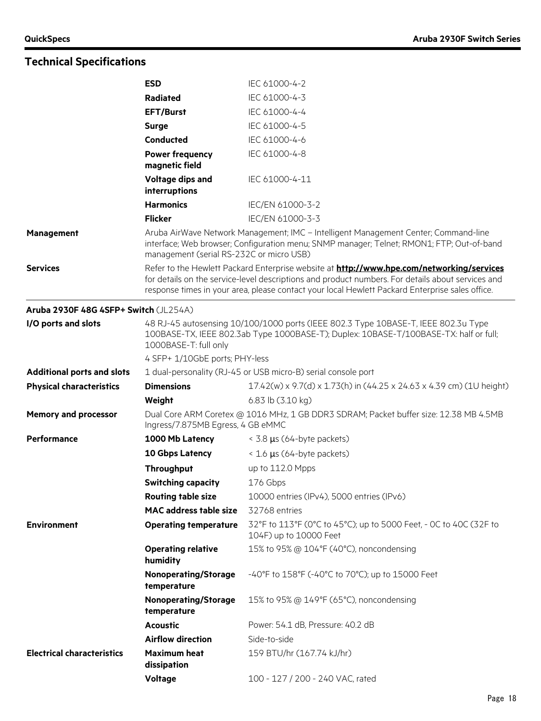|                                       | <b>ESD</b>                                                                                                                                                                                                                                                                                               | IEC 61000-4-2                                                                                                                                                                    |
|---------------------------------------|----------------------------------------------------------------------------------------------------------------------------------------------------------------------------------------------------------------------------------------------------------------------------------------------------------|----------------------------------------------------------------------------------------------------------------------------------------------------------------------------------|
|                                       | Radiated                                                                                                                                                                                                                                                                                                 | IEC 61000-4-3                                                                                                                                                                    |
|                                       | <b>EFT/Burst</b>                                                                                                                                                                                                                                                                                         | IEC 61000-4-4                                                                                                                                                                    |
|                                       | <b>Surge</b>                                                                                                                                                                                                                                                                                             | IEC 61000-4-5                                                                                                                                                                    |
|                                       | Conducted                                                                                                                                                                                                                                                                                                | IEC 61000-4-6                                                                                                                                                                    |
|                                       | <b>Power frequency</b><br>magnetic field                                                                                                                                                                                                                                                                 | IEC 61000-4-8                                                                                                                                                                    |
|                                       | Voltage dips and<br>interruptions                                                                                                                                                                                                                                                                        | IEC 61000-4-11                                                                                                                                                                   |
|                                       | <b>Harmonics</b>                                                                                                                                                                                                                                                                                         | IEC/EN 61000-3-2                                                                                                                                                                 |
|                                       | <b>Flicker</b>                                                                                                                                                                                                                                                                                           | IEC/EN 61000-3-3                                                                                                                                                                 |
| <b>Management</b>                     | management (serial RS-232C or micro USB)                                                                                                                                                                                                                                                                 | Aruba AirWave Network Management; IMC - Intelligent Management Center; Command-line<br>interface; Web browser; Configuration menu; SNMP manager; Telnet; RMON1; FTP; Out-of-band |
| <b>Services</b>                       | Refer to the Hewlett Packard Enterprise website at <b>http://www.hpe.com/networking/services</b><br>for details on the service-level descriptions and product numbers. For details about services and<br>response times in your area, please contact your local Hewlett Packard Enterprise sales office. |                                                                                                                                                                                  |
| Aruba 2930F 48G 4SFP+ Switch (JL254A) |                                                                                                                                                                                                                                                                                                          |                                                                                                                                                                                  |
| I/O ports and slots                   | 48 RJ-45 autosensing 10/100/1000 ports (IEEE 802.3 Type 10BASE-T, IEEE 802.3u Type<br>100BASE-TX, IEEE 802.3ab Type 1000BASE-T); Duplex: 10BASE-T/100BASE-TX: half or full;<br>1000BASE-T: full only                                                                                                     |                                                                                                                                                                                  |
|                                       | 4 SFP+ 1/10GbE ports; PHY-less                                                                                                                                                                                                                                                                           |                                                                                                                                                                                  |
| <b>Additional ports and slots</b>     |                                                                                                                                                                                                                                                                                                          | 1 dual-personality (RJ-45 or USB micro-B) serial console port                                                                                                                    |
| <b>Physical characteristics</b>       | <b>Dimensions</b>                                                                                                                                                                                                                                                                                        | 17.42(w) x 9.7(d) x 1.73(h) in (44.25 x 24.63 x 4.39 cm) (1U height)                                                                                                             |
|                                       | Weight                                                                                                                                                                                                                                                                                                   | 6.83 lb (3.10 kg)                                                                                                                                                                |
| <b>Memory and processor</b>           | Dual Core ARM Coretex @ 1016 MHz, 1 GB DDR3 SDRAM; Packet buffer size: 12.38 MB 4.5MB<br>Ingress/7.875MB Egress, 4 GB eMMC                                                                                                                                                                               |                                                                                                                                                                                  |
| Performance                           | 1000 Mb Latency                                                                                                                                                                                                                                                                                          | $<$ 3.8 $\mu$ s (64-byte packets)                                                                                                                                                |
|                                       | 10 Gbps Latency                                                                                                                                                                                                                                                                                          | $<$ 1.6 $\mu$ s (64-byte packets)                                                                                                                                                |
|                                       | <b>Throughput</b>                                                                                                                                                                                                                                                                                        | up to 112.0 Mpps                                                                                                                                                                 |
|                                       | <b>Switching capacity</b>                                                                                                                                                                                                                                                                                | 176 Gbps                                                                                                                                                                         |
|                                       | <b>Routing table size</b>                                                                                                                                                                                                                                                                                | 10000 entries (IPv4), 5000 entries (IPv6)                                                                                                                                        |
|                                       | <b>MAC</b> address table size                                                                                                                                                                                                                                                                            | 32768 entries                                                                                                                                                                    |
| <b>Environment</b>                    | <b>Operating temperature</b>                                                                                                                                                                                                                                                                             | 32°F to 113°F (0°C to 45°C); up to 5000 Feet, - 0C to 40C (32F to<br>104F) up to 10000 Feet                                                                                      |
|                                       | <b>Operating relative</b><br>humidity                                                                                                                                                                                                                                                                    | 15% to 95% @ 104°F (40°C), noncondensing                                                                                                                                         |
|                                       | <b>Nonoperating/Storage</b><br>temperature                                                                                                                                                                                                                                                               | -40°F to 158°F (-40°C to 70°C); up to 15000 Feet                                                                                                                                 |
|                                       | <b>Nonoperating/Storage</b><br>temperature                                                                                                                                                                                                                                                               | 15% to 95% @ 149°F (65°C), noncondensing                                                                                                                                         |
|                                       | <b>Acoustic</b>                                                                                                                                                                                                                                                                                          | Power: 54.1 dB, Pressure: 40.2 dB                                                                                                                                                |
|                                       | <b>Airflow direction</b>                                                                                                                                                                                                                                                                                 | Side-to-side                                                                                                                                                                     |
| <b>Electrical characteristics</b>     | <b>Maximum heat</b><br>dissipation                                                                                                                                                                                                                                                                       | 159 BTU/hr (167.74 kJ/hr)                                                                                                                                                        |
|                                       | <b>Voltage</b>                                                                                                                                                                                                                                                                                           | 100 - 127 / 200 - 240 VAC, rated                                                                                                                                                 |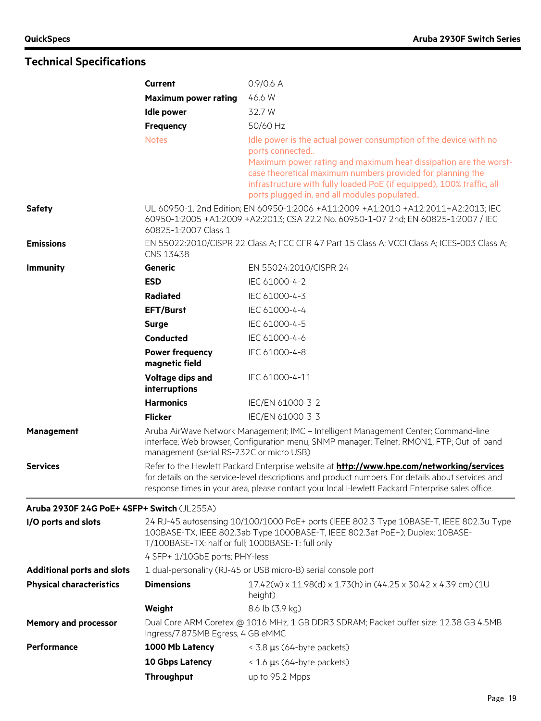|                                            | <b>Current</b>                                    | $0.9/0.6$ A                                                                                                                                                                                                                                                                                                                                   |
|--------------------------------------------|---------------------------------------------------|-----------------------------------------------------------------------------------------------------------------------------------------------------------------------------------------------------------------------------------------------------------------------------------------------------------------------------------------------|
|                                            | <b>Maximum power rating</b>                       | 46.6 W                                                                                                                                                                                                                                                                                                                                        |
|                                            | <b>Idle power</b>                                 | 32.7 W                                                                                                                                                                                                                                                                                                                                        |
|                                            | Frequency                                         | 50/60 Hz                                                                                                                                                                                                                                                                                                                                      |
|                                            | <b>Notes</b>                                      | Idle power is the actual power consumption of the device with no<br>ports connected<br>Maximum power rating and maximum heat dissipation are the worst-<br>case theoretical maximum numbers provided for planning the<br>infrastructure with fully loaded PoE (if equipped), 100% traffic, all<br>ports plugged in, and all modules populated |
| <b>Safety</b>                              | 60825-1:2007 Class 1                              | UL 60950-1, 2nd Edition; EN 60950-1:2006 +A11:2009 +A1:2010 +A12:2011+A2:2013; IEC<br>60950-1:2005 +A1:2009 +A2:2013; CSA 22.2 No. 60950-1-07 2nd; EN 60825-1:2007 / IEC                                                                                                                                                                      |
| <b>Emissions</b>                           | CNS 13438                                         | EN 55022:2010/CISPR 22 Class A; FCC CFR 47 Part 15 Class A; VCCI Class A; ICES-003 Class A;                                                                                                                                                                                                                                                   |
| <b>Immunity</b>                            | Generic                                           | EN 55024:2010/CISPR 24                                                                                                                                                                                                                                                                                                                        |
|                                            | <b>ESD</b>                                        | IEC 61000-4-2                                                                                                                                                                                                                                                                                                                                 |
|                                            | Radiated                                          | IEC 61000-4-3                                                                                                                                                                                                                                                                                                                                 |
|                                            | <b>EFT/Burst</b>                                  | IEC 61000-4-4                                                                                                                                                                                                                                                                                                                                 |
|                                            | <b>Surge</b>                                      | IEC 61000-4-5                                                                                                                                                                                                                                                                                                                                 |
|                                            | Conducted                                         | IEC 61000-4-6                                                                                                                                                                                                                                                                                                                                 |
|                                            | <b>Power frequency</b><br>magnetic field          | IEC 61000-4-8                                                                                                                                                                                                                                                                                                                                 |
|                                            | Voltage dips and<br>interruptions                 | IEC 61000-4-11                                                                                                                                                                                                                                                                                                                                |
|                                            | <b>Harmonics</b>                                  | IEC/EN 61000-3-2                                                                                                                                                                                                                                                                                                                              |
|                                            | <b>Flicker</b>                                    | IEC/EN 61000-3-3                                                                                                                                                                                                                                                                                                                              |
| Management                                 | management (serial RS-232C or micro USB)          | Aruba AirWave Network Management; IMC - Intelligent Management Center; Command-line<br>interface; Web browser; Configuration menu; SNMP manager; Telnet; RMON1; FTP; Out-of-band                                                                                                                                                              |
| <b>Services</b>                            |                                                   | Refer to the Hewlett Packard Enterprise website at <b>http://www.hpe.com/networking/services</b><br>for details on the service-level descriptions and product numbers. For details about services and<br>response times in your area, please contact your local Hewlett Packard Enterprise sales office.                                      |
| Aruba 2930F 24G PoE+ 4SFP+ Switch (JL255A) |                                                   |                                                                                                                                                                                                                                                                                                                                               |
| I/O ports and slots                        | T/100BASE-TX: half or full; 1000BASE-T: full only | 24 RJ-45 autosensing 10/100/1000 PoE+ ports (IEEE 802.3 Type 10BASE-T, IEEE 802.3u Type<br>100BASE-TX, IEEE 802.3ab Type 1000BASE-T, IEEE 802.3at PoE+); Duplex: 10BASE-                                                                                                                                                                      |
|                                            | 4 SFP+ 1/10GbE ports; PHY-less                    |                                                                                                                                                                                                                                                                                                                                               |
| <b>Additional ports and slots</b>          |                                                   | 1 dual-personality (RJ-45 or USB micro-B) serial console port                                                                                                                                                                                                                                                                                 |
| <b>Physical characteristics</b>            | <b>Dimensions</b>                                 | 17.42(w) x 11.98(d) x 1.73(h) in (44.25 x 30.42 x 4.39 cm) (1U<br>height)                                                                                                                                                                                                                                                                     |
|                                            | Weight                                            | 8.6 lb (3.9 kg)                                                                                                                                                                                                                                                                                                                               |
| <b>Memory and processor</b>                | Ingress/7.875MB Egress, 4 GB eMMC                 | Dual Core ARM Coretex @ 1016 MHz, 1 GB DDR3 SDRAM; Packet buffer size: 12.38 GB 4.5MB                                                                                                                                                                                                                                                         |
| Performance                                | 1000 Mb Latency                                   | $<$ 3.8 $\mu$ s (64-byte packets)                                                                                                                                                                                                                                                                                                             |
|                                            | 10 Gbps Latency                                   | < 1.6 µs (64-byte packets)                                                                                                                                                                                                                                                                                                                    |
|                                            | Throughput                                        | up to 95.2 Mpps                                                                                                                                                                                                                                                                                                                               |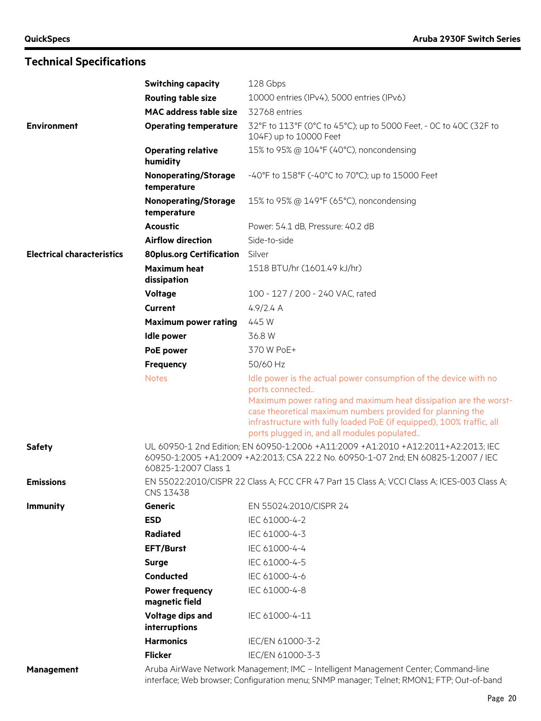|                                   | <b>Switching capacity</b>                                                                                                                                                        | 128 Gbps                                                                                                                                                                                                                                                                                                                                      |
|-----------------------------------|----------------------------------------------------------------------------------------------------------------------------------------------------------------------------------|-----------------------------------------------------------------------------------------------------------------------------------------------------------------------------------------------------------------------------------------------------------------------------------------------------------------------------------------------|
|                                   | <b>Routing table size</b>                                                                                                                                                        | 10000 entries (IPv4), 5000 entries (IPv6)                                                                                                                                                                                                                                                                                                     |
|                                   | <b>MAC</b> address table size                                                                                                                                                    | 32768 entries                                                                                                                                                                                                                                                                                                                                 |
| <b>Environment</b>                | <b>Operating temperature</b>                                                                                                                                                     | 32°F to 113°F (0°C to 45°C); up to 5000 Feet, - 0C to 40C (32F to<br>104F) up to 10000 Feet                                                                                                                                                                                                                                                   |
|                                   | <b>Operating relative</b><br>humidity                                                                                                                                            | 15% to 95% @ 104°F (40°C), noncondensing                                                                                                                                                                                                                                                                                                      |
|                                   | <b>Nonoperating/Storage</b><br>temperature                                                                                                                                       | -40°F to 158°F (-40°C to 70°C); up to 15000 Feet                                                                                                                                                                                                                                                                                              |
|                                   | <b>Nonoperating/Storage</b><br>temperature                                                                                                                                       | 15% to 95% @ 149°F (65°C), noncondensing                                                                                                                                                                                                                                                                                                      |
|                                   | <b>Acoustic</b>                                                                                                                                                                  | Power: 54.1 dB, Pressure: 40.2 dB                                                                                                                                                                                                                                                                                                             |
|                                   | <b>Airflow direction</b>                                                                                                                                                         | Side-to-side                                                                                                                                                                                                                                                                                                                                  |
| <b>Electrical characteristics</b> | <b>80plus.org Certification</b>                                                                                                                                                  | Silver                                                                                                                                                                                                                                                                                                                                        |
|                                   | <b>Maximum heat</b><br>dissipation                                                                                                                                               | 1518 BTU/hr (1601.49 kJ/hr)                                                                                                                                                                                                                                                                                                                   |
|                                   | Voltage                                                                                                                                                                          | 100 - 127 / 200 - 240 VAC, rated                                                                                                                                                                                                                                                                                                              |
|                                   | <b>Current</b>                                                                                                                                                                   | 4.9/2.4 A                                                                                                                                                                                                                                                                                                                                     |
|                                   | <b>Maximum power rating</b>                                                                                                                                                      | 445 W                                                                                                                                                                                                                                                                                                                                         |
|                                   | <b>Idle power</b>                                                                                                                                                                | 36.8 W                                                                                                                                                                                                                                                                                                                                        |
|                                   | PoE power                                                                                                                                                                        | 370 W PoE+                                                                                                                                                                                                                                                                                                                                    |
|                                   | <b>Frequency</b>                                                                                                                                                                 | 50/60 Hz                                                                                                                                                                                                                                                                                                                                      |
|                                   | <b>Notes</b>                                                                                                                                                                     | Idle power is the actual power consumption of the device with no<br>ports connected<br>Maximum power rating and maximum heat dissipation are the worst-<br>case theoretical maximum numbers provided for planning the<br>infrastructure with fully loaded PoE (if equipped), 100% traffic, all<br>ports plugged in, and all modules populated |
| <b>Safety</b>                     | 60825-1:2007 Class 1                                                                                                                                                             | UL 60950-1 2nd Edition; EN 60950-1:2006 +A11:2009 +A1:2010 +A12:2011+A2:2013; IEC<br>60950-1:2005 +A1:2009 +A2:2013; CSA 22.2 No. 60950-1-07 2nd; EN 60825-1:2007 / IEC                                                                                                                                                                       |
| <b>Emissions</b>                  | EN 55022:2010/CISPR 22 Class A; FCC CFR 47 Part 15 Class A; VCCI Class A; ICES-003 Class A;<br>CNS 13438                                                                         |                                                                                                                                                                                                                                                                                                                                               |
| <b>Immunity</b>                   | <b>Generic</b>                                                                                                                                                                   | EN 55024:2010/CISPR 24                                                                                                                                                                                                                                                                                                                        |
|                                   | <b>ESD</b>                                                                                                                                                                       | IEC 61000-4-2                                                                                                                                                                                                                                                                                                                                 |
|                                   | Radiated                                                                                                                                                                         | IEC 61000-4-3                                                                                                                                                                                                                                                                                                                                 |
|                                   | <b>EFT/Burst</b>                                                                                                                                                                 | IEC 61000-4-4                                                                                                                                                                                                                                                                                                                                 |
|                                   | <b>Surge</b>                                                                                                                                                                     | IEC 61000-4-5                                                                                                                                                                                                                                                                                                                                 |
|                                   | <b>Conducted</b>                                                                                                                                                                 | IEC 61000-4-6                                                                                                                                                                                                                                                                                                                                 |
|                                   | <b>Power frequency</b><br>magnetic field                                                                                                                                         | IEC 61000-4-8                                                                                                                                                                                                                                                                                                                                 |
|                                   | <b>Voltage dips and</b><br>interruptions                                                                                                                                         | IEC 61000-4-11                                                                                                                                                                                                                                                                                                                                |
|                                   | <b>Harmonics</b>                                                                                                                                                                 | IEC/EN 61000-3-2                                                                                                                                                                                                                                                                                                                              |
|                                   | <b>Flicker</b>                                                                                                                                                                   | IEC/EN 61000-3-3                                                                                                                                                                                                                                                                                                                              |
| <b>Management</b>                 | Aruba AirWave Network Management; IMC - Intelligent Management Center; Command-line<br>interface; Web browser; Configuration menu; SNMP manager; Telnet; RMON1; FTP; Out-of-band |                                                                                                                                                                                                                                                                                                                                               |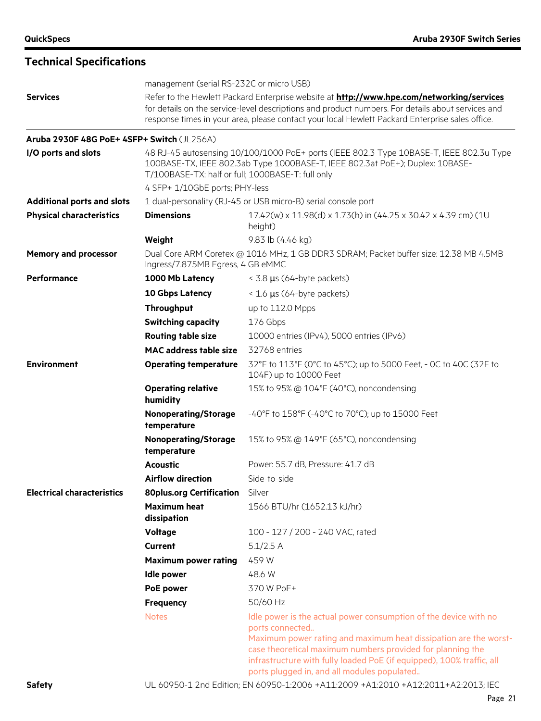|                                            | management (serial RS-232C or micro USB)<br>Refer to the Hewlett Packard Enterprise website at <b>http://www.hpe.com/networking/services</b><br>for details on the service-level descriptions and product numbers. For details about services and<br>response times in your area, please contact your local Hewlett Packard Enterprise sales office. |                                                                                                                                                                                                                                                                                                                                               |
|--------------------------------------------|------------------------------------------------------------------------------------------------------------------------------------------------------------------------------------------------------------------------------------------------------------------------------------------------------------------------------------------------------|-----------------------------------------------------------------------------------------------------------------------------------------------------------------------------------------------------------------------------------------------------------------------------------------------------------------------------------------------|
| <b>Services</b>                            |                                                                                                                                                                                                                                                                                                                                                      |                                                                                                                                                                                                                                                                                                                                               |
| Aruba 2930F 48G PoE+ 4SFP+ Switch (JL256A) |                                                                                                                                                                                                                                                                                                                                                      |                                                                                                                                                                                                                                                                                                                                               |
| I/O ports and slots                        | T/100BASE-TX: half or full; 1000BASE-T: full only                                                                                                                                                                                                                                                                                                    | 48 RJ-45 autosensing 10/100/1000 PoE+ ports (IEEE 802.3 Type 10BASE-T, IEEE 802.3u Type<br>100BASE-TX, IEEE 802.3ab Type 1000BASE-T, IEEE 802.3at PoE+); Duplex: 10BASE-                                                                                                                                                                      |
|                                            | 4 SFP+ 1/10GbE ports; PHY-less                                                                                                                                                                                                                                                                                                                       |                                                                                                                                                                                                                                                                                                                                               |
| <b>Additional ports and slots</b>          |                                                                                                                                                                                                                                                                                                                                                      | 1 dual-personality (RJ-45 or USB micro-B) serial console port                                                                                                                                                                                                                                                                                 |
| <b>Physical characteristics</b>            | <b>Dimensions</b>                                                                                                                                                                                                                                                                                                                                    | 17.42(w) x 11.98(d) x 1.73(h) in (44.25 x 30.42 x 4.39 cm) (1U<br>height)                                                                                                                                                                                                                                                                     |
|                                            | Weight                                                                                                                                                                                                                                                                                                                                               | 9.83 lb (4.46 kg)                                                                                                                                                                                                                                                                                                                             |
| <b>Memory and processor</b>                | Ingress/7.875MB Egress, 4 GB eMMC                                                                                                                                                                                                                                                                                                                    | Dual Core ARM Coretex @ 1016 MHz, 1 GB DDR3 SDRAM; Packet buffer size: 12.38 MB 4.5MB                                                                                                                                                                                                                                                         |
| <b>Performance</b>                         | 1000 Mb Latency                                                                                                                                                                                                                                                                                                                                      | < 3.8 µs (64-byte packets)                                                                                                                                                                                                                                                                                                                    |
|                                            | 10 Gbps Latency                                                                                                                                                                                                                                                                                                                                      | < 1.6 µs (64-byte packets)                                                                                                                                                                                                                                                                                                                    |
|                                            | <b>Throughput</b>                                                                                                                                                                                                                                                                                                                                    | up to 112.0 Mpps                                                                                                                                                                                                                                                                                                                              |
|                                            | <b>Switching capacity</b>                                                                                                                                                                                                                                                                                                                            | 176 Gbps                                                                                                                                                                                                                                                                                                                                      |
|                                            | <b>Routing table size</b>                                                                                                                                                                                                                                                                                                                            | 10000 entries (IPv4), 5000 entries (IPv6)                                                                                                                                                                                                                                                                                                     |
|                                            | <b>MAC</b> address table size                                                                                                                                                                                                                                                                                                                        | 32768 entries                                                                                                                                                                                                                                                                                                                                 |
| <b>Environment</b>                         | <b>Operating temperature</b>                                                                                                                                                                                                                                                                                                                         | 32°F to 113°F (0°C to 45°C); up to 5000 Feet, - 0C to 40C (32F to<br>104F) up to 10000 Feet                                                                                                                                                                                                                                                   |
|                                            | <b>Operating relative</b><br>humidity                                                                                                                                                                                                                                                                                                                | 15% to 95% @ 104°F (40°C), noncondensing                                                                                                                                                                                                                                                                                                      |
|                                            | <b>Nonoperating/Storage</b><br>temperature                                                                                                                                                                                                                                                                                                           | -40°F to 158°F (-40°C to 70°C); up to 15000 Feet                                                                                                                                                                                                                                                                                              |
|                                            | <b>Nonoperating/Storage</b><br>temperature                                                                                                                                                                                                                                                                                                           | 15% to 95% @ 149°F (65°C), noncondensing                                                                                                                                                                                                                                                                                                      |
|                                            | <b>Acoustic</b>                                                                                                                                                                                                                                                                                                                                      | Power: 55.7 dB, Pressure: 41.7 dB                                                                                                                                                                                                                                                                                                             |
|                                            | <b>Airflow direction</b>                                                                                                                                                                                                                                                                                                                             | Side-to-side                                                                                                                                                                                                                                                                                                                                  |
| <b>Electrical characteristics</b>          | <b>80plus.org Certification</b>                                                                                                                                                                                                                                                                                                                      | Silver                                                                                                                                                                                                                                                                                                                                        |
|                                            | <b>Maximum heat</b><br>dissipation                                                                                                                                                                                                                                                                                                                   | 1566 BTU/hr (1652.13 kJ/hr)                                                                                                                                                                                                                                                                                                                   |
|                                            | <b>Voltage</b>                                                                                                                                                                                                                                                                                                                                       | 100 - 127 / 200 - 240 VAC, rated                                                                                                                                                                                                                                                                                                              |
|                                            | <b>Current</b>                                                                                                                                                                                                                                                                                                                                       | 5.1/2.5 A                                                                                                                                                                                                                                                                                                                                     |
|                                            | <b>Maximum power rating</b>                                                                                                                                                                                                                                                                                                                          | 459 W                                                                                                                                                                                                                                                                                                                                         |
|                                            | <b>Idle power</b>                                                                                                                                                                                                                                                                                                                                    | 48.6 W                                                                                                                                                                                                                                                                                                                                        |
|                                            | PoE power                                                                                                                                                                                                                                                                                                                                            | 370 W PoE+                                                                                                                                                                                                                                                                                                                                    |
|                                            | Frequency                                                                                                                                                                                                                                                                                                                                            | 50/60 Hz                                                                                                                                                                                                                                                                                                                                      |
|                                            | <b>Notes</b>                                                                                                                                                                                                                                                                                                                                         | Idle power is the actual power consumption of the device with no<br>ports connected<br>Maximum power rating and maximum heat dissipation are the worst-<br>case theoretical maximum numbers provided for planning the<br>infrastructure with fully loaded PoE (if equipped), 100% traffic, all<br>ports plugged in, and all modules populated |

**Safety** UL 60950-1 2nd Edition; EN 60950-1:2006 +A11:2009 +A1:2010 +A12:2011+A2:2013; IEC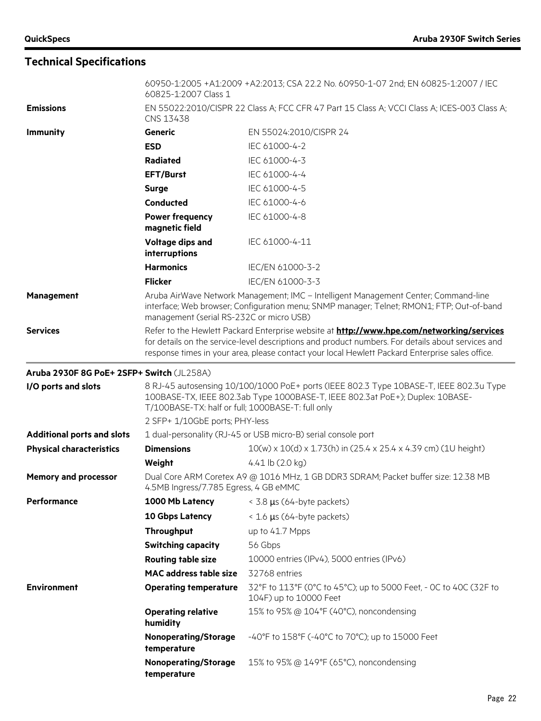|                                           | 60825-1:2007 Class 1                                                                                                                                                                                                                                                                              | 60950-1:2005 +A1:2009 +A2:2013; CSA 22.2 No. 60950-1-07 2nd; EN 60825-1:2007 / IEC          |
|-------------------------------------------|---------------------------------------------------------------------------------------------------------------------------------------------------------------------------------------------------------------------------------------------------------------------------------------------------|---------------------------------------------------------------------------------------------|
| <b>Emissions</b>                          | EN 55022:2010/CISPR 22 Class A; FCC CFR 47 Part 15 Class A; VCCI Class A; ICES-003 Class A;<br>CNS 13438                                                                                                                                                                                          |                                                                                             |
| <b>Immunity</b>                           | Generic                                                                                                                                                                                                                                                                                           | EN 55024:2010/CISPR 24                                                                      |
|                                           | <b>ESD</b>                                                                                                                                                                                                                                                                                        | IEC 61000-4-2                                                                               |
|                                           | <b>Radiated</b>                                                                                                                                                                                                                                                                                   | IEC 61000-4-3                                                                               |
|                                           | <b>EFT/Burst</b>                                                                                                                                                                                                                                                                                  | IEC 61000-4-4                                                                               |
|                                           | <b>Surge</b>                                                                                                                                                                                                                                                                                      | IEC 61000-4-5                                                                               |
|                                           | <b>Conducted</b>                                                                                                                                                                                                                                                                                  | IEC 61000-4-6                                                                               |
|                                           | <b>Power frequency</b><br>magnetic field                                                                                                                                                                                                                                                          | IEC 61000-4-8                                                                               |
|                                           | Voltage dips and<br>interruptions                                                                                                                                                                                                                                                                 | IEC 61000-4-11                                                                              |
|                                           | <b>Harmonics</b>                                                                                                                                                                                                                                                                                  | IEC/EN 61000-3-2                                                                            |
|                                           | <b>Flicker</b>                                                                                                                                                                                                                                                                                    | IEC/EN 61000-3-3                                                                            |
| Management                                | Aruba AirWave Network Management; IMC - Intelligent Management Center; Command-line<br>interface; Web browser; Configuration menu; SNMP manager; Telnet; RMON1; FTP; Out-of-band<br>management (serial RS-232C or micro USB)                                                                      |                                                                                             |
| <b>Services</b>                           | Refer to the Hewlett Packard Enterprise website at http://www.hpe.com/networking/services<br>for details on the service-level descriptions and product numbers. For details about services and<br>response times in your area, please contact your local Hewlett Packard Enterprise sales office. |                                                                                             |
| Aruba 2930F 8G PoE+ 2SFP+ Switch (JL258A) |                                                                                                                                                                                                                                                                                                   |                                                                                             |
| I/O ports and slots                       | 8 RJ-45 autosensing 10/100/1000 PoE+ ports (IEEE 802.3 Type 10BASE-T, IEEE 802.3u Type<br>100BASE-TX, IEEE 802.3ab Type 1000BASE-T, IEEE 802.3at PoE+); Duplex: 10BASE-<br>T/100BASE-TX: half or full; 1000BASE-T: full only                                                                      |                                                                                             |
|                                           | 2 SFP+ 1/10GbE ports; PHY-less                                                                                                                                                                                                                                                                    |                                                                                             |
| <b>Additional ports and slots</b>         | 1 dual-personality (RJ-45 or USB micro-B) serial console port                                                                                                                                                                                                                                     |                                                                                             |
| <b>Physical characteristics</b>           | <b>Dimensions</b>                                                                                                                                                                                                                                                                                 | 10(w) x 10(d) x 1.73(h) in (25.4 x 25.4 x 4.39 cm) (1U height)                              |
|                                           | Weight                                                                                                                                                                                                                                                                                            | 4.41 $\vert$ b (2.0 kg)                                                                     |
| <b>Memory and processor</b>               | Dual Core ARM Coretex A9 @ 1016 MHz, 1 GB DDR3 SDRAM; Packet buffer size: 12.38 MB<br>4.5MB Ingress/7.785 Egress, 4 GB eMMC                                                                                                                                                                       |                                                                                             |
| Performance                               | 1000 Mb Latency                                                                                                                                                                                                                                                                                   | < 3.8 µs (64-byte packets)                                                                  |
|                                           | 10 Gbps Latency                                                                                                                                                                                                                                                                                   | $\leq$ 1.6 µs (64-byte packets)                                                             |
|                                           | Throughput                                                                                                                                                                                                                                                                                        | up to 41.7 Mpps                                                                             |
|                                           | <b>Switching capacity</b>                                                                                                                                                                                                                                                                         | 56 Gbps                                                                                     |
|                                           | <b>Routing table size</b>                                                                                                                                                                                                                                                                         | 10000 entries (IPv4), 5000 entries (IPv6)                                                   |
|                                           | <b>MAC</b> address table size                                                                                                                                                                                                                                                                     | 32768 entries                                                                               |
| <b>Environment</b>                        | <b>Operating temperature</b>                                                                                                                                                                                                                                                                      | 32°F to 113°F (0°C to 45°C); up to 5000 Feet, - 0C to 40C (32F to<br>104F) up to 10000 Feet |
|                                           | <b>Operating relative</b><br>humidity                                                                                                                                                                                                                                                             | 15% to 95% @ 104°F (40°C), noncondensing                                                    |
|                                           | <b>Nonoperating/Storage</b><br>temperature                                                                                                                                                                                                                                                        | -40°F to 158°F (-40°C to 70°C); up to 15000 Feet                                            |
|                                           | <b>Nonoperating/Storage</b><br>temperature                                                                                                                                                                                                                                                        | 15% to 95% @ 149°F (65°C), noncondensing                                                    |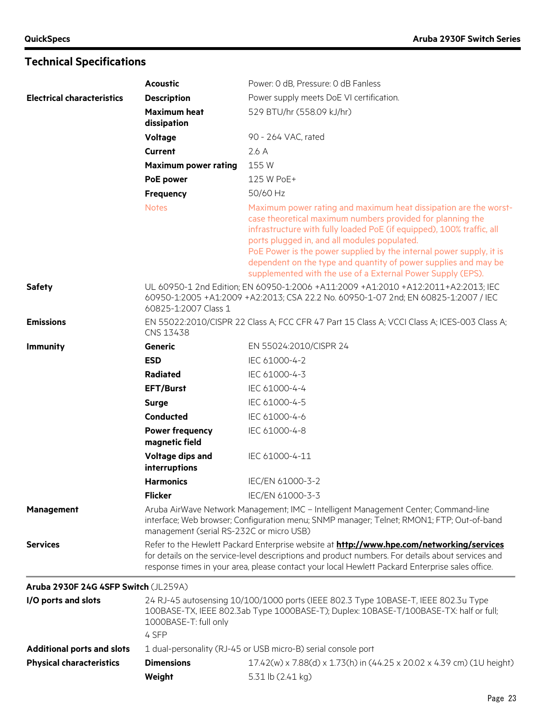|                                      | <b>Acoustic</b>                                                                                                                                                                                                                                                                                   | Power: 0 dB, Pressure: 0 dB Fanless                                                                                                                                                                                                                                                                                                                                                                                                                              |
|--------------------------------------|---------------------------------------------------------------------------------------------------------------------------------------------------------------------------------------------------------------------------------------------------------------------------------------------------|------------------------------------------------------------------------------------------------------------------------------------------------------------------------------------------------------------------------------------------------------------------------------------------------------------------------------------------------------------------------------------------------------------------------------------------------------------------|
| <b>Electrical characteristics</b>    | <b>Description</b>                                                                                                                                                                                                                                                                                | Power supply meets DoE VI certification.                                                                                                                                                                                                                                                                                                                                                                                                                         |
|                                      | <b>Maximum heat</b><br>dissipation                                                                                                                                                                                                                                                                | 529 BTU/hr (558.09 kJ/hr)                                                                                                                                                                                                                                                                                                                                                                                                                                        |
|                                      | Voltage                                                                                                                                                                                                                                                                                           | 90 - 264 VAC, rated                                                                                                                                                                                                                                                                                                                                                                                                                                              |
|                                      | <b>Current</b>                                                                                                                                                                                                                                                                                    | 2.6A                                                                                                                                                                                                                                                                                                                                                                                                                                                             |
|                                      | <b>Maximum power rating</b>                                                                                                                                                                                                                                                                       | 155W                                                                                                                                                                                                                                                                                                                                                                                                                                                             |
|                                      | <b>PoE</b> power                                                                                                                                                                                                                                                                                  | 125 W PoE+                                                                                                                                                                                                                                                                                                                                                                                                                                                       |
|                                      | Frequency                                                                                                                                                                                                                                                                                         | 50/60 Hz                                                                                                                                                                                                                                                                                                                                                                                                                                                         |
|                                      | <b>Notes</b>                                                                                                                                                                                                                                                                                      | Maximum power rating and maximum heat dissipation are the worst-<br>case theoretical maximum numbers provided for planning the<br>infrastructure with fully loaded PoE (if equipped), 100% traffic, all<br>ports plugged in, and all modules populated.<br>PoE Power is the power supplied by the internal power supply, it is<br>dependent on the type and quantity of power supplies and may be<br>supplemented with the use of a External Power Supply (EPS). |
| <b>Safety</b>                        | UL 60950-1 2nd Edition: EN 60950-1:2006 +A11:2009 +A1:2010 +A12:2011+A2:2013; IEC<br>60950-1:2005 +A1:2009 +A2:2013; CSA 22.2 No. 60950-1-07 2nd; EN 60825-1:2007 / IEC<br>60825-1:2007 Class 1                                                                                                   |                                                                                                                                                                                                                                                                                                                                                                                                                                                                  |
| <b>Emissions</b>                     | EN 55022:2010/CISPR 22 Class A; FCC CFR 47 Part 15 Class A; VCCI Class A; ICES-003 Class A;<br>CNS 13438                                                                                                                                                                                          |                                                                                                                                                                                                                                                                                                                                                                                                                                                                  |
| <b>Immunity</b>                      | Generic                                                                                                                                                                                                                                                                                           | EN 55024:2010/CISPR 24                                                                                                                                                                                                                                                                                                                                                                                                                                           |
|                                      | <b>ESD</b>                                                                                                                                                                                                                                                                                        | IEC 61000-4-2                                                                                                                                                                                                                                                                                                                                                                                                                                                    |
|                                      | Radiated                                                                                                                                                                                                                                                                                          | IEC 61000-4-3                                                                                                                                                                                                                                                                                                                                                                                                                                                    |
|                                      | <b>EFT/Burst</b>                                                                                                                                                                                                                                                                                  | IEC 61000-4-4                                                                                                                                                                                                                                                                                                                                                                                                                                                    |
|                                      | <b>Surge</b>                                                                                                                                                                                                                                                                                      | IEC 61000-4-5                                                                                                                                                                                                                                                                                                                                                                                                                                                    |
|                                      | <b>Conducted</b>                                                                                                                                                                                                                                                                                  | IEC 61000-4-6                                                                                                                                                                                                                                                                                                                                                                                                                                                    |
|                                      | <b>Power frequency</b><br>magnetic field                                                                                                                                                                                                                                                          | IEC 61000-4-8                                                                                                                                                                                                                                                                                                                                                                                                                                                    |
|                                      | Voltage dips and<br>interruptions                                                                                                                                                                                                                                                                 | IEC 61000-4-11                                                                                                                                                                                                                                                                                                                                                                                                                                                   |
|                                      | <b>Harmonics</b>                                                                                                                                                                                                                                                                                  | IEC/EN 61000-3-2                                                                                                                                                                                                                                                                                                                                                                                                                                                 |
|                                      | <b>Flicker</b>                                                                                                                                                                                                                                                                                    | IEC/EN 61000-3-3                                                                                                                                                                                                                                                                                                                                                                                                                                                 |
| Management                           | Aruba AirWave Network Management; IMC - Intelligent Management Center; Command-line<br>interface; Web browser; Configuration menu; SNMP manager; Telnet; RMON1; FTP; Out-of-band<br>management (serial RS-232C or micro USB)                                                                      |                                                                                                                                                                                                                                                                                                                                                                                                                                                                  |
| <b>Services</b>                      | Refer to the Hewlett Packard Enterprise website at http://www.hpe.com/networking/services<br>for details on the service-level descriptions and product numbers. For details about services and<br>response times in your area, please contact your local Hewlett Packard Enterprise sales office. |                                                                                                                                                                                                                                                                                                                                                                                                                                                                  |
| Aruba 2930F 24G 4SFP Switch (JL259A) |                                                                                                                                                                                                                                                                                                   |                                                                                                                                                                                                                                                                                                                                                                                                                                                                  |
| I/O ports and slots                  | 1000BASE-T: full only<br>4 SFP                                                                                                                                                                                                                                                                    | 24 RJ-45 autosensing 10/100/1000 ports (IEEE 802.3 Type 10BASE-T, IEEE 802.3u Type<br>100BASE-TX, IEEE 802.3ab Type 1000BASE-T); Duplex: 10BASE-T/100BASE-TX: half or full;                                                                                                                                                                                                                                                                                      |
| <b>Additional ports and slots</b>    |                                                                                                                                                                                                                                                                                                   | 1 dual-personality (RJ-45 or USB micro-B) serial console port                                                                                                                                                                                                                                                                                                                                                                                                    |

**Physical characteristics Dimensions** 17.42(w) x 7.88(d) x 1.73(h) in (44.25 x 20.02 x 4.39 cm) (1U height)

**Weight** 5.31 lb (2.41 kg)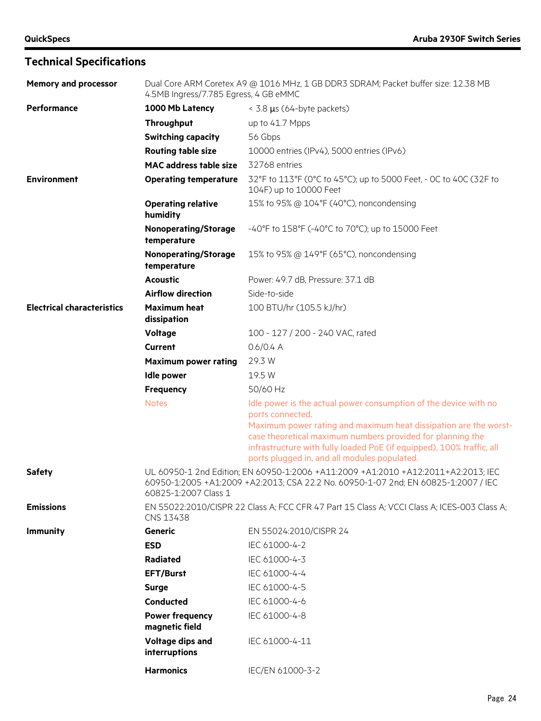| <b>Memory and processor</b>       | Dual Core ARM Coretex A9 @ 1016 MHz, 1 GB DDR3 SDRAM; Packet buffer size: 12.38 MB<br>4.5MB Ingress/7.785 Egress, 4 GB eMMC                                                                     |                                                                                                                                                                                                                                                                                                                                                 |  |
|-----------------------------------|-------------------------------------------------------------------------------------------------------------------------------------------------------------------------------------------------|-------------------------------------------------------------------------------------------------------------------------------------------------------------------------------------------------------------------------------------------------------------------------------------------------------------------------------------------------|--|
| <b>Performance</b>                | 1000 Mb Latency                                                                                                                                                                                 | < 3.8 µs (64-byte packets)                                                                                                                                                                                                                                                                                                                      |  |
|                                   | Throughput                                                                                                                                                                                      | up to 41.7 Mpps                                                                                                                                                                                                                                                                                                                                 |  |
|                                   | <b>Switching capacity</b>                                                                                                                                                                       | 56 Gbps                                                                                                                                                                                                                                                                                                                                         |  |
|                                   | <b>Routing table size</b>                                                                                                                                                                       | 10000 entries (IPv4), 5000 entries (IPv6)                                                                                                                                                                                                                                                                                                       |  |
|                                   | <b>MAC</b> address table size                                                                                                                                                                   | 32768 entries                                                                                                                                                                                                                                                                                                                                   |  |
| <b>Environment</b>                | <b>Operating temperature</b>                                                                                                                                                                    | 32°F to 113°F (0°C to 45°C); up to 5000 Feet, - 0C to 40C (32F to<br>104F) up to 10000 Feet                                                                                                                                                                                                                                                     |  |
|                                   | <b>Operating relative</b><br>humidity                                                                                                                                                           | 15% to 95% @ 104°F (40°C), noncondensing                                                                                                                                                                                                                                                                                                        |  |
|                                   | <b>Nonoperating/Storage</b><br>temperature                                                                                                                                                      | -40°F to 158°F (-40°C to 70°C); up to 15000 Feet                                                                                                                                                                                                                                                                                                |  |
|                                   | <b>Nonoperating/Storage</b><br>temperature                                                                                                                                                      | 15% to 95% @ 149°F (65°C), noncondensing                                                                                                                                                                                                                                                                                                        |  |
|                                   | <b>Acoustic</b>                                                                                                                                                                                 | Power: 49.7 dB, Pressure: 37.1 dB                                                                                                                                                                                                                                                                                                               |  |
|                                   | <b>Airflow direction</b>                                                                                                                                                                        | Side-to-side                                                                                                                                                                                                                                                                                                                                    |  |
| <b>Electrical characteristics</b> | <b>Maximum heat</b><br>dissipation                                                                                                                                                              | 100 BTU/hr (105.5 kJ/hr)                                                                                                                                                                                                                                                                                                                        |  |
|                                   | <b>Voltage</b>                                                                                                                                                                                  | 100 - 127 / 200 - 240 VAC, rated                                                                                                                                                                                                                                                                                                                |  |
|                                   | <b>Current</b>                                                                                                                                                                                  | 0.6/0.4 A                                                                                                                                                                                                                                                                                                                                       |  |
|                                   | <b>Maximum power rating</b>                                                                                                                                                                     | 29.3 W                                                                                                                                                                                                                                                                                                                                          |  |
|                                   | <b>Idle power</b>                                                                                                                                                                               | 19.5 W                                                                                                                                                                                                                                                                                                                                          |  |
|                                   | Frequency                                                                                                                                                                                       | 50/60 Hz                                                                                                                                                                                                                                                                                                                                        |  |
|                                   | <b>Notes</b>                                                                                                                                                                                    | Idle power is the actual power consumption of the device with no<br>ports connected.<br>Maximum power rating and maximum heat dissipation are the worst-<br>case theoretical maximum numbers provided for planning the<br>infrastructure with fully loaded PoE (if equipped), 100% traffic, all<br>ports plugged in, and all modules populated. |  |
| <b>Safety</b>                     | UL 60950-1 2nd Edition; EN 60950-1:2006 +A11:2009 +A1:2010 +A12:2011+A2:2013; IEC<br>60950-1:2005 +A1:2009 +A2:2013; CSA 22.2 No. 60950-1-07 2nd; EN 60825-1:2007 / IEC<br>60825-1:2007 Class 1 |                                                                                                                                                                                                                                                                                                                                                 |  |
| <b>Emissions</b>                  | EN 55022:2010/CISPR 22 Class A; FCC CFR 47 Part 15 Class A; VCCI Class A; ICES-003 Class A;<br>CNS 13438                                                                                        |                                                                                                                                                                                                                                                                                                                                                 |  |
| <b>Immunity</b>                   | Generic                                                                                                                                                                                         | EN 55024:2010/CISPR 24                                                                                                                                                                                                                                                                                                                          |  |
|                                   | <b>ESD</b>                                                                                                                                                                                      | IEC 61000-4-2                                                                                                                                                                                                                                                                                                                                   |  |
|                                   | <b>Radiated</b>                                                                                                                                                                                 | IEC 61000-4-3                                                                                                                                                                                                                                                                                                                                   |  |
|                                   | <b>EFT/Burst</b>                                                                                                                                                                                | IEC 61000-4-4                                                                                                                                                                                                                                                                                                                                   |  |
|                                   | <b>Surge</b>                                                                                                                                                                                    | IEC 61000-4-5                                                                                                                                                                                                                                                                                                                                   |  |
|                                   | Conducted                                                                                                                                                                                       | IEC 61000-4-6                                                                                                                                                                                                                                                                                                                                   |  |
|                                   | <b>Power frequency</b><br>magnetic field                                                                                                                                                        | IEC 61000-4-8                                                                                                                                                                                                                                                                                                                                   |  |
|                                   | Voltage dips and<br>interruptions                                                                                                                                                               | IEC 61000-4-11                                                                                                                                                                                                                                                                                                                                  |  |
|                                   | <b>Harmonics</b>                                                                                                                                                                                | IEC/EN 61000-3-2                                                                                                                                                                                                                                                                                                                                |  |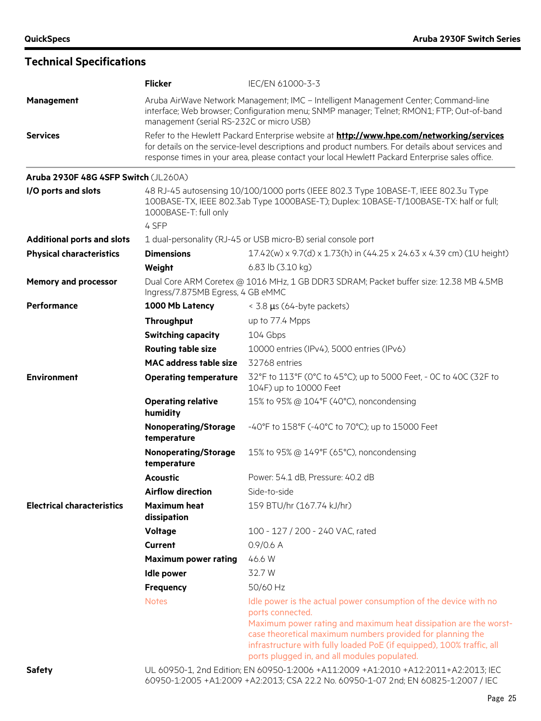#### **Flicker** IEC/EN 61000-3-3 **Management** Aruba AirWave Network Management; IMC – Intelligent Management Center; Command-line interface; Web browser; Configuration menu; SNMP manager; Telnet; RMON1; FTP; Out-of-band management (serial RS-232C or micro USB) **Services** Refer to the Hewlett Packard Enterprise website at **<http://www.hpe.com/networking/services>** for details on the service-level descriptions and product numbers. For details about services and response times in your area, please contact your local Hewlett Packard Enterprise sales office. **Aruba 2930F 48G 4SFP Switch** (JL260A) **I/O ports and slots** 48 RJ-45 autosensing 10/100/1000 ports (IEEE 802.3 Type 10BASE-T, IEEE 802.3u Type 100BASE-TX, IEEE 802.3ab Type 1000BASE-T); Duplex: 10BASE-T/100BASE-TX: half or full; 1000BASE-T: full only 4 SFP **Additional ports and slots** 1 dual-personality (RJ-45 or USB micro-B) serial console port **Physical characteristics Dimensions** 17.42(w) x 9.7(d) x 1.73(h) in (44.25 x 24.63 x 4.39 cm) (1U height) **Weight** 6.83 lb (3.10 kg) **Memory and processor** Dual Core ARM Coretex @ 1016 MHz, 1 GB DDR3 SDRAM; Packet buffer size: 12.38 MB 4.5MB Ingress/7.875MB Egress, 4 GB eMMC **Performance 1000 Mb Latency** < 3.8 µs (64-byte packets) **Throughput** up to 77.4 Mpps **Switching capacity** 104 Gbps **Routing table size** 10000 entries (IPv4), 5000 entries (IPv6) **MAC address table size** 32768 entries **Environment Operating temperature** 32°F to 113°F (0°C to 45°C); up to 5000 Feet, - 0C to 40C (32F to 104F) up to 10000 Feet **Operating relative humidity** 15% to 95% @ 104°F (40°C), noncondensing **Nonoperating/Storage temperature** -40°F to 158°F (-40°C to 70°C); up to 15000 Feet **Nonoperating/Storage temperature** 15% to 95% @ 149°F (65°C), noncondensing **Acoustic** Power: 54.1 dB, Pressure: 40.2 dB Airflow direction **Side-to-side Electrical characteristics Maximum heat dissipation** 159 BTU/hr (167.74 kJ/hr) **Voltage** 100 - 127 / 200 - 240 VAC, rated **Current** 0.9/0.6 A **Maximum power rating** 46.6 W **Idle power** 32.7 W **Frequency** 50/60 Hz Notes **IDDE IDDE IS A REACT ION IDDE IS NOTEN TO A REACT AN IDDE IS NOT A REACT ION ION ION ION ION ION ION ION** ports connected. Maximum power rating and maximum heat dissipation are the worstcase theoretical maximum numbers provided for planning the

**Safety** UL 60950-1, 2nd Edition; EN 60950-1:2006 +A11:2009 +A1:2010 +A12:2011+A2:2013; IEC 60950-1:2005 +A1:2009 +A2:2013; CSA 22.2 No. 60950-1-07 2nd; EN 60825-1:2007 / IEC

ports plugged in, and all modules populated.

infrastructure with fully loaded PoE (if equipped), 100% traffic, all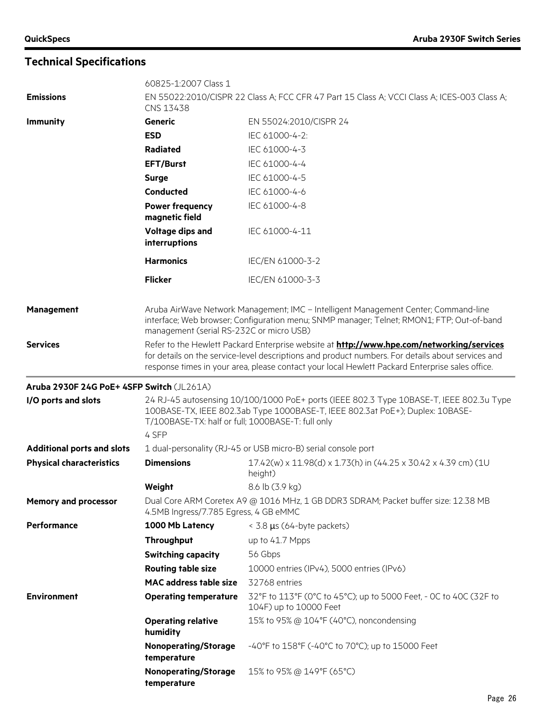|                                           | 60825-1:2007 Class 1                                                                                                                                                                                                                                                                              |                                                                                             |
|-------------------------------------------|---------------------------------------------------------------------------------------------------------------------------------------------------------------------------------------------------------------------------------------------------------------------------------------------------|---------------------------------------------------------------------------------------------|
| <b>Emissions</b>                          | CNS 13438                                                                                                                                                                                                                                                                                         | EN 55022:2010/CISPR 22 Class A; FCC CFR 47 Part 15 Class A; VCCI Class A; ICES-003 Class A; |
| <b>Immunity</b>                           | Generic                                                                                                                                                                                                                                                                                           | EN 55024:2010/CISPR 24                                                                      |
|                                           | <b>ESD</b>                                                                                                                                                                                                                                                                                        | IEC 61000-4-2:                                                                              |
|                                           | <b>Radiated</b>                                                                                                                                                                                                                                                                                   | IEC 61000-4-3                                                                               |
|                                           | <b>EFT/Burst</b>                                                                                                                                                                                                                                                                                  | IEC 61000-4-4                                                                               |
|                                           | <b>Surge</b>                                                                                                                                                                                                                                                                                      | IEC 61000-4-5                                                                               |
|                                           | Conducted                                                                                                                                                                                                                                                                                         | IEC 61000-4-6                                                                               |
|                                           | <b>Power frequency</b><br>magnetic field                                                                                                                                                                                                                                                          | IEC 61000-4-8                                                                               |
|                                           | Voltage dips and<br>interruptions                                                                                                                                                                                                                                                                 | IEC 61000-4-11                                                                              |
|                                           | <b>Harmonics</b>                                                                                                                                                                                                                                                                                  | IEC/EN 61000-3-2                                                                            |
|                                           | <b>Flicker</b>                                                                                                                                                                                                                                                                                    | IEC/EN 61000-3-3                                                                            |
| <b>Management</b>                         | Aruba AirWave Network Management; IMC - Intelligent Management Center; Command-line<br>interface; Web browser; Configuration menu; SNMP manager; Telnet; RMON1; FTP; Out-of-band<br>management (serial RS-232C or micro USB)                                                                      |                                                                                             |
| <b>Services</b>                           | Refer to the Hewlett Packard Enterprise website at http://www.hpe.com/networking/services<br>for details on the service-level descriptions and product numbers. For details about services and<br>response times in your area, please contact your local Hewlett Packard Enterprise sales office. |                                                                                             |
| Aruba 2930F 24G PoE+ 4SFP Switch (JL261A) |                                                                                                                                                                                                                                                                                                   |                                                                                             |
| I/O ports and slots                       | 24 RJ-45 autosensing 10/100/1000 PoE+ ports (IEEE 802.3 Type 10BASE-T, IEEE 802.3u Type<br>100BASE-TX, IEEE 802.3ab Type 1000BASE-T, IEEE 802.3at PoE+); Duplex: 10BASE-<br>T/100BASE-TX: half or full; 1000BASE-T: full only                                                                     |                                                                                             |
|                                           | 4 SFP                                                                                                                                                                                                                                                                                             |                                                                                             |
| <b>Additional ports and slots</b>         |                                                                                                                                                                                                                                                                                                   | 1 dual-personality (RJ-45 or USB micro-B) serial console port                               |
| <b>Physical characteristics</b>           | <b>Dimensions</b>                                                                                                                                                                                                                                                                                 | 17.42(w) x 11.98(d) x 1.73(h) in (44.25 x 30.42 x 4.39 cm) (1U<br>height)                   |
|                                           | Weight                                                                                                                                                                                                                                                                                            | 8.6 lb (3.9 kg)                                                                             |
| <b>Memory and processor</b>               | Dual Core ARM Coretex A9 @ 1016 MHz, 1 GB DDR3 SDRAM; Packet buffer size: 12.38 MB<br>4.5MB Ingress/7.785 Egress, 4 GB eMMC                                                                                                                                                                       |                                                                                             |
| <b>Performance</b>                        | 1000 Mb Latency                                                                                                                                                                                                                                                                                   | < 3.8 µs (64-byte packets)                                                                  |
|                                           | Throughput                                                                                                                                                                                                                                                                                        | up to 41.7 Mpps                                                                             |
|                                           | <b>Switching capacity</b>                                                                                                                                                                                                                                                                         | 56 Gbps                                                                                     |
|                                           | <b>Routing table size</b>                                                                                                                                                                                                                                                                         | 10000 entries (IPv4), 5000 entries (IPv6)                                                   |
|                                           | <b>MAC</b> address table size                                                                                                                                                                                                                                                                     | 32768 entries                                                                               |
| <b>Environment</b>                        | <b>Operating temperature</b>                                                                                                                                                                                                                                                                      | 32°F to 113°F (0°C to 45°C); up to 5000 Feet, - 0C to 40C (32F to<br>104F) up to 10000 Feet |
|                                           | <b>Operating relative</b><br>humidity                                                                                                                                                                                                                                                             | 15% to 95% @ 104°F (40°C), noncondensing                                                    |
|                                           | <b>Nonoperating/Storage</b><br>temperature                                                                                                                                                                                                                                                        | -40°F to 158°F (-40°C to 70°C); up to 15000 Feet                                            |
|                                           | <b>Nonoperating/Storage</b><br>temperature                                                                                                                                                                                                                                                        | 15% to 95% @ 149°F (65°C)                                                                   |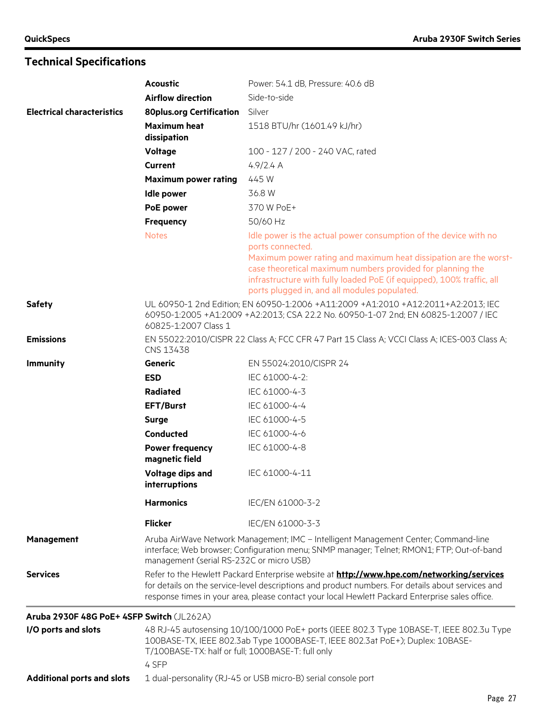|                                           | <b>Acoustic</b>                                                                                                                                                                                                                                                                                          | Power: 54.1 dB, Pressure: 40.6 dB                                                                                                                                                                                                                                                                                                               |  |
|-------------------------------------------|----------------------------------------------------------------------------------------------------------------------------------------------------------------------------------------------------------------------------------------------------------------------------------------------------------|-------------------------------------------------------------------------------------------------------------------------------------------------------------------------------------------------------------------------------------------------------------------------------------------------------------------------------------------------|--|
|                                           | <b>Airflow direction</b>                                                                                                                                                                                                                                                                                 | Side-to-side                                                                                                                                                                                                                                                                                                                                    |  |
| <b>Electrical characteristics</b>         | <b>80plus.org Certification</b>                                                                                                                                                                                                                                                                          | Silver                                                                                                                                                                                                                                                                                                                                          |  |
|                                           | <b>Maximum heat</b><br>dissipation                                                                                                                                                                                                                                                                       | 1518 BTU/hr (1601.49 kJ/hr)                                                                                                                                                                                                                                                                                                                     |  |
|                                           | Voltage                                                                                                                                                                                                                                                                                                  | 100 - 127 / 200 - 240 VAC, rated                                                                                                                                                                                                                                                                                                                |  |
|                                           | Current                                                                                                                                                                                                                                                                                                  | 4.9/2.4 A                                                                                                                                                                                                                                                                                                                                       |  |
|                                           | <b>Maximum power rating</b>                                                                                                                                                                                                                                                                              | 445 W                                                                                                                                                                                                                                                                                                                                           |  |
|                                           | <b>Idle power</b>                                                                                                                                                                                                                                                                                        | 36.8 W                                                                                                                                                                                                                                                                                                                                          |  |
|                                           | PoE power                                                                                                                                                                                                                                                                                                | 370 W PoE+                                                                                                                                                                                                                                                                                                                                      |  |
|                                           | <b>Frequency</b>                                                                                                                                                                                                                                                                                         | 50/60 Hz                                                                                                                                                                                                                                                                                                                                        |  |
|                                           | <b>Notes</b>                                                                                                                                                                                                                                                                                             | Idle power is the actual power consumption of the device with no<br>ports connected.<br>Maximum power rating and maximum heat dissipation are the worst-<br>case theoretical maximum numbers provided for planning the<br>infrastructure with fully loaded PoE (if equipped), 100% traffic, all<br>ports plugged in, and all modules populated. |  |
| <b>Safety</b>                             | UL 60950-1 2nd Edition; EN 60950-1:2006 +A11:2009 +A1:2010 +A12:2011+A2:2013; IEC<br>60950-1:2005 +A1:2009 +A2:2013; CSA 22.2 No. 60950-1-07 2nd; EN 60825-1:2007 / IEC<br>60825-1:2007 Class 1                                                                                                          |                                                                                                                                                                                                                                                                                                                                                 |  |
| <b>Emissions</b>                          | EN 55022:2010/CISPR 22 Class A; FCC CFR 47 Part 15 Class A; VCCI Class A; ICES-003 Class A;<br>CNS 13438                                                                                                                                                                                                 |                                                                                                                                                                                                                                                                                                                                                 |  |
| <b>Immunity</b>                           | <b>Generic</b>                                                                                                                                                                                                                                                                                           | EN 55024:2010/CISPR 24                                                                                                                                                                                                                                                                                                                          |  |
|                                           | <b>ESD</b>                                                                                                                                                                                                                                                                                               | IEC 61000-4-2:                                                                                                                                                                                                                                                                                                                                  |  |
|                                           | Radiated                                                                                                                                                                                                                                                                                                 | IEC 61000-4-3                                                                                                                                                                                                                                                                                                                                   |  |
|                                           | <b>EFT/Burst</b>                                                                                                                                                                                                                                                                                         | IEC 61000-4-4                                                                                                                                                                                                                                                                                                                                   |  |
|                                           | <b>Surge</b>                                                                                                                                                                                                                                                                                             | IEC 61000-4-5                                                                                                                                                                                                                                                                                                                                   |  |
|                                           | <b>Conducted</b>                                                                                                                                                                                                                                                                                         | IEC 61000-4-6                                                                                                                                                                                                                                                                                                                                   |  |
|                                           | <b>Power frequency</b><br>magnetic field                                                                                                                                                                                                                                                                 | IEC 61000-4-8                                                                                                                                                                                                                                                                                                                                   |  |
|                                           | Voltage dips and<br>interruptions                                                                                                                                                                                                                                                                        | IEC 61000-4-11                                                                                                                                                                                                                                                                                                                                  |  |
|                                           | <b>Harmonics</b>                                                                                                                                                                                                                                                                                         | IEC/EN 61000-3-2                                                                                                                                                                                                                                                                                                                                |  |
|                                           | <b>Flicker</b>                                                                                                                                                                                                                                                                                           | IEC/EN 61000-3-3                                                                                                                                                                                                                                                                                                                                |  |
| <b>Management</b>                         |                                                                                                                                                                                                                                                                                                          | Aruba AirWave Network Management; IMC - Intelligent Management Center; Command-line<br>interface; Web browser; Configuration menu; SNMP manager; Telnet; RMON1; FTP; Out-of-band<br>management (serial RS-232C or micro USB)                                                                                                                    |  |
| <b>Services</b>                           | Refer to the Hewlett Packard Enterprise website at <b>http://www.hpe.com/networking/services</b><br>for details on the service-level descriptions and product numbers. For details about services and<br>response times in your area, please contact your local Hewlett Packard Enterprise sales office. |                                                                                                                                                                                                                                                                                                                                                 |  |
| Aruba 2930F 48G PoE+ 4SFP Switch (JL262A) |                                                                                                                                                                                                                                                                                                          |                                                                                                                                                                                                                                                                                                                                                 |  |
| I/O ports and slots                       | 48 RJ-45 autosensing 10/100/1000 PoE+ ports (IEEE 802.3 Type 10BASE-T, IEEE 802.3u Type<br>100BASE-TX, IEEE 802.3ab Type 1000BASE-T, IEEE 802.3at PoE+); Duplex: 10BASE-<br>T/100BASE-TX: half or full; 1000BASE-T: full only<br>4 SFP                                                                   |                                                                                                                                                                                                                                                                                                                                                 |  |
| <b>Additional ports and slots</b>         |                                                                                                                                                                                                                                                                                                          | 1 dual-personality (RJ-45 or USB micro-B) serial console port                                                                                                                                                                                                                                                                                   |  |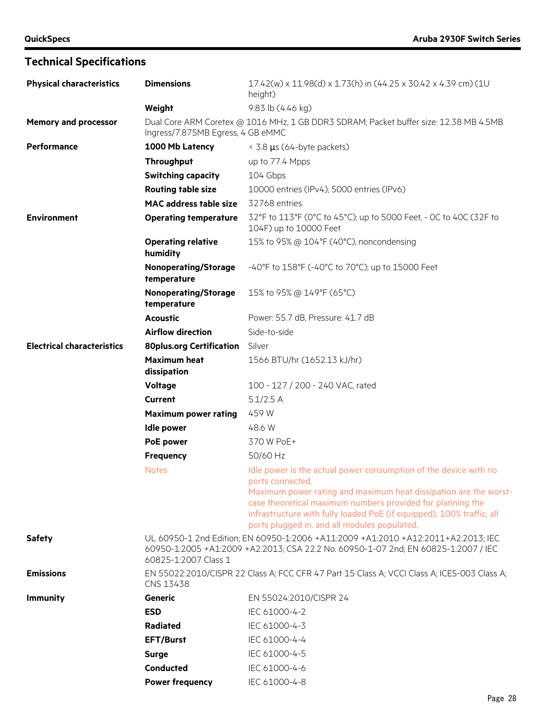| <b>Physical characteristics</b>   | <b>Dimensions</b>                                                                                                                                                                               | 17.42(w) x 11.98(d) x 1.73(h) in (44.25 x 30.42 x 4.39 cm) (1U<br>height)                                                                                                           |
|-----------------------------------|-------------------------------------------------------------------------------------------------------------------------------------------------------------------------------------------------|-------------------------------------------------------------------------------------------------------------------------------------------------------------------------------------|
|                                   | Weight                                                                                                                                                                                          | 9.83 lb (4.46 kg)                                                                                                                                                                   |
| <b>Memory and processor</b>       | Ingress/7.875MB Egress, 4 GB eMMC                                                                                                                                                               | Dual Core ARM Coretex @ 1016 MHz, 1 GB DDR3 SDRAM; Packet buffer size: 12.38 MB 4.5MB                                                                                               |
| Performance                       | 1000 Mb Latency                                                                                                                                                                                 | $<$ 3.8 $\mu$ s (64-byte packets)                                                                                                                                                   |
|                                   | Throughput                                                                                                                                                                                      | up to 77.4 Mpps                                                                                                                                                                     |
|                                   | <b>Switching capacity</b>                                                                                                                                                                       | 104 Gbps                                                                                                                                                                            |
|                                   | <b>Routing table size</b>                                                                                                                                                                       | 10000 entries (IPv4), 5000 entries (IPv6)                                                                                                                                           |
|                                   | <b>MAC address table size</b>                                                                                                                                                                   | 32768 entries                                                                                                                                                                       |
| <b>Environment</b>                | <b>Operating temperature</b>                                                                                                                                                                    | 32°F to 113°F (0°C to 45°C); up to 5000 Feet, - 0C to 40C (32F to<br>104F) up to 10000 Feet                                                                                         |
|                                   | <b>Operating relative</b><br>humidity                                                                                                                                                           | 15% to 95% @ 104°F (40°C), noncondensing                                                                                                                                            |
|                                   | <b>Nonoperating/Storage</b><br>temperature                                                                                                                                                      | -40°F to 158°F (-40°C to 70°C); up to 15000 Feet                                                                                                                                    |
|                                   | <b>Nonoperating/Storage</b><br>temperature                                                                                                                                                      | 15% to 95% @ 149°F (65°C)                                                                                                                                                           |
|                                   | <b>Acoustic</b>                                                                                                                                                                                 | Power: 55.7 dB, Pressure: 41.7 dB                                                                                                                                                   |
|                                   | <b>Airflow direction</b>                                                                                                                                                                        | Side-to-side                                                                                                                                                                        |
| <b>Electrical characteristics</b> | <b>80plus.org Certification</b>                                                                                                                                                                 | Silver                                                                                                                                                                              |
|                                   | <b>Maximum heat</b><br>dissipation                                                                                                                                                              | 1566 BTU/hr (1652.13 kJ/hr)                                                                                                                                                         |
|                                   | <b>Voltage</b>                                                                                                                                                                                  | 100 - 127 / 200 - 240 VAC, rated                                                                                                                                                    |
|                                   | <b>Current</b>                                                                                                                                                                                  | $5.1/2.5$ A                                                                                                                                                                         |
|                                   | <b>Maximum power rating</b>                                                                                                                                                                     | 459 W                                                                                                                                                                               |
|                                   | <b>Idle power</b>                                                                                                                                                                               | 48.6 W                                                                                                                                                                              |
|                                   | PoE power                                                                                                                                                                                       | 370 W PoE+                                                                                                                                                                          |
|                                   | Frequency                                                                                                                                                                                       | 50/60 Hz                                                                                                                                                                            |
|                                   | <b>Notes</b>                                                                                                                                                                                    | Idle power is the actual power consumption of the device with no<br>ports connected.<br>Maximum power rating and maximum heat dissipation are the worst-                            |
|                                   |                                                                                                                                                                                                 | case theoretical maximum numbers provided for planning the<br>infrastructure with fully loaded PoE (if equipped), 100% traffic, all<br>ports plugged in, and all modules populated. |
| <b>Safety</b>                     | UL 60950-1 2nd Edition; EN 60950-1:2006 +A11:2009 +A1:2010 +A12:2011+A2:2013; IEC<br>60950-1:2005 +A1:2009 +A2:2013; CSA 22.2 No. 60950-1-07 2nd; EN 60825-1:2007 / IEC<br>60825-1:2007 Class 1 |                                                                                                                                                                                     |
| <b>Emissions</b>                  | CNS 13438                                                                                                                                                                                       | EN 55022:2010/CISPR 22 Class A; FCC CFR 47 Part 15 Class A; VCCI Class A; ICES-003 Class A;                                                                                         |
| <b>Immunity</b>                   | Generic                                                                                                                                                                                         | EN 55024:2010/CISPR 24                                                                                                                                                              |
|                                   | <b>ESD</b>                                                                                                                                                                                      | IEC 61000-4-2                                                                                                                                                                       |
|                                   | <b>Radiated</b>                                                                                                                                                                                 | IEC 61000-4-3                                                                                                                                                                       |
|                                   | <b>EFT/Burst</b>                                                                                                                                                                                | IEC 61000-4-4                                                                                                                                                                       |
|                                   | <b>Surge</b>                                                                                                                                                                                    | IEC 61000-4-5                                                                                                                                                                       |
|                                   | Conducted                                                                                                                                                                                       | IEC 61000-4-6                                                                                                                                                                       |
|                                   | <b>Power frequency</b>                                                                                                                                                                          | IEC 61000-4-8                                                                                                                                                                       |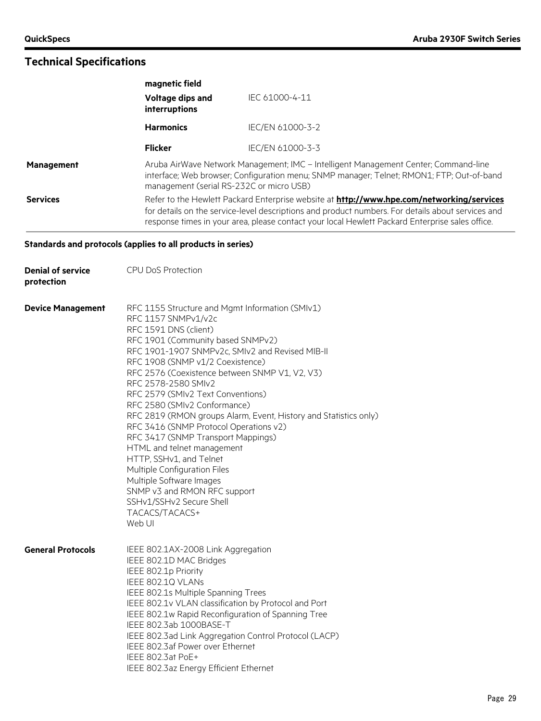|                   | magnetic field                                                                                                                                                                                                               |                                                                                                                                                                                                                                                                                                          |
|-------------------|------------------------------------------------------------------------------------------------------------------------------------------------------------------------------------------------------------------------------|----------------------------------------------------------------------------------------------------------------------------------------------------------------------------------------------------------------------------------------------------------------------------------------------------------|
|                   | Voltage dips and<br>interruptions                                                                                                                                                                                            | IEC 61000-4-11                                                                                                                                                                                                                                                                                           |
|                   | <b>Harmonics</b>                                                                                                                                                                                                             | IEC/EN 61000-3-2                                                                                                                                                                                                                                                                                         |
|                   | <b>Flicker</b>                                                                                                                                                                                                               | IEC/EN 61000-3-3                                                                                                                                                                                                                                                                                         |
| <b>Management</b> | Aruba AirWave Network Management; IMC - Intelligent Management Center; Command-line<br>interface; Web browser; Configuration menu; SNMP manager; Telnet; RMON1; FTP; Out-of-band<br>management (serial RS-232C or micro USB) |                                                                                                                                                                                                                                                                                                          |
| <b>Services</b>   |                                                                                                                                                                                                                              | Refer to the Hewlett Packard Enterprise website at <b>http://www.hpe.com/networking/services</b><br>for details on the service-level descriptions and product numbers. For details about services and<br>response times in your area, please contact your local Hewlett Packard Enterprise sales office. |

#### **Standards and protocols (applies to all products in series)**

| <b>Denial of service</b><br>protection | <b>CPU DoS Protection</b>                                                                                                                                                                                                                                                                                                                                                                                                                                                                                                                                                                                                                                                                                                                  |
|----------------------------------------|--------------------------------------------------------------------------------------------------------------------------------------------------------------------------------------------------------------------------------------------------------------------------------------------------------------------------------------------------------------------------------------------------------------------------------------------------------------------------------------------------------------------------------------------------------------------------------------------------------------------------------------------------------------------------------------------------------------------------------------------|
| <b>Device Management</b>               | RFC 1155 Structure and Mgmt Information (SMIv1)<br>RFC 1157 SNMPv1/v2c<br>RFC 1591 DNS (client)<br>RFC 1901 (Community based SNMPv2)<br>RFC 1901-1907 SNMPv2c, SMIv2 and Revised MIB-II<br>RFC 1908 (SNMP v1/2 Coexistence)<br>RFC 2576 (Coexistence between SNMP V1, V2, V3)<br>RFC 2578-2580 SMIv2<br>RFC 2579 (SMIv2 Text Conventions)<br>RFC 2580 (SMIv2 Conformance)<br>RFC 2819 (RMON groups Alarm, Event, History and Statistics only)<br>RFC 3416 (SNMP Protocol Operations v2)<br>RFC 3417 (SNMP Transport Mappings)<br>HTML and telnet management<br>HTTP, SSHv1, and Telnet<br>Multiple Configuration Files<br>Multiple Software Images<br>SNMP v3 and RMON RFC support<br>SSHv1/SSHv2 Secure Shell<br>TACACS/TACACS+<br>Web UI |
| <b>General Protocols</b>               | IEEE 802.1AX-2008 Link Aggregation<br>IEEE 802.1D MAC Bridges<br>IEEE 802.1p Priority<br>IEEE 802.1Q VLANs<br>IEEE 802.1s Multiple Spanning Trees<br>IEEE 802.1v VLAN classification by Protocol and Port<br>IEEE 802.1w Rapid Reconfiguration of Spanning Tree<br>IEEE 802.3ab 1000BASE-T<br>IEEE 802.3ad Link Aggregation Control Protocol (LACP)<br>IEEE 802.3af Power over Ethernet<br>IEEE 802.3at PoE+<br>IEEE 802.3az Energy Efficient Ethernet                                                                                                                                                                                                                                                                                     |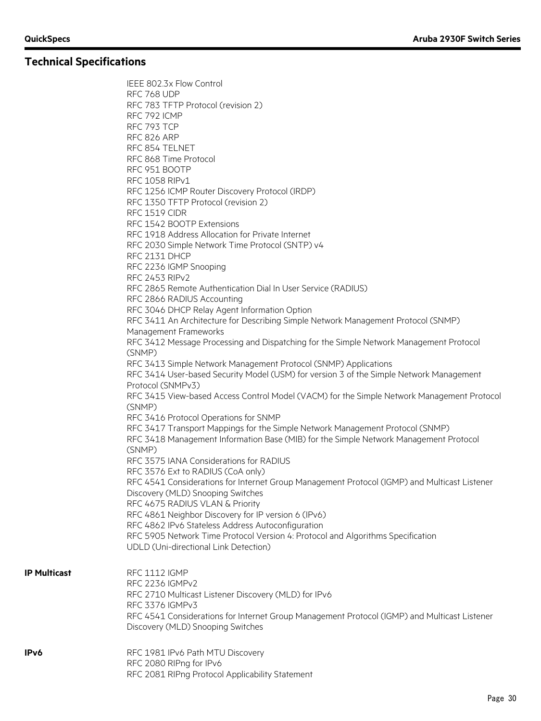IEEE 802.3x Flow Control

|                     | RFC 768 UDP                                                                                                              |
|---------------------|--------------------------------------------------------------------------------------------------------------------------|
|                     | RFC 783 TFTP Protocol (revision 2)                                                                                       |
|                     | RFC 792 ICMP                                                                                                             |
|                     | RFC 793 TCP                                                                                                              |
|                     | RFC 826 ARP                                                                                                              |
|                     | RFC 854 TELNET                                                                                                           |
|                     | RFC 868 Time Protocol                                                                                                    |
|                     | RFC 951 BOOTP                                                                                                            |
|                     | RFC 1058 RIPv1                                                                                                           |
|                     | RFC 1256 ICMP Router Discovery Protocol (IRDP)                                                                           |
|                     | RFC 1350 TFTP Protocol (revision 2)                                                                                      |
|                     | RFC 1519 CIDR                                                                                                            |
|                     | RFC 1542 BOOTP Extensions                                                                                                |
|                     | RFC 1918 Address Allocation for Private Internet                                                                         |
|                     | RFC 2030 Simple Network Time Protocol (SNTP) v4                                                                          |
|                     | RFC 2131 DHCP                                                                                                            |
|                     | RFC 2236 IGMP Snooping                                                                                                   |
|                     | <b>RFC 2453 RIPv2</b>                                                                                                    |
|                     | RFC 2865 Remote Authentication Dial In User Service (RADIUS)                                                             |
|                     | RFC 2866 RADIUS Accounting                                                                                               |
|                     | RFC 3046 DHCP Relay Agent Information Option                                                                             |
|                     | RFC 3411 An Architecture for Describing Simple Network Management Protocol (SNMP)                                        |
|                     | Management Frameworks                                                                                                    |
|                     | RFC 3412 Message Processing and Dispatching for the Simple Network Management Protocol                                   |
|                     | (SNMP)                                                                                                                   |
|                     | RFC 3413 Simple Network Management Protocol (SNMP) Applications                                                          |
|                     | RFC 3414 User-based Security Model (USM) for version 3 of the Simple Network Management                                  |
|                     | Protocol (SNMPv3)                                                                                                        |
|                     | RFC 3415 View-based Access Control Model (VACM) for the Simple Network Management Protocol                               |
|                     | (SNMP)                                                                                                                   |
|                     | RFC 3416 Protocol Operations for SNMP                                                                                    |
|                     | RFC 3417 Transport Mappings for the Simple Network Management Protocol (SNMP)                                            |
|                     | RFC 3418 Management Information Base (MIB) for the Simple Network Management Protocol                                    |
|                     | (SNMP)                                                                                                                   |
|                     | RFC 3575 IANA Considerations for RADIUS                                                                                  |
|                     | RFC 3576 Ext to RADIUS (CoA only)                                                                                        |
|                     | RFC 4541 Considerations for Internet Group Management Protocol (IGMP) and Multicast Listener                             |
|                     | Discovery (MLD) Snooping Switches                                                                                        |
|                     | RFC 4675 RADIUS VLAN & Priority                                                                                          |
|                     |                                                                                                                          |
|                     | RFC 4861 Neighbor Discovery for IP version 6 (IPv6)<br>RFC 4862 IPv6 Stateless Address Autoconfiguration                 |
|                     |                                                                                                                          |
|                     | RFC 5905 Network Time Protocol Version 4: Protocol and Algorithms Specification<br>UDLD (Uni-directional Link Detection) |
|                     |                                                                                                                          |
|                     |                                                                                                                          |
| <b>IP Multicast</b> | <b>RFC 1112 IGMP</b>                                                                                                     |
|                     | RFC 2236 IGMPv2                                                                                                          |
|                     | RFC 2710 Multicast Listener Discovery (MLD) for IPv6                                                                     |
|                     | RFC 3376 IGMPv3                                                                                                          |
|                     | RFC 4541 Considerations for Internet Group Management Protocol (IGMP) and Multicast Listener                             |
|                     | Discovery (MLD) Snooping Switches                                                                                        |
|                     |                                                                                                                          |
| IPv6                | RFC 1981 IPv6 Path MTU Discovery                                                                                         |
|                     | RFC 2080 RIPng for IPv6                                                                                                  |
|                     | RFC 2081 RIPng Protocol Applicability Statement                                                                          |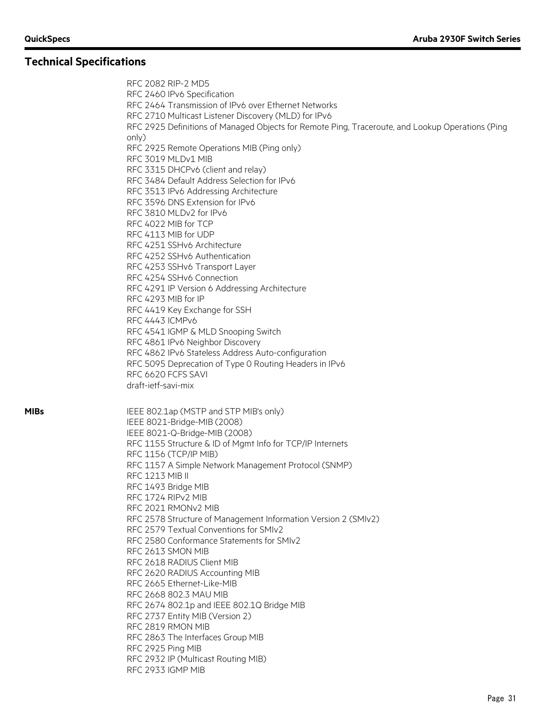RFC 2082 RIP-2 MD5 RFC 2460 IPv6 Specification RFC 2464 Transmission of IPv6 over Ethernet Networks RFC 2710 Multicast Listener Discovery (MLD) for IPv6 RFC 2925 Definitions of Managed Objects for Remote Ping, Traceroute, and Lookup Operations (Ping only) RFC 2925 Remote Operations MIB (Ping only) RFC 3019 MLDv1 MIB RFC 3315 DHCPv6 (client and relay) RFC 3484 Default Address Selection for IPv6 RFC 3513 IPv6 Addressing Architecture RFC 3596 DNS Extension for IPv6 RFC 3810 MLDv2 for IPv6 RFC 4022 MIB for TCP RFC 4113 MIB for UDP RFC 4251 SSHv6 Architecture RFC 4252 SSHv6 Authentication RFC 4253 SSHv6 Transport Layer RFC 4254 SSHv6 Connection RFC 4291 IP Version 6 Addressing Architecture RFC 4293 MIB for IP RFC 4419 Key Exchange for SSH RFC 4443 ICMPv6 RFC 4541 IGMP & MLD Snooping Switch RFC 4861 IPv6 Neighbor Discovery RFC 4862 IPv6 Stateless Address Auto-configuration RFC 5095 Deprecation of Type 0 Routing Headers in IPv6 RFC 6620 FCFS SAVI draft-ietf-savi-mix **MIBs** IEEE 802.1ap (MSTP and STP MIB's only) IEEE 8021-Bridge-MIB (2008) IEEE 8021-Q-Bridge-MIB (2008) RFC 1155 Structure & ID of Mgmt Info for TCP/IP Internets RFC 1156 (TCP/IP MIB) RFC 1157 A Simple Network Management Protocol (SNMP) RFC 1213 MIB II RFC 1493 Bridge MIB RFC 1724 RIPv2 MIB RFC 2021 RMONv2 MIB RFC 2578 Structure of Management Information Version 2 (SMIv2) RFC 2579 Textual Conventions for SMIv2 RFC 2580 Conformance Statements for SMIv2 RFC 2613 SMON MIB RFC 2618 RADIUS Client MIB RFC 2620 RADIUS Accounting MIB RFC 2665 Ethernet-Like-MIB RFC 2668 802.3 MAU MIB RFC 2674 802.1p and IEEE 802.1Q Bridge MIB RFC 2737 Entity MIB (Version 2) RFC 2819 RMON MIB RFC 2863 The Interfaces Group MIB RFC 2925 Ping MIB RFC 2932 IP (Multicast Routing MIB) RFC 2933 IGMP MIB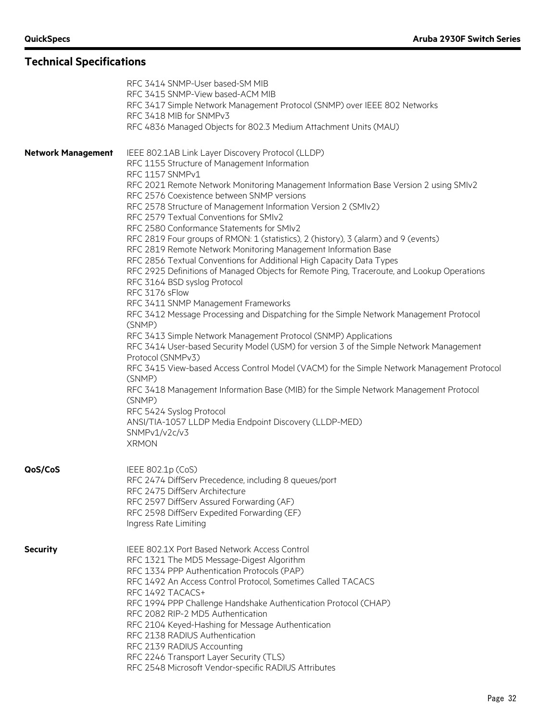|                           | RFC 3414 SNMP-User based-SM MIB<br>RFC 3415 SNMP-View based-ACM MIB<br>RFC 3417 Simple Network Management Protocol (SNMP) over IEEE 802 Networks<br>RFC 3418 MIB for SNMPv3<br>RFC 4836 Managed Objects for 802.3 Medium Attachment Units (MAU)                                                                                                                                                                                                                                                                                                                                                                                                                                                                                                                                                                                                                                                                                                                                                                                                                                                                                                                                                                                                                                                                                                                                                                                                                      |
|---------------------------|----------------------------------------------------------------------------------------------------------------------------------------------------------------------------------------------------------------------------------------------------------------------------------------------------------------------------------------------------------------------------------------------------------------------------------------------------------------------------------------------------------------------------------------------------------------------------------------------------------------------------------------------------------------------------------------------------------------------------------------------------------------------------------------------------------------------------------------------------------------------------------------------------------------------------------------------------------------------------------------------------------------------------------------------------------------------------------------------------------------------------------------------------------------------------------------------------------------------------------------------------------------------------------------------------------------------------------------------------------------------------------------------------------------------------------------------------------------------|
| <b>Network Management</b> | IEEE 802.1AB Link Layer Discovery Protocol (LLDP)<br>RFC 1155 Structure of Management Information<br>RFC 1157 SNMPv1<br>RFC 2021 Remote Network Monitoring Management Information Base Version 2 using SMIv2<br>RFC 2576 Coexistence between SNMP versions<br>RFC 2578 Structure of Management Information Version 2 (SMIv2)<br>RFC 2579 Textual Conventions for SMIv2<br>RFC 2580 Conformance Statements for SMIv2<br>RFC 2819 Four groups of RMON: 1 (statistics), 2 (history), 3 (alarm) and 9 (events)<br>RFC 2819 Remote Network Monitoring Management Information Base<br>RFC 2856 Textual Conventions for Additional High Capacity Data Types<br>RFC 2925 Definitions of Managed Objects for Remote Ping, Traceroute, and Lookup Operations<br>RFC 3164 BSD syslog Protocol<br>RFC 3176 sFlow<br>RFC 3411 SNMP Management Frameworks<br>RFC 3412 Message Processing and Dispatching for the Simple Network Management Protocol<br>(SNMP)<br>RFC 3413 Simple Network Management Protocol (SNMP) Applications<br>RFC 3414 User-based Security Model (USM) for version 3 of the Simple Network Management<br>Protocol (SNMPv3)<br>RFC 3415 View-based Access Control Model (VACM) for the Simple Network Management Protocol<br>(SNMP)<br>RFC 3418 Management Information Base (MIB) for the Simple Network Management Protocol<br>(SNMP)<br>RFC 5424 Syslog Protocol<br>ANSI/TIA-1057 LLDP Media Endpoint Discovery (LLDP-MED)<br>SNMPv1/v2c/v3<br><b>XRMON</b> |
| QoS/CoS                   | IEEE 802.1p (CoS)<br>RFC 2474 DiffServ Precedence, including 8 queues/port<br>RFC 2475 DiffServ Architecture<br>RFC 2597 DiffServ Assured Forwarding (AF)<br>RFC 2598 DiffServ Expedited Forwarding (EF)<br>Ingress Rate Limiting                                                                                                                                                                                                                                                                                                                                                                                                                                                                                                                                                                                                                                                                                                                                                                                                                                                                                                                                                                                                                                                                                                                                                                                                                                    |
| <b>Security</b>           | IEEE 802.1X Port Based Network Access Control<br>RFC 1321 The MD5 Message-Digest Algorithm<br>RFC 1334 PPP Authentication Protocols (PAP)<br>RFC 1492 An Access Control Protocol, Sometimes Called TACACS<br>RFC 1492 TACACS+<br>RFC 1994 PPP Challenge Handshake Authentication Protocol (CHAP)<br>RFC 2082 RIP-2 MD5 Authentication<br>RFC 2104 Keyed-Hashing for Message Authentication<br>RFC 2138 RADIUS Authentication<br>RFC 2139 RADIUS Accounting<br>RFC 2246 Transport Layer Security (TLS)<br>RFC 2548 Microsoft Vendor-specific RADIUS Attributes                                                                                                                                                                                                                                                                                                                                                                                                                                                                                                                                                                                                                                                                                                                                                                                                                                                                                                        |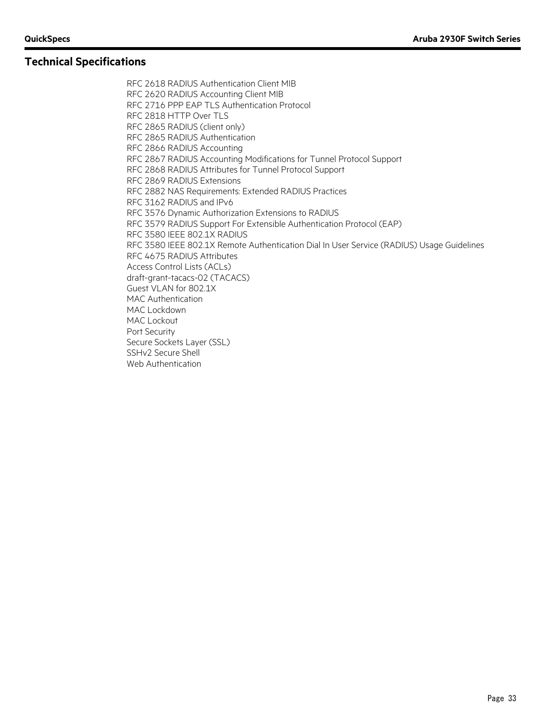RFC 2618 RADIUS Authentication Client MIB RFC 2620 RADIUS Accounting Client MIB RFC 2716 PPP EAP TLS Authentication Protocol RFC 2818 HTTP Over TLS RFC 2865 RADIUS (client only) RFC 2865 RADIUS Authentication RFC 2866 RADIUS Accounting RFC 2867 RADIUS Accounting Modifications for Tunnel Protocol Support RFC 2868 RADIUS Attributes for Tunnel Protocol Support RFC 2869 RADIUS Extensions RFC 2882 NAS Requirements: Extended RADIUS Practices RFC 3162 RADIUS and IPv6 RFC 3576 Dynamic Authorization Extensions to RADIUS RFC 3579 RADIUS Support For Extensible Authentication Protocol (EAP) RFC 3580 IEEE 802.1X RADIUS RFC 3580 IEEE 802.1X Remote Authentication Dial In User Service (RADIUS) Usage Guidelines RFC 4675 RADIUS Attributes Access Control Lists (ACLs) draft-grant-tacacs-02 (TACACS) Guest VLAN for 802.1X MAC Authentication MAC Lockdown MAC Lockout Port Security Secure Sockets Layer (SSL) SSHv2 Secure Shell Web Authentication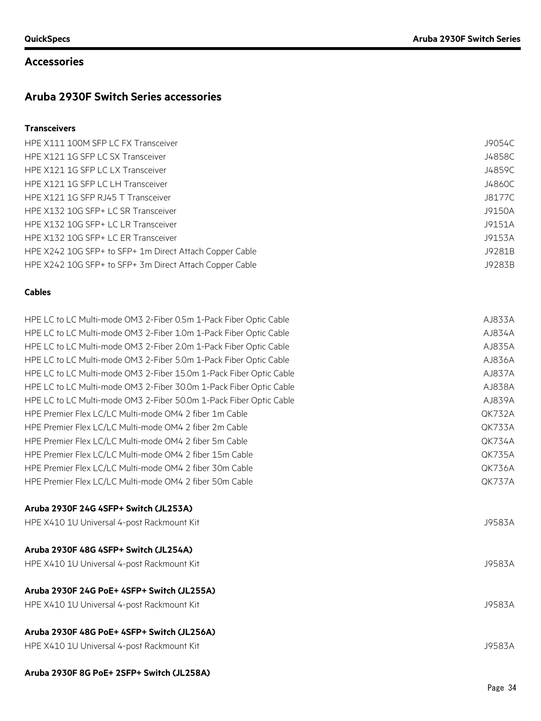#### **Accessories**

### **Aruba 2930F Switch Series accessories**

#### **Transceivers**

| HPE X111 100M SFP LC FX Transceiver                     | J9054C |
|---------------------------------------------------------|--------|
| HPE X121 1G SFP LC SX Transceiver                       | J4858C |
| HPE X121 1G SFP LC LX Transceiver                       | J4859C |
| HPE X121 1G SFP LC LH Transceiver                       | J4860C |
| HPE X121 1G SFP RJ45 T Transceiver                      | J8177C |
| HPE X132 10G SFP+ LC SR Transceiver                     | J9150A |
| HPE X132 10G SFP+ LC LR Transceiver                     | J9151A |
| HPE X132 10G SFP+ LC ER Transceiver                     | J9153A |
| HPE X242 10G SFP+ to SFP+ 1m Direct Attach Copper Cable | J9281B |
| HPE X242 10G SFP+ to SFP+ 3m Direct Attach Copper Cable | J9283B |

#### **Cables**

| HPE LC to LC Multi-mode OM3 2-Fiber 0.5m 1-Pack Fiber Optic Cable  | AJ833A        |
|--------------------------------------------------------------------|---------------|
| HPE LC to LC Multi-mode OM3 2-Fiber 1.0m 1-Pack Fiber Optic Cable  | AJ834A        |
| HPE LC to LC Multi-mode OM3 2-Fiber 2.0m 1-Pack Fiber Optic Cable  | AJ835A        |
| HPE LC to LC Multi-mode OM3 2-Fiber 5.0m 1-Pack Fiber Optic Cable  | AJ836A        |
| HPE LC to LC Multi-mode OM3 2-Fiber 15.0m 1-Pack Fiber Optic Cable | AJ837A        |
| HPE LC to LC Multi-mode OM3 2-Fiber 30.0m 1-Pack Fiber Optic Cable | AJ838A        |
| HPE LC to LC Multi-mode OM3 2-Fiber 50.0m 1-Pack Fiber Optic Cable | AJ839A        |
| HPE Premier Flex LC/LC Multi-mode OM4 2 fiber 1m Cable             | <b>QK732A</b> |
| HPE Premier Flex LC/LC Multi-mode OM4 2 fiber 2m Cable             | QK733A        |
| HPE Premier Flex LC/LC Multi-mode OM4 2 fiber 5m Cable             | <b>QK734A</b> |
| HPE Premier Flex LC/LC Multi-mode OM4 2 fiber 15m Cable            | QK735A        |
| HPE Premier Flex LC/LC Multi-mode OM4 2 fiber 30m Cable            | <b>QK736A</b> |
| HPE Premier Flex LC/LC Multi-mode OM4 2 fiber 50m Cable            | <b>QK737A</b> |
| Aruba 2930F 24G 4SFP+ Switch (JL253A)                              |               |
| HPE X410 1U Universal 4-post Rackmount Kit                         | J9583A        |
| Aruba 2930F 48G 4SFP+ Switch (JL254A)                              |               |

## HPE X410 1U Universal 4-post Rackmount Kit J9583A **Aruba 2930F 24G PoE+ 4SFP+ Switch (JL255A)** HPE X410 1U Universal 4-post Rackmount Kit J9583A

#### **Aruba 2930F 48G PoE+ 4SFP+ Switch (JL256A)**

| J9583A |
|--------|
|        |

#### **Aruba 2930F 8G PoE+ 2SFP+ Switch (JL258A)**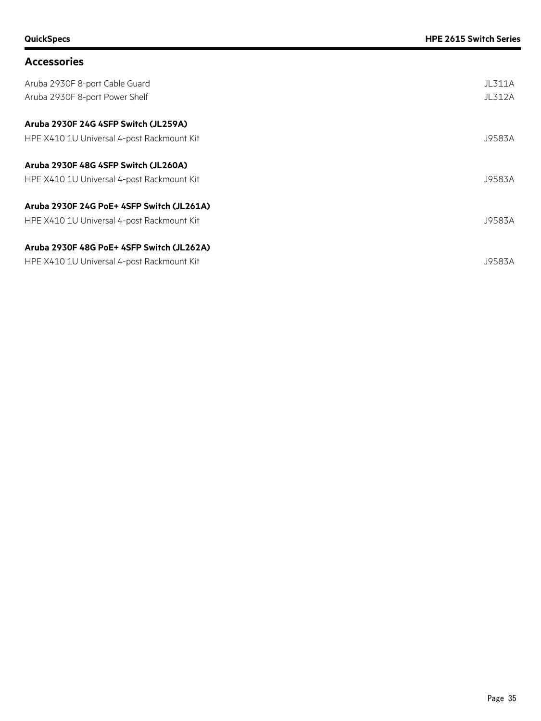### **Accessories**

| Aruba 2930F 8-port Cable Guard<br>Aruba 2930F 8-port Power Shelf | <b>JL311A</b><br><b>JL312A</b> |
|------------------------------------------------------------------|--------------------------------|
| Aruba 2930F 24G 4SFP Switch (JL259A)                             |                                |
| HPE X410 1U Universal 4-post Rackmount Kit                       | J9583A                         |
| Aruba 2930F 48G 4SFP Switch (JL260A)                             |                                |
| HPE X410 1U Universal 4-post Rackmount Kit                       | J9583A                         |
| Aruba 2930F 24G PoE+ 4SFP Switch (JL261A)                        |                                |
| HPE X410 1U Universal 4-post Rackmount Kit                       | J9583A                         |
| Aruba 2930F 48G PoE+ 4SFP Switch (JL262A)                        |                                |
| HPE X410 1U Universal 4-post Rackmount Kit                       | J9583A                         |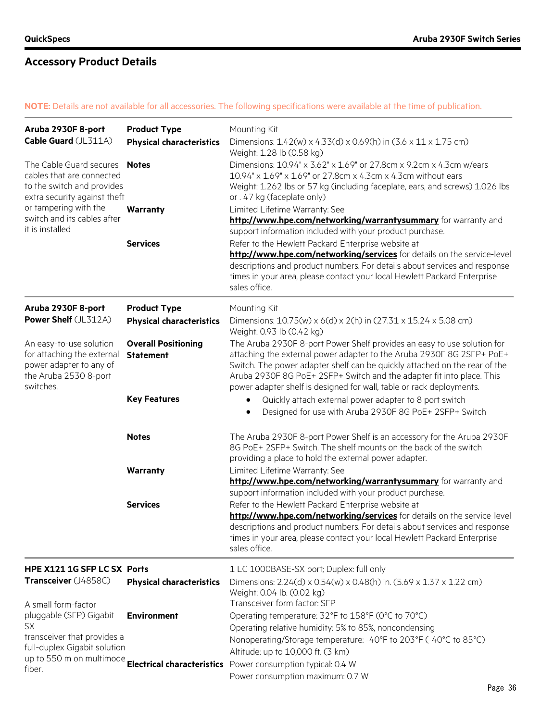#### **NOTE:** Details are not available for all accessories. The following specifications were available at the time of publication.

| Aruba 2930F 8-port<br>Cable Guard (JL311A)<br>The Cable Guard secures<br>cables that are connected<br>to the switch and provides<br>extra security against theft<br>or tampering with the<br>switch and its cables after<br>it is installed | <b>Product Type</b><br><b>Physical characteristics</b><br><b>Notes</b><br>Warranty<br><b>Services</b> | Mounting Kit<br>Dimensions: 1.42(w) x 4.33(d) x 0.69(h) in (3.6 x 11 x 1.75 cm)<br>Weight: 1.28 lb (0.58 kg)<br>Dimensions: 10.94" x 3.62" x 1.69" or 27.8cm x 9.2cm x 4.3cm w/ears<br>10.94" x 1.69" x 1.69" or 27.8cm x 4.3cm x 4.3cm without ears<br>Weight: 1.262 lbs or 57 kg (including faceplate, ears, and screws) 1.026 lbs<br>or . 47 kg (faceplate only)<br>Limited Lifetime Warranty: See<br>http://www.hpe.com/networking/warrantysummary for warranty and<br>support information included with your product purchase.<br>Refer to the Hewlett Packard Enterprise website at<br>http://www.hpe.com/networking/services for details on the service-level<br>descriptions and product numbers. For details about services and response<br>times in your area, please contact your local Hewlett Packard Enterprise<br>sales office. |
|---------------------------------------------------------------------------------------------------------------------------------------------------------------------------------------------------------------------------------------------|-------------------------------------------------------------------------------------------------------|------------------------------------------------------------------------------------------------------------------------------------------------------------------------------------------------------------------------------------------------------------------------------------------------------------------------------------------------------------------------------------------------------------------------------------------------------------------------------------------------------------------------------------------------------------------------------------------------------------------------------------------------------------------------------------------------------------------------------------------------------------------------------------------------------------------------------------------------|
| Aruba 2930F 8-port<br><b>Power Shelf (JL312A)</b>                                                                                                                                                                                           | <b>Product Type</b><br><b>Physical characteristics</b>                                                | Mounting Kit<br>Dimensions: 10.75(w) x 6(d) x 2(h) in (27.31 x 15.24 x 5.08 cm)<br>Weight: 0.93 lb (0.42 kg)                                                                                                                                                                                                                                                                                                                                                                                                                                                                                                                                                                                                                                                                                                                                   |
| An easy-to-use solution<br>for attaching the external<br>power adapter to any of<br>the Aruba 2530 8-port<br>switches.                                                                                                                      | <b>Overall Positioning</b><br><b>Statement</b>                                                        | The Aruba 2930F 8-port Power Shelf provides an easy to use solution for<br>attaching the external power adapter to the Aruba 2930F 8G 2SFP+ PoE+<br>Switch. The power adapter shelf can be quickly attached on the rear of the<br>Aruba 2930F 8G PoE+ 2SFP+ Switch and the adapter fit into place. This<br>power adapter shelf is designed for wall, table or rack deployments.                                                                                                                                                                                                                                                                                                                                                                                                                                                                |
|                                                                                                                                                                                                                                             | <b>Key Features</b>                                                                                   | Quickly attach external power adapter to 8 port switch<br>$\bullet$<br>Designed for use with Aruba 2930F 8G PoE+ 2SFP+ Switch<br>$\bullet$                                                                                                                                                                                                                                                                                                                                                                                                                                                                                                                                                                                                                                                                                                     |
|                                                                                                                                                                                                                                             | <b>Notes</b>                                                                                          | The Aruba 2930F 8-port Power Shelf is an accessory for the Aruba 2930F<br>8G PoE+ 2SFP+ Switch. The shelf mounts on the back of the switch<br>providing a place to hold the external power adapter.                                                                                                                                                                                                                                                                                                                                                                                                                                                                                                                                                                                                                                            |
|                                                                                                                                                                                                                                             | Warranty                                                                                              | Limited Lifetime Warranty: See<br>http://www.hpe.com/networking/warrantysummary for warranty and<br>support information included with your product purchase.                                                                                                                                                                                                                                                                                                                                                                                                                                                                                                                                                                                                                                                                                   |
|                                                                                                                                                                                                                                             | <b>Services</b>                                                                                       | Refer to the Hewlett Packard Enterprise website at<br>http://www.hpe.com/networking/services for details on the service-level<br>descriptions and product numbers. For details about services and response<br>times in your area, please contact your local Hewlett Packard Enterprise<br>sales office.                                                                                                                                                                                                                                                                                                                                                                                                                                                                                                                                        |
| HPE X121 1G SFP LC SX Ports                                                                                                                                                                                                                 |                                                                                                       | 1 LC 1000BASE-SX port; Duplex: full only                                                                                                                                                                                                                                                                                                                                                                                                                                                                                                                                                                                                                                                                                                                                                                                                       |
| Transceiver (J4858C)                                                                                                                                                                                                                        | <b>Physical characteristics</b>                                                                       | Dimensions: 2.24(d) x 0.54(w) x 0.48(h) in. (5.69 x 1.37 x 1.22 cm)<br>Weight: 0.04 lb. (0.02 kg)                                                                                                                                                                                                                                                                                                                                                                                                                                                                                                                                                                                                                                                                                                                                              |
| A small form-factor<br>pluggable (SFP) Gigabit<br><b>SX</b><br>transceiver that provides a                                                                                                                                                  | <b>Environment</b>                                                                                    | Transceiver form factor: SFP<br>Operating temperature: 32°F to 158°F (0°C to 70°C)<br>Operating relative humidity: 5% to 85%, noncondensing<br>Nonoperating/Storage temperature: -40°F to 203°F (-40°C to 85°C)                                                                                                                                                                                                                                                                                                                                                                                                                                                                                                                                                                                                                                |
| full-duplex Gigabit solution<br>fiber.                                                                                                                                                                                                      | up to 550 m on multimode<br><b>Electrical characteristics</b>                                         | Altitude: up to 10,000 ft. (3 km)<br>Power consumption typical: 0.4 W<br>Power consumption maximum: 0.7 W                                                                                                                                                                                                                                                                                                                                                                                                                                                                                                                                                                                                                                                                                                                                      |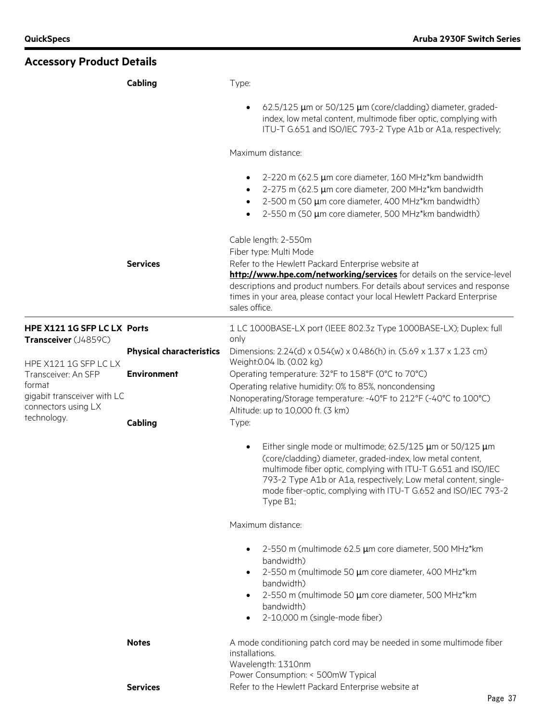| <b>Accessory Product Details</b>                                                                             |                                 |                                                                                                                                                                                                                                                                                                                                                           |
|--------------------------------------------------------------------------------------------------------------|---------------------------------|-----------------------------------------------------------------------------------------------------------------------------------------------------------------------------------------------------------------------------------------------------------------------------------------------------------------------------------------------------------|
|                                                                                                              | Cabling                         | Type:                                                                                                                                                                                                                                                                                                                                                     |
|                                                                                                              |                                 | 62.5/125 µm or 50/125 µm (core/cladding) diameter, graded-<br>$\bullet$<br>index, low metal content, multimode fiber optic, complying with<br>ITU-T G.651 and ISO/IEC 793-2 Type A1b or A1a, respectively;                                                                                                                                                |
|                                                                                                              |                                 | Maximum distance:                                                                                                                                                                                                                                                                                                                                         |
|                                                                                                              |                                 | 2-220 m (62.5 µm core diameter, 160 MHz*km bandwidth<br>$\bullet$<br>2-275 m (62.5 µm core diameter, 200 MHz*km bandwidth<br>2-500 m (50 µm core diameter, 400 MHz*km bandwidth)<br>2-550 m (50 µm core diameter, 500 MHz*km bandwidth)<br>$\bullet$                                                                                                      |
|                                                                                                              | <b>Services</b>                 | Cable length: 2-550m<br>Fiber type: Multi Mode<br>Refer to the Hewlett Packard Enterprise website at<br>http://www.hpe.com/networking/services for details on the service-level<br>descriptions and product numbers. For details about services and response<br>times in your area, please contact your local Hewlett Packard Enterprise<br>sales office. |
|                                                                                                              |                                 |                                                                                                                                                                                                                                                                                                                                                           |
| HPE X121 1G SFP LC LX Ports<br>Transceiver (J4859C)                                                          |                                 | 1 LC 1000BASE-LX port (IEEE 802.3z Type 1000BASE-LX); Duplex: full<br>only                                                                                                                                                                                                                                                                                |
|                                                                                                              | <b>Physical characteristics</b> | Dimensions: 2.24(d) x 0.54(w) x 0.486(h) in. (5.69 x 1.37 x 1.23 cm)                                                                                                                                                                                                                                                                                      |
| HPE X121 1G SFP LC LX<br>Transceiver: An SFP<br>format<br>gigabit transceiver with LC<br>connectors using LX | <b>Environment</b>              | Weight: 0.04 lb. (0.02 kg)<br>Operating temperature: 32°F to 158°F (0°C to 70°C)<br>Operating relative humidity: 0% to 85%, noncondensing<br>Nonoperating/Storage temperature: -40°F to 212°F (-40°C to 100°C)                                                                                                                                            |
| technology.                                                                                                  | Cabling                         | Altitude: up to 10,000 ft. (3 km)<br>Type:                                                                                                                                                                                                                                                                                                                |
|                                                                                                              |                                 | Either single mode or multimode; 62.5/125 $\mu$ m or 50/125 $\mu$ m<br>(core/cladding) diameter, graded-index, low metal content,<br>multimode fiber optic, complying with ITU-T G.651 and ISO/IEC<br>793-2 Type A1b or A1a, respectively; Low metal content, single-<br>mode fiber-optic, complying with ITU-T G.652 and ISO/IEC 793-2<br>Type B1;       |
|                                                                                                              |                                 | Maximum distance:                                                                                                                                                                                                                                                                                                                                         |
|                                                                                                              |                                 | 2-550 m (multimode 62.5 µm core diameter, 500 MHz*km<br>$\bullet$<br>bandwidth)<br>2-550 m (multimode 50 µm core diameter, 400 MHz*km<br>$\bullet$<br>bandwidth)<br>2-550 m (multimode 50 µm core diameter, 500 MHz*km<br>٠<br>bandwidth)<br>2-10,000 m (single-mode fiber)<br>٠                                                                          |
|                                                                                                              | <b>Notes</b>                    | A mode conditioning patch cord may be needed in some multimode fiber<br>installations.<br>Wavelength: 1310nm                                                                                                                                                                                                                                              |
|                                                                                                              | <b>Services</b>                 | Power Consumption: < 500mW Typical<br>Refer to the Hewlett Packard Enterprise website at                                                                                                                                                                                                                                                                  |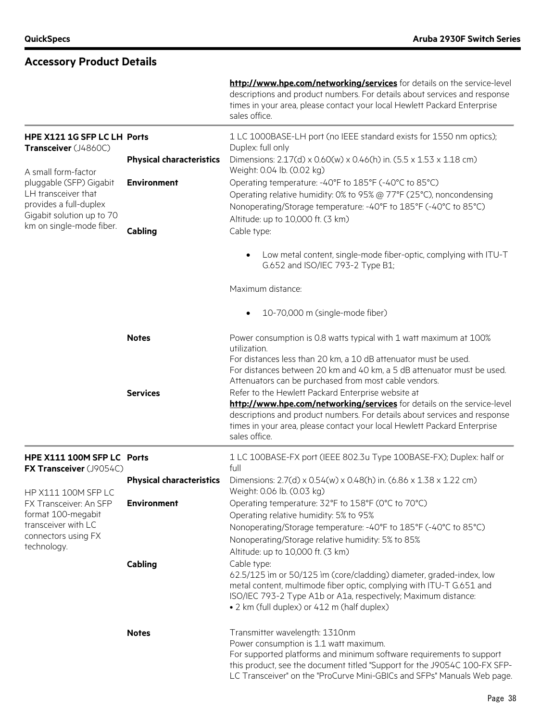|                                                                                                           |                                 | http://www.hpe.com/networking/services for details on the service-level<br>descriptions and product numbers. For details about services and response<br>times in your area, please contact your local Hewlett Packard Enterprise<br>sales office.                                                        |
|-----------------------------------------------------------------------------------------------------------|---------------------------------|----------------------------------------------------------------------------------------------------------------------------------------------------------------------------------------------------------------------------------------------------------------------------------------------------------|
| HPE X121 1G SFP LC LH Ports<br>Transceiver (J4860C)                                                       |                                 | 1 LC 1000BASE-LH port (no IEEE standard exists for 1550 nm optics);<br>Duplex: full only                                                                                                                                                                                                                 |
| A small form-factor                                                                                       | <b>Physical characteristics</b> | Dimensions: 2.17(d) x 0.60(w) x 0.46(h) in. (5.5 x 1.53 x 1.18 cm)<br>Weight: 0.04 lb. (0.02 kg)                                                                                                                                                                                                         |
| pluggable (SFP) Gigabit<br>LH transceiver that<br>provides a full-duplex<br>Gigabit solution up to 70     | <b>Environment</b>              | Operating temperature: -40°F to 185°F (-40°C to 85°C)<br>Operating relative humidity: 0% to 95% @ 77°F (25°C), noncondensing<br>Nonoperating/Storage temperature: -40°F to 185°F (-40°C to 85°C)<br>Altitude: up to 10,000 ft. (3 km)                                                                    |
| km on single-mode fiber.                                                                                  | Cabling                         | Cable type:                                                                                                                                                                                                                                                                                              |
|                                                                                                           |                                 | Low metal content, single-mode fiber-optic, complying with ITU-T<br>$\bullet$<br>G.652 and ISO/IEC 793-2 Type B1;                                                                                                                                                                                        |
|                                                                                                           |                                 | Maximum distance:                                                                                                                                                                                                                                                                                        |
|                                                                                                           |                                 | 10-70,000 m (single-mode fiber)<br>$\bullet$                                                                                                                                                                                                                                                             |
|                                                                                                           | <b>Notes</b>                    | Power consumption is 0.8 watts typical with 1 watt maximum at 100%<br>utilization.                                                                                                                                                                                                                       |
|                                                                                                           |                                 | For distances less than 20 km, a 10 dB attenuator must be used.<br>For distances between 20 km and 40 km, a 5 dB attenuator must be used.<br>Attenuators can be purchased from most cable vendors.                                                                                                       |
|                                                                                                           | <b>Services</b>                 | Refer to the Hewlett Packard Enterprise website at<br>http://www.hpe.com/networking/services for details on the service-level<br>descriptions and product numbers. For details about services and response<br>times in your area, please contact your local Hewlett Packard Enterprise<br>sales office.  |
| HPE X111 100M SFP LC Ports<br>FX Transceiver (J9054C)                                                     |                                 | 1 LC 100BASE-FX port (IEEE 802.3u Type 100BASE-FX); Duplex: half or<br>full                                                                                                                                                                                                                              |
| HP X111 100M SFP LC                                                                                       | <b>Physical characteristics</b> | Dimensions: 2.7(d) x 0.54(w) x 0.48(h) in. (6.86 x 1.38 x 1.22 cm)<br>Weight: 0.06 lb. (0.03 kg)                                                                                                                                                                                                         |
| FX Transceiver: An SFP<br>format 100-megabit<br>transceiver with LC<br>connectors using FX<br>technology. | <b>Environment</b>              | Operating temperature: 32°F to 158°F (0°C to 70°C)<br>Operating relative humidity: 5% to 95%<br>Nonoperating/Storage temperature: -40°F to 185°F (-40°C to 85°C)<br>Nonoperating/Storage relative humidity: 5% to 85%<br>Altitude: up to 10,000 ft. (3 km)                                               |
|                                                                                                           | Cabling                         | Cable type:<br>62.5/125 im or 50/125 im (core/cladding) diameter, graded-index, low<br>metal content, multimode fiber optic, complying with ITU-T G.651 and<br>ISO/IEC 793-2 Type A1b or A1a, respectively; Maximum distance:<br>• 2 km (full duplex) or 412 m (half duplex)                             |
|                                                                                                           | <b>Notes</b>                    | Transmitter wavelength: 1310nm<br>Power consumption is 1.1 watt maximum.<br>For supported platforms and minimum software requirements to support<br>this product, see the document titled "Support for the J9054C 100-FX SFP-<br>LC Transceiver" on the "ProCurve Mini-GBICs and SFPs" Manuals Web page. |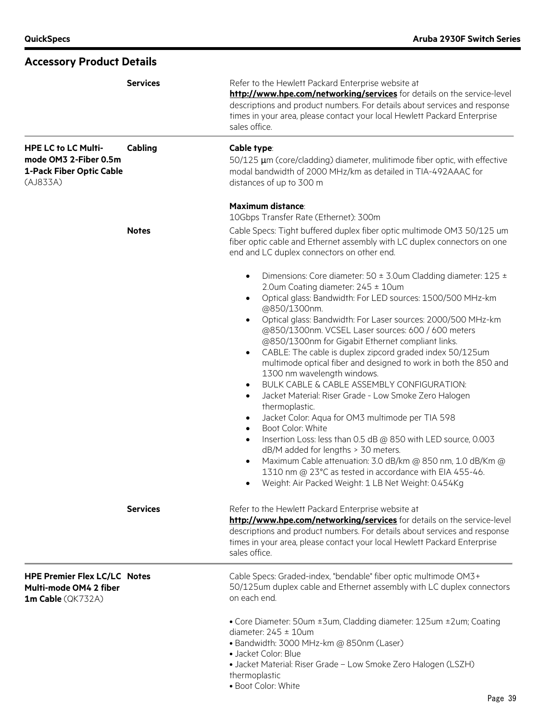| <b>Accessory Product Details</b>                                                            |                 |                                                                                                                                                                                                                                                                                                                                                                                                                                                                                                                                                                                                                                                                                                                                                                                                                                                                                                                                                                                                                                                                                                                                                                  |  |
|---------------------------------------------------------------------------------------------|-----------------|------------------------------------------------------------------------------------------------------------------------------------------------------------------------------------------------------------------------------------------------------------------------------------------------------------------------------------------------------------------------------------------------------------------------------------------------------------------------------------------------------------------------------------------------------------------------------------------------------------------------------------------------------------------------------------------------------------------------------------------------------------------------------------------------------------------------------------------------------------------------------------------------------------------------------------------------------------------------------------------------------------------------------------------------------------------------------------------------------------------------------------------------------------------|--|
|                                                                                             | <b>Services</b> | Refer to the Hewlett Packard Enterprise website at<br>http://www.hpe.com/networking/services for details on the service-level<br>descriptions and product numbers. For details about services and response<br>times in your area, please contact your local Hewlett Packard Enterprise<br>sales office.<br>Cable type:<br>50/125 µm (core/cladding) diameter, mulitimode fiber optic, with effective<br>modal bandwidth of 2000 MHz/km as detailed in TIA-492AAAC for<br>distances of up to 300 m                                                                                                                                                                                                                                                                                                                                                                                                                                                                                                                                                                                                                                                                |  |
| <b>HPE LC to LC Multi-</b><br>mode OM3 2-Fiber 0.5m<br>1-Pack Fiber Optic Cable<br>(AJ833A) | Cabling         |                                                                                                                                                                                                                                                                                                                                                                                                                                                                                                                                                                                                                                                                                                                                                                                                                                                                                                                                                                                                                                                                                                                                                                  |  |
|                                                                                             |                 | <b>Maximum distance:</b><br>10Gbps Transfer Rate (Ethernet): 300m                                                                                                                                                                                                                                                                                                                                                                                                                                                                                                                                                                                                                                                                                                                                                                                                                                                                                                                                                                                                                                                                                                |  |
|                                                                                             | <b>Notes</b>    | Cable Specs: Tight buffered duplex fiber optic multimode OM3 50/125 um<br>fiber optic cable and Ethernet assembly with LC duplex connectors on one<br>end and LC duplex connectors on other end.                                                                                                                                                                                                                                                                                                                                                                                                                                                                                                                                                                                                                                                                                                                                                                                                                                                                                                                                                                 |  |
|                                                                                             |                 | Dimensions: Core diameter: 50 $\pm$ 3.0um Cladding diameter: 125 $\pm$<br>$\bullet$<br>2.0um Coating diameter: 245 ± 10um<br>Optical glass: Bandwidth: For LED sources: 1500/500 MHz-km<br>$\bullet$<br>@850/1300nm.<br>Optical glass: Bandwidth: For Laser sources: 2000/500 MHz-km<br>$\bullet$<br>@850/1300nm. VCSEL Laser sources: 600 / 600 meters<br>@850/1300nm for Gigabit Ethernet compliant links.<br>CABLE: The cable is duplex zipcord graded index 50/125um<br>$\bullet$<br>multimode optical fiber and designed to work in both the 850 and<br>1300 nm wavelength windows.<br>BULK CABLE & CABLE ASSEMBLY CONFIGURATION:<br>$\bullet$<br>Jacket Material: Riser Grade - Low Smoke Zero Halogen<br>$\bullet$<br>thermoplastic.<br>Jacket Color: Aqua for OM3 multimode per TIA 598<br>$\bullet$<br>Boot Color: White<br>$\bullet$<br>Insertion Loss: less than 0.5 dB @ 850 with LED source, 0.003<br>$\bullet$<br>dB/M added for lengths > 30 meters.<br>Maximum Cable attenuation: 3.0 dB/km @ 850 nm, 1.0 dB/Km @<br>1310 nm @ 23°C as tested in accordance with EIA 455-46.<br>Weight: Air Packed Weight: 1 LB Net Weight: 0.454Kg<br>$\bullet$ |  |
|                                                                                             | <b>Services</b> | Refer to the Hewlett Packard Enterprise website at<br>http://www.hpe.com/networking/services for details on the service-level<br>descriptions and product numbers. For details about services and response<br>times in your area, please contact your local Hewlett Packard Enterprise<br>sales office.                                                                                                                                                                                                                                                                                                                                                                                                                                                                                                                                                                                                                                                                                                                                                                                                                                                          |  |
| <b>HPE Premier Flex LC/LC Notes</b><br>Multi-mode OM4 2 fiber<br>1m Cable (QK732A)          |                 | Cable Specs: Graded-index, "bendable" fiber optic multimode OM3+<br>50/125um duplex cable and Ethernet assembly with LC duplex connectors<br>on each end.                                                                                                                                                                                                                                                                                                                                                                                                                                                                                                                                                                                                                                                                                                                                                                                                                                                                                                                                                                                                        |  |
|                                                                                             |                 | • Core Diameter: 50um ±3um, Cladding diameter: 125um ±2um; Coating<br>diameter: $245 \pm 10$ um<br>· Bandwidth: 3000 MHz-km @ 850nm (Laser)<br>• Jacket Color: Blue<br>• Jacket Material: Riser Grade - Low Smoke Zero Halogen (LSZH)<br>thermoplastic<br>· Boot Color: White                                                                                                                                                                                                                                                                                                                                                                                                                                                                                                                                                                                                                                                                                                                                                                                                                                                                                    |  |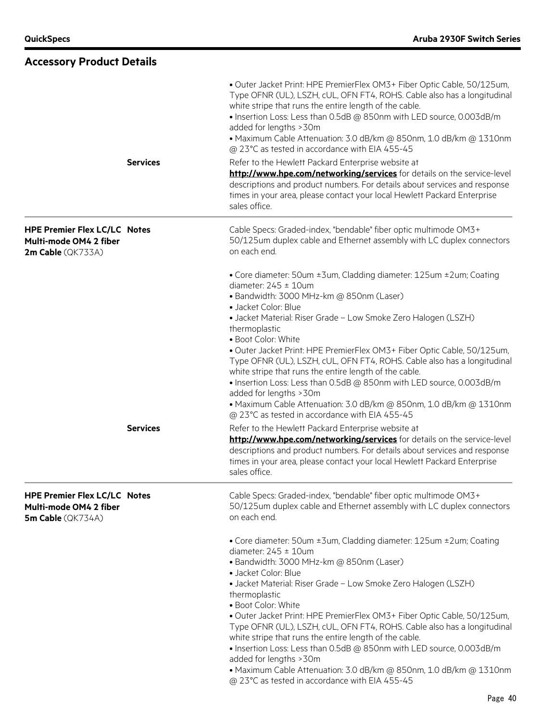| <b>Accessory Product Details</b>                                                   |                 |                                                                                                                                                                                                                                                                                                                                                                                                                                                                                                                                                                                                                                                                                                                                                                                |
|------------------------------------------------------------------------------------|-----------------|--------------------------------------------------------------------------------------------------------------------------------------------------------------------------------------------------------------------------------------------------------------------------------------------------------------------------------------------------------------------------------------------------------------------------------------------------------------------------------------------------------------------------------------------------------------------------------------------------------------------------------------------------------------------------------------------------------------------------------------------------------------------------------|
|                                                                                    |                 | · Outer Jacket Print: HPE PremierFlex OM3+ Fiber Optic Cable, 50/125um,<br>Type OFNR (UL), LSZH, cUL, OFN FT4, ROHS. Cable also has a longitudinal<br>white stripe that runs the entire length of the cable.<br>. Insertion Loss: Less than 0.5dB @ 850nm with LED source, 0.003dB/m<br>added for lengths > 30m<br>• Maximum Cable Attenuation: 3.0 dB/km @ 850nm, 1.0 dB/km @ 1310nm<br>@ 23°C as tested in accordance with EIA 455-45                                                                                                                                                                                                                                                                                                                                        |
|                                                                                    | <b>Services</b> | Refer to the Hewlett Packard Enterprise website at<br>http://www.hpe.com/networking/services for details on the service-level<br>descriptions and product numbers. For details about services and response<br>times in your area, please contact your local Hewlett Packard Enterprise<br>sales office.                                                                                                                                                                                                                                                                                                                                                                                                                                                                        |
| <b>HPE Premier Flex LC/LC Notes</b><br>Multi-mode OM4 2 fiber<br>2m Cable (QK733A) |                 | Cable Specs: Graded-index, "bendable" fiber optic multimode OM3+<br>50/125um duplex cable and Ethernet assembly with LC duplex connectors<br>on each end.                                                                                                                                                                                                                                                                                                                                                                                                                                                                                                                                                                                                                      |
|                                                                                    | <b>Services</b> | • Core diameter: 50um ±3um, Cladding diameter: 125um ±2um; Coating<br>diameter: $245 \pm 10$ um<br>· Bandwidth: 3000 MHz-km @ 850nm (Laser)<br>• Jacket Color: Blue<br>• Jacket Material: Riser Grade - Low Smoke Zero Halogen (LSZH)<br>thermoplastic<br>· Boot Color: White<br>· Outer Jacket Print: HPE PremierFlex OM3+ Fiber Optic Cable, 50/125um,<br>Type OFNR (UL), LSZH, cUL, OFN FT4, ROHS. Cable also has a longitudinal<br>white stripe that runs the entire length of the cable.<br>. Insertion Loss: Less than 0.5dB @ 850nm with LED source, 0.003dB/m<br>added for lengths > 30m<br>• Maximum Cable Attenuation: 3.0 dB/km @ 850nm, 1.0 dB/km @ 1310nm<br>@ 23°C as tested in accordance with EIA 455-45<br>Refer to the Hewlett Packard Enterprise website at |
|                                                                                    |                 | http://www.hpe.com/networking/services for details on the service-level<br>descriptions and product numbers. For details about services and response<br>times in your area, please contact your local Hewlett Packard Enterprise<br>sales office.                                                                                                                                                                                                                                                                                                                                                                                                                                                                                                                              |
| <b>HPE Premier Flex LC/LC Notes</b><br>Multi-mode OM4 2 fiber<br>5m Cable (QK734A) |                 | Cable Specs: Graded-index, "bendable" fiber optic multimode OM3+<br>50/125um duplex cable and Ethernet assembly with LC duplex connectors<br>on each end.                                                                                                                                                                                                                                                                                                                                                                                                                                                                                                                                                                                                                      |
|                                                                                    |                 | • Core diameter: 50um ±3um, Cladding diameter: 125um ±2um; Coating<br>diameter: $245 \pm 10$ um<br>· Bandwidth: 3000 MHz-km @ 850nm (Laser)<br>· Jacket Color: Blue<br>• Jacket Material: Riser Grade - Low Smoke Zero Halogen (LSZH)<br>thermoplastic<br>· Boot Color: White<br>· Outer Jacket Print: HPE PremierFlex OM3+ Fiber Optic Cable, 50/125um,<br>Type OFNR (UL), LSZH, cUL, OFN FT4, ROHS. Cable also has a longitudinal<br>white stripe that runs the entire length of the cable.<br>. Insertion Loss: Less than 0.5dB @ 850nm with LED source, 0.003dB/m<br>added for lengths > 30m<br>• Maximum Cable Attenuation: 3.0 dB/km @ 850nm, 1.0 dB/km @ 1310nm<br>@ 23°C as tested in accordance with EIA 455-45                                                       |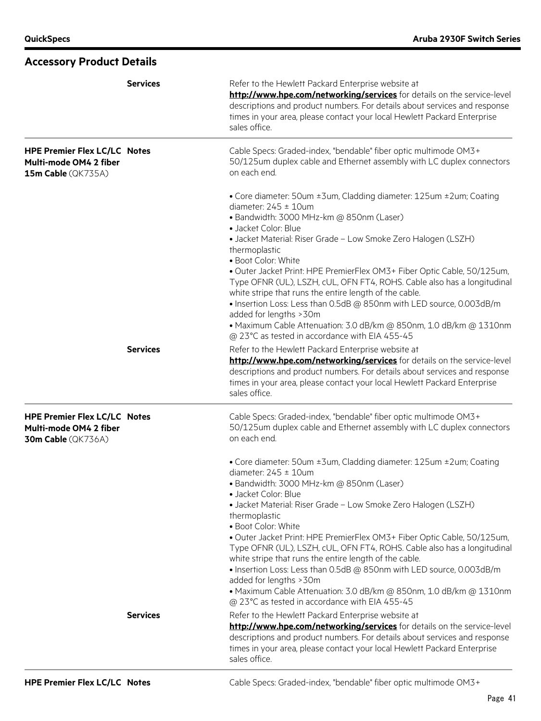|                                                                                            | <b>Services</b> | Refer to the Hewlett Packard Enterprise website at<br>http://www.hpe.com/networking/services for details on the service-level<br>descriptions and product numbers. For details about services and response<br>times in your area, please contact your local Hewlett Packard Enterprise<br>sales office.                                                                                                                                                                                                                                                                                          |
|--------------------------------------------------------------------------------------------|-----------------|--------------------------------------------------------------------------------------------------------------------------------------------------------------------------------------------------------------------------------------------------------------------------------------------------------------------------------------------------------------------------------------------------------------------------------------------------------------------------------------------------------------------------------------------------------------------------------------------------|
| <b>HPE Premier Flex LC/LC Notes</b><br>Multi-mode OM4 2 fiber<br>15m Cable (QK735A)        |                 | Cable Specs: Graded-index, "bendable" fiber optic multimode OM3+<br>50/125um duplex cable and Ethernet assembly with LC duplex connectors<br>on each end.                                                                                                                                                                                                                                                                                                                                                                                                                                        |
|                                                                                            |                 | • Core diameter: 50um ±3um, Cladding diameter: 125um ±2um; Coating<br>diameter: $245 \pm 10$ um<br>· Bandwidth: 3000 MHz-km @ 850nm (Laser)<br>· Jacket Color: Blue<br>• Jacket Material: Riser Grade - Low Smoke Zero Halogen (LSZH)<br>thermoplastic<br>• Boot Color: White<br>· Outer Jacket Print: HPE PremierFlex OM3+ Fiber Optic Cable, 50/125um,<br>Type OFNR (UL), LSZH, cUL, OFN FT4, ROHS. Cable also has a longitudinal<br>white stripe that runs the entire length of the cable.<br>• Insertion Loss: Less than 0.5dB @ 850nm with LED source, 0.003dB/m<br>added for lengths > 30m |
|                                                                                            |                 | • Maximum Cable Attenuation: 3.0 dB/km @ 850nm, 1.0 dB/km @ 1310nm<br>@ 23°C as tested in accordance with EIA 455-45                                                                                                                                                                                                                                                                                                                                                                                                                                                                             |
|                                                                                            | <b>Services</b> | Refer to the Hewlett Packard Enterprise website at<br>http://www.hpe.com/networking/services for details on the service-level<br>descriptions and product numbers. For details about services and response<br>times in your area, please contact your local Hewlett Packard Enterprise<br>sales office.                                                                                                                                                                                                                                                                                          |
| <b>HPE Premier Flex LC/LC Notes</b><br>Multi-mode OM4 2 fiber<br><b>30m Cable</b> (QK736A) |                 | Cable Specs: Graded-index, "bendable" fiber optic multimode OM3+<br>50/125um duplex cable and Ethernet assembly with LC duplex connectors<br>on each end.                                                                                                                                                                                                                                                                                                                                                                                                                                        |
|                                                                                            |                 | • Core diameter: 50um ±3um, Cladding diameter: 125um ±2um; Coating<br>diameter: $245 \pm 10$ um<br>· Bandwidth: 3000 MHz-km @ 850nm (Laser)<br>• Jacket Color: Blue                                                                                                                                                                                                                                                                                                                                                                                                                              |
|                                                                                            |                 | • Jacket Material: Riser Grade - Low Smoke Zero Halogen (LSZH)<br>thermoplastic<br>· Boot Color: White<br>. Outer Jacket Print: HPE PremierFlex OM3+ Fiber Optic Cable, 50/125um,<br>Type OFNR (UL), LSZH, cUL, OFN FT4, ROHS. Cable also has a longitudinal<br>white stripe that runs the entire length of the cable.<br>• Insertion Loss: Less than 0.5dB @ 850nm with LED source, 0.003dB/m<br>added for lengths > 30m<br>· Maximum Cable Attenuation: 3.0 dB/km @ 850nm, 1.0 dB/km @ 1310nm<br>@ 23°C as tested in accordance with EIA 455-45                                                |
|                                                                                            | <b>Services</b> | Refer to the Hewlett Packard Enterprise website at<br>http://www.hpe.com/networking/services for details on the service-level<br>descriptions and product numbers. For details about services and response<br>times in your area, please contact your local Hewlett Packard Enterprise<br>sales office.                                                                                                                                                                                                                                                                                          |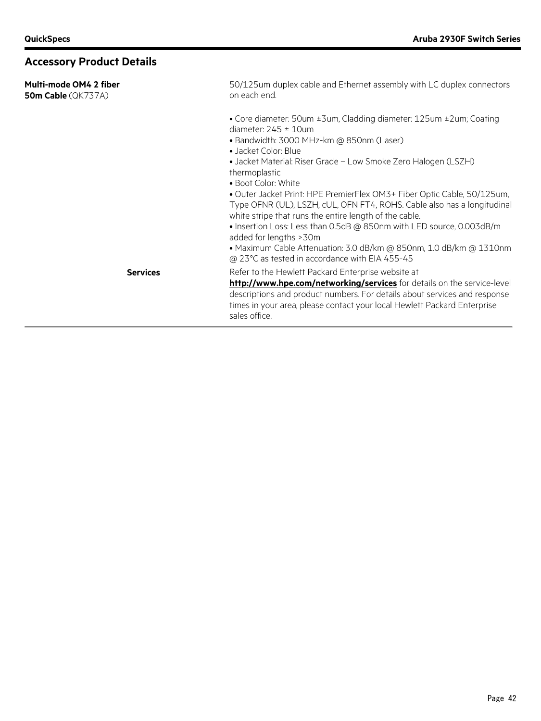| Multi-mode OM4 2 fiber<br>50m Cable (QK737A) | 50/125um duplex cable and Ethernet assembly with LC duplex connectors<br>on each end.                                                                                                                                                                                                                                                                                                                                                                                                                                                                                                                                                                                                                                    |
|----------------------------------------------|--------------------------------------------------------------------------------------------------------------------------------------------------------------------------------------------------------------------------------------------------------------------------------------------------------------------------------------------------------------------------------------------------------------------------------------------------------------------------------------------------------------------------------------------------------------------------------------------------------------------------------------------------------------------------------------------------------------------------|
|                                              | • Core diameter: 50um ±3um, Cladding diameter: 125um ±2um; Coating<br>diameter: $245 \pm 10$ um<br>• Bandwidth: 3000 MHz-km @ 850nm (Laser)<br>• Jacket Color: Blue<br>• Jacket Material: Riser Grade - Low Smoke Zero Halogen (LSZH)<br>thermoplastic<br>• Boot Color: White<br>. Outer Jacket Print: HPE PremierFlex OM3+ Fiber Optic Cable, 50/125um,<br>Type OFNR (UL), LSZH, cUL, OFN FT4, ROHS. Cable also has a longitudinal<br>white stripe that runs the entire length of the cable.<br>• Insertion Loss: Less than 0.5dB @ 850nm with LED source, 0.003dB/m<br>added for lengths > 30m<br>• Maximum Cable Attenuation: 3.0 dB/km @ 850nm, 1.0 dB/km @ 1310nm<br>@ 23°C as tested in accordance with EIA 455-45 |
| <b>Services</b>                              | Refer to the Hewlett Packard Enterprise website at<br>http://www.hpe.com/networking/services for details on the service-level<br>descriptions and product numbers. For details about services and response<br>times in your area, please contact your local Hewlett Packard Enterprise<br>sales office.                                                                                                                                                                                                                                                                                                                                                                                                                  |